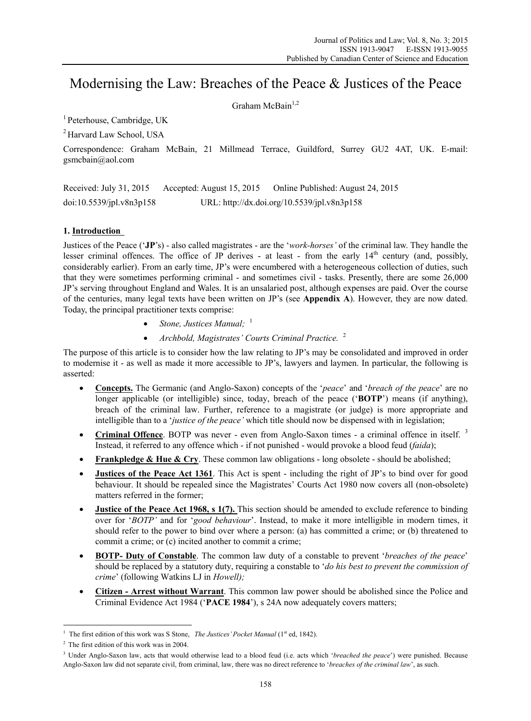# Modernising the Law: Breaches of the Peace & Justices of the Peace

Graham McBain<sup>1,2</sup>

<sup>1</sup> Peterhouse, Cambridge, UK

2 Harvard Law School, USA

Correspondence: Graham McBain, 21 Millmead Terrace, Guildford, Surrey GU2 4AT, UK. E-mail: gsmcbain@aol.com

Received: July 31, 2015 Accepted: August 15, 2015 Online Published: August 24, 2015 doi:10.5539/jpl.v8n3p158 URL: http://dx.doi.org/10.5539/jpl.v8n3p158

### **1. Introduction**

Justices of the Peace ('**JP**'s) - also called magistrates - are the '*work-horses'* of the criminal law. They handle the lesser criminal offences. The office of JP derives - at least - from the early  $14<sup>th</sup>$  century (and, possibly, considerably earlier). From an early time, JP's were encumbered with a heterogeneous collection of duties, such that they were sometimes performing criminal - and sometimes civil - tasks. Presently, there are some 26,000 JP's serving throughout England and Wales. It is an unsalaried post, although expenses are paid. Over the course of the centuries, many legal texts have been written on JP's (see **Appendix A**). However, they are now dated. Today, the principal practitioner texts comprise:

- Stone, Justices Manual; <sup>1</sup>
- *Archbold, Magistrates' Courts Criminal Practice.* <sup>2</sup>

The purpose of this article is to consider how the law relating to JP's may be consolidated and improved in order to modernise it - as well as made it more accessible to JP's, lawyers and laymen. In particular, the following is asserted:

- **Concepts.** The Germanic (and Anglo-Saxon) concepts of the '*peace*' and '*breach of the peace*' are no longer applicable (or intelligible) since, today, breach of the peace ('**BOTP**') means (if anything), breach of the criminal law. Further, reference to a magistrate (or judge) is more appropriate and intelligible than to a '*justice of the peace'* which title should now be dispensed with in legislation;
- **Criminal Offence**. BOTP was never even from Anglo-Saxon times a criminal offence in itself. <sup>3</sup> Instead, it referred to any offence which - if not punished - would provoke a blood feud (*faida*);
- **Frankpledge & Hue & Cry**. These common law obligations long obsolete should be abolished;
- **Justices of the Peace Act 1361**. This Act is spent including the right of JP's to bind over for good behaviour. It should be repealed since the Magistrates' Courts Act 1980 now covers all (non-obsolete) matters referred in the former;
- **Justice of the Peace Act 1968, s 1(7).** This section should be amended to exclude reference to binding over for '*BOTP'* and for '*good behaviour*'. Instead, to make it more intelligible in modern times, it should refer to the power to bind over where a person: (a) has committed a crime; or (b) threatened to commit a crime; or (c) incited another to commit a crime;
- **BOTP- Duty of Constable**. The common law duty of a constable to prevent '*breaches of the peace*' should be replaced by a statutory duty, requiring a constable to '*do his best to prevent the commission of crime*' (following Watkins LJ in *Howell);*
- **Citizen Arrest without Warrant**. This common law power should be abolished since the Police and Criminal Evidence Act 1984 ('**PACE 1984**'), s 24A now adequately covers matters;

<sup>&</sup>lt;sup>1</sup> The first edition of this work was S Stone, *The Justices' Pocket Manual* (1<sup>st</sup> ed, 1842).

<sup>2</sup> The first edition of this work was in 2004.

<sup>3</sup> Under Anglo-Saxon law, acts that would otherwise lead to a blood feud (i.e. acts which '*breached the peace*') were punished. Because Anglo-Saxon law did not separate civil, from criminal, law, there was no direct reference to '*breaches of the criminal law*', as such.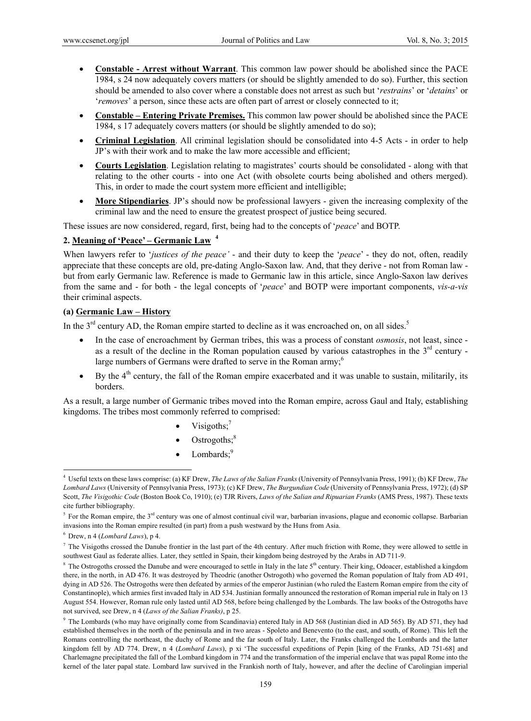- **Constable Arrest without Warrant**. This common law power should be abolished since the PACE 1984, s 24 now adequately covers matters (or should be slightly amended to do so). Further, this section should be amended to also cover where a constable does not arrest as such but '*restrains*' or '*detains*' or '*removes*' a person, since these acts are often part of arrest or closely connected to it;
- **Constable Entering Private Premises.** This common law power should be abolished since the PACE 1984, s 17 adequately covers matters (or should be slightly amended to do so);
- **Criminal Legislation**. All criminal legislation should be consolidated into 4-5 Acts in order to help JP's with their work and to make the law more accessible and efficient;
- **Courts Legislation**. Legislation relating to magistrates' courts should be consolidated along with that relating to the other courts - into one Act (with obsolete courts being abolished and others merged). This, in order to made the court system more efficient and intelligible;
- **More Stipendiaries**. JP's should now be professional lawyers given the increasing complexity of the criminal law and the need to ensure the greatest prospect of justice being secured.

These issues are now considered, regard, first, being had to the concepts of '*peace*' and BOTP.

### **2. Meaning of 'Peace' – Germanic Law <sup>4</sup>**

When lawyers refer to '*justices of the peace'* - and their duty to keep the '*peace'* - they do not, often, readily appreciate that these concepts are old, pre-dating Anglo-Saxon law. And, that they derive - not from Roman law but from early Germanic law. Reference is made to Germanic law in this article, since Anglo-Saxon law derives from the same and - for both - the legal concepts of '*peace*' and BOTP were important components, *vis-a-vis* their criminal aspects.

# **(a) Germanic Law – History**

In the  $3<sup>rd</sup>$  century AD, the Roman empire started to decline as it was encroached on, on all sides.<sup>5</sup>

- In the case of encroachment by German tribes, this was a process of constant *osmosis*, not least, since as a result of the decline in the Roman population caused by various catastrophes in the  $3<sup>rd</sup>$  century large numbers of Germans were drafted to serve in the Roman army;<sup>6</sup>
- By the 4<sup>th</sup> century, the fall of the Roman empire exacerbated and it was unable to sustain, militarily, its borders.

As a result, a large number of Germanic tribes moved into the Roman empire, across Gaul and Italy, establishing kingdoms. The tribes most commonly referred to comprised:

- Visigoths:<sup>7</sup>
- $\bullet$  Ostrogoths;<sup>8</sup>
- $\bullet$  Lombards;<sup>9</sup>

<sup>4</sup> Useful texts on these laws comprise: (a) KF Drew, *The Laws of the Salian Franks* (University of Pennsylvania Press, 1991); (b) KF Drew, *The Lombard Laws* (University of Pennsylvania Press, 1973); (c) KF Drew, *The Burgundian Code* (University of Pennsylvania Press, 1972); (d) SP Scott, *The Visigothic Code* (Boston Book Co, 1910); (e) TJR Rivers, *Laws of the Salian and Ripuarian Franks* (AMS Press, 1987). These texts cite further bibliography.

<sup>&</sup>lt;sup>5</sup> For the Roman empire, the 3<sup>rd</sup> century was one of almost continual civil war, barbarian invasions, plague and economic collapse. Barbarian invasions into the Roman empire resulted (in part) from a push westward by the Huns from Asia.

<sup>6</sup> Drew, n 4 (*Lombard Laws*), p 4.

 $^7$  The Visigoths crossed the Danube frontier in the last part of the 4th century. After much friction with Rome, they were allowed to settle in southwest Gaul as federate allies. Later, they settled in Spain, their kingdom being destroyed by the Arabs in AD 711-9.

<sup>&</sup>lt;sup>8</sup> The Ostrogoths crossed the Danube and were encouraged to settle in Italy in the late  $5<sup>th</sup>$  century. Their king, Odoacer, established a kingdom there, in the north, in AD 476. It was destroyed by Theodric (another Ostrogoth) who governed the Roman population of Italy from AD 491, dying in AD 526. The Ostrogoths were then defeated by armies of the emperor Justinian (who ruled the Eastern Roman empire from the city of Constantinople), which armies first invaded Italy in AD 534. Justinian formally announced the restoration of Roman imperial rule in Italy on 13 August 554. However, Roman rule only lasted until AD 568, before being challenged by the Lombards. The law books of the Ostrogoths have not survived, see Drew, n 4 (*Laws of the Salian Franks)*, p 25.

<sup>9</sup> The Lombards (who may have originally come from Scandinavia) entered Italy in AD 568 (Justinian died in AD 565). By AD 571, they had established themselves in the north of the peninsula and in two areas - Spoleto and Benevento (to the east, and south, of Rome). This left the Romans controlling the northeast, the duchy of Rome and the far south of Italy. Later, the Franks challenged the Lombards and the latter kingdom fell by AD 774. Drew, n 4 (*Lombard Laws*), p xi 'The successful expeditions of Pepin [king of the Franks, AD 751-68] and Charlemagne precipitated the fall of the Lombard kingdom in 774 and the transformation of the imperial enclave that was papal Rome into the kernel of the later papal state. Lombard law survived in the Frankish north of Italy, however, and after the decline of Carolingian imperial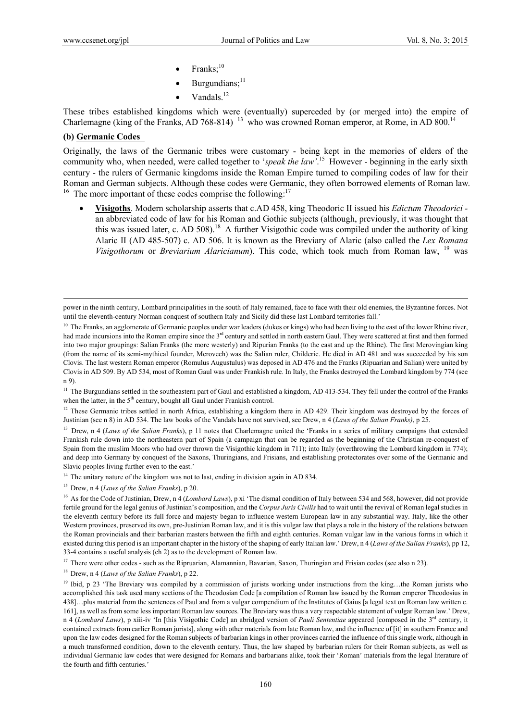- Franks; $^{10}$
- Burgundians; $11$
- Vandals.<sup>12</sup>

These tribes established kingdoms which were (eventually) superceded by (or merged into) the empire of Charlemagne (king of the Franks, AD 768-814)<sup>13</sup> who was crowned Roman emperor, at Rome, in AD 800.<sup>14</sup>

### **(b) Germanic Codes**

Originally, the laws of the Germanic tribes were customary - being kept in the memories of elders of the community who, when needed, were called together to '*speak the law'*. 15 However - beginning in the early sixth century - the rulers of Germanic kingdoms inside the Roman Empire turned to compiling codes of law for their Roman and German subjects. Although these codes were Germanic, they often borrowed elements of Roman law.<br><sup>16</sup> The more important of these codes comprise the following:<sup>17</sup>

 **Visigoths**. Modern scholarship asserts that c.AD 458, king Theodoric II issued his *Edictum Theodorici*  an abbreviated code of law for his Roman and Gothic subjects (although, previously, it was thought that this was issued later, c. AD 508).<sup>18</sup> A further Visigothic code was compiled under the authority of king Alaric II (AD 485-507) c. AD 506. It is known as the Breviary of Alaric (also called the *Lex Romana Visigothorum* or *Breviarium Alaricianum*). This code, which took much from Roman law, 19 was

 $12$  These Germanic tribes settled in north Africa, establishing a kingdom there in AD 429. Their kingdom was destroyed by the forces of Justinian (see n 8) in AD 534. The law books of the Vandals have not survived, see Drew, n 4 (*Laws of the Salian Franks)*, p 25.

<sup>13</sup> Drew, n 4 (*Laws of the Salian Franks*), p 11 notes that Charlemagne united the 'Franks in a series of military campaigns that extended Frankish rule down into the northeastern part of Spain (a campaign that can be regarded as the beginning of the Christian re-conquest of Spain from the muslim Moors who had over thrown the Visigothic kingdom in 711); into Italy (overthrowing the Lombard kingdom in 774); and deep into Germany by conquest of the Saxons, Thuringians, and Frisians, and establishing protectorates over some of the Germanic and Slavic peoples living further even to the east.'

<sup>14</sup> The unitary nature of the kingdom was not to last, ending in division again in AD 834.

15 Drew, n 4 (*Laws of the Salian Franks*), p 20.

18 Drew, n 4 (*Laws of the Salian Franks*), p 22.

power in the ninth century, Lombard principalities in the south of Italy remained, face to face with their old enemies, the Byzantine forces. Not until the eleventh-century Norman conquest of southern Italy and Sicily did these last Lombard territories fall.'

<sup>&</sup>lt;sup>10</sup> The Franks, an agglomerate of Germanic peoples under war leaders (dukes or kings) who had been living to the east of the lower Rhine river, had made incursions into the Roman empire since the 3<sup>rd</sup> century and settled in north eastern Gaul. They were scattered at first and then formed into two major groupings: Salian Franks (the more westerly) and Ripurian Franks (to the east and up the Rhine). The first Merovingian king (from the name of its semi-mythical founder, Merovech) was the Salian ruler, Childeric. He died in AD 481 and was succeeded by his son Clovis. The last western Roman emperor (Romulus Augustulus) was deposed in AD 476 and the Franks (Ripuarian and Salian) were united by Clovis in AD 509. By AD 534, most of Roman Gaul was under Frankish rule. In Italy, the Franks destroyed the Lombard kingdom by 774 (see n 9).

<sup>&</sup>lt;sup>11</sup> The Burgundians settled in the southeastern part of Gaul and established a kingdom, AD 413-534. They fell under the control of the Franks when the latter, in the 5<sup>th</sup> century, bought all Gaul under Frankish control.

<sup>&</sup>lt;sup>16</sup> As for the Code of Justinian, Drew, n 4 (*Lombard Laws*), p xi 'The dismal condition of Italy between 534 and 568, however, did not provide fertile ground for the legal genius of Justinian's composition, and the *Corpus Juris Civilis* had to wait until the revival of Roman legal studies in the eleventh century before its full force and majesty began to influence western European law in any substantial way. Italy, like the other Western provinces, preserved its own, pre-Justinian Roman law, and it is this vulgar law that plays a role in the history of the relations between the Roman provincials and their barbarian masters between the fifth and eighth centuries. Roman vulgar law in the various forms in which it existed during this period is an important chapter in the history of the shaping of early Italian law.' Drew, n 4 (*Laws of the Salian Franks*), pp 12, 33-4 contains a useful analysis (ch 2) as to the development of Roman law.

<sup>&</sup>lt;sup>17</sup> There were other codes - such as the Ripruarian, Alamannian, Bavarian, Saxon, Thuringian and Frisian codes (see also n 23).

<sup>&</sup>lt;sup>19</sup> Ibid, p 23 'The Breviary was compiled by a commission of jurists working under instructions from the king…the Roman jurists who accomplished this task used many sections of the Theodosian Code [a compilation of Roman law issued by the Roman emperor Theodosius in 438]…plus material from the sentences of Paul and from a vulgar compendium of the Institutes of Gaius [a legal text on Roman law written c. 161], as well as from some less important Roman law sources. The Breviary was thus a very respectable statement of vulgar Roman law.' Drew, n 4 (*Lombard Laws*), p xiii-iv 'In [this Visigothic Code] an abridged version of *Pauli Sententiae* appeared [composed in the 3<sup>rd</sup> century, it contained extracts from earlier Roman jurists], along with other materials from late Roman law, and the influence of [it] in southern France and upon the law codes designed for the Roman subjects of barbarian kings in other provinces carried the influence of this single work, although in a much transformed condition, down to the eleventh century. Thus, the law shaped by barbarian rulers for their Roman subjects, as well as individual Germanic law codes that were designed for Romans and barbarians alike, took their 'Roman' materials from the legal literature of the fourth and fifth centuries.'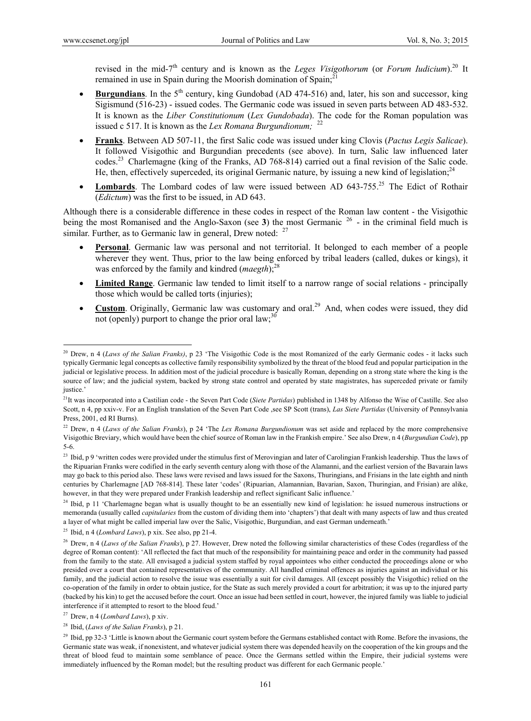$\overline{a}$ 

revised in the mid-7<sup>th</sup> century and is known as the *Leges Visigothorum* (or *Forum Iudicium*).<sup>20</sup> It remained in use in Spain during the Moorish domination of Spain;<sup>21</sup>

- **Burgundians**. In the  $5<sup>th</sup>$  century, king Gundobad (AD 474-516) and, later, his son and successor, king Sigismund (516-23) - issued codes. The Germanic code was issued in seven parts between AD 483-532. It is known as the *Liber Constitutionum* (*Lex Gundobada*). The code for the Roman population was issued c 517. It is known as the *Lex Romana Burgundionum;* <sup>22</sup>
- **Franks**. Between AD 507-11, the first Salic code was issued under king Clovis (*Pactus Legis Salicae*). It followed Visigothic and Burgundian precedents (see above). In turn, Salic law influenced later codes.23 Charlemagne (king of the Franks, AD 768-814) carried out a final revision of the Salic code. He, then, effectively superceded, its original Germanic nature, by issuing a new kind of legislation;<sup>24</sup>
- **Lombards**. The Lombard codes of law were issued between AD 643-755.<sup>25</sup> The Edict of Rothair (*Edictum*) was the first to be issued, in AD 643.

Although there is a considerable difference in these codes in respect of the Roman law content - the Visigothic being the most Romanised and the Anglo-Saxon (see **3**) the most Germanic 26 - in the criminal field much is similar. Further, as to Germanic law in general. Drew noted:  $27$ 

- **Personal**. Germanic law was personal and not territorial. It belonged to each member of a people wherever they went. Thus, prior to the law being enforced by tribal leaders (called, dukes or kings), it was enforced by the family and kindred (*maegth*);<sup>28</sup>
- **Limited Range**. Germanic law tended to limit itself to a narrow range of social relations principally those which would be called torts (injuries);
- Custom. Originally, Germanic law was customary and oral.<sup>29</sup> And, when codes were issued, they did not (openly) purport to change the prior oral  $law$ ;<sup>30</sup>

<sup>20</sup> Drew, n 4 (*Laws of the Salian Franks)*, p 23 'The Visigothic Code is the most Romanized of the early Germanic codes - it lacks such typically Germanic legal concepts as collective family responsibility symbolized by the threat of the blood feud and popular participation in the judicial or legislative process. In addition most of the judicial procedure is basically Roman, depending on a strong state where the king is the source of law; and the judicial system, backed by strong state control and operated by state magistrates, has superceded private or family justice.'

<sup>21</sup>It was incorporated into a Castilian code - the Seven Part Code (*Siete Partidas*) published in 1348 by Alfonso the Wise of Castille. See also Scott, n 4, pp xxiv-v. For an English translation of the Seven Part Code ,see SP Scott (trans), *Las Siete Partidas* (University of Pennsylvania Press, 2001, ed RI Burns).

<sup>22</sup> Drew, n 4 (*Laws of the Salian Franks*), p 24 'The *Lex Romana Burgundionum* was set aside and replaced by the more comprehensive Visigothic Breviary, which would have been the chief source of Roman law in the Frankish empire.' See also Drew, n 4 (*Burgundian Code*), pp 5-6.

<sup>&</sup>lt;sup>23</sup> Ibid, p 9 'written codes were provided under the stimulus first of Merovingian and later of Carolingian Frankish leadership. Thus the laws of the Ripuarian Franks were codified in the early seventh century along with those of the Alamanni, and the earliest version of the Bavarain laws may go back to this period also. These laws were revised and laws issued for the Saxons, Thuringians, and Frisians in the late eighth and ninth centuries by Charlemagne [AD 768-814]. These later 'codes' (Ripuarian, Alamannian, Bavarian, Saxon, Thuringian, and Frisian) are alike, however, in that they were prepared under Frankish leadership and reflect significant Salic influence.'

<sup>&</sup>lt;sup>24</sup> Ibid, p 11 'Charlemagne began what is usually thought to be an essentially new kind of legislation: he issued numerous instructions or memoranda (usually called *capitularies* from the custom of dividing them into 'chapters') that dealt with many aspects of law and thus created a layer of what might be called imperial law over the Salic, Visigothic, Burgundian, and east German underneath.'

<sup>25</sup> Ibid, n 4 (*Lombard Laws*), p xix. See also, pp 21-4.

<sup>&</sup>lt;sup>26</sup> Drew, n 4 (*Laws of the Salian Franks*), p 27. However, Drew noted the following similar characteristics of these Codes (regardless of the degree of Roman content): 'All reflected the fact that much of the responsibility for maintaining peace and order in the community had passed from the family to the state. All envisaged a judicial system staffed by royal appointees who either conducted the proceedings alone or who presided over a court that contained representatives of the community. All handled criminal offences as injuries against an individual or his family, and the judicial action to resolve the issue was essentially a suit for civil damages. All (except possibly the Visigothic) relied on the co-operation of the family in order to obtain justice, for the State as such merely provided a court for arbitration; it was up to the injured party (backed by his kin) to get the accused before the court. Once an issue had been settled in court, however, the injured family was liable to judicial interference if it attempted to resort to the blood feud.'

<sup>27</sup> Drew, n 4 (*Lombard Laws*), p xiv.

<sup>28</sup> Ibid, (*Laws of the Salian Franks*), p 21.

<sup>&</sup>lt;sup>29</sup> Ibid, pp 32-3 'Little is known about the Germanic court system before the Germans established contact with Rome. Before the invasions, the Germanic state was weak, if nonexistent, and whatever judicial system there was depended heavily on the cooperation of the kin groups and the threat of blood feud to maintain some semblance of peace. Once the Germans settled within the Empire, their judicial systems were immediately influenced by the Roman model; but the resulting product was different for each Germanic people.'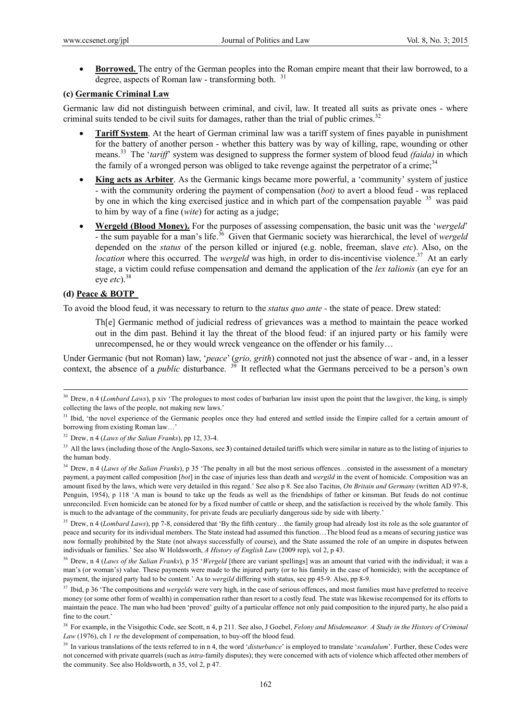**Borrowed.** The entry of the German peoples into the Roman empire meant that their law borrowed, to a degree, aspects of Roman law - transforming both.  $31$ 

### **(c) Germanic Criminal Law**

Germanic law did not distinguish between criminal, and civil, law. It treated all suits as private ones - where criminal suits tended to be civil suits for damages, rather than the trial of public crimes. $32$ 

- **Tariff System**. At the heart of German criminal law was a tariff system of fines payable in punishment for the battery of another person - whether this battery was by way of killing, rape, wounding or other means.33 The '*tariff*' system was designed to suppress the former system of blood feud *(faida)* in which the family of a wronged person was obliged to take revenge against the perpetrator of a crime;<sup>34</sup>
- **King acts as Arbiter**. As the Germanic kings became more powerful, a 'community' system of justice - with the community ordering the payment of compensation (*bot)* to avert a blood feud - was replaced by one in which the king exercised justice and in which part of the compensation payable <sup>35</sup> was paid to him by way of a fine (*wite*) for acting as a judge;
- **Wergeld (Blood Money).** For the purposes of assessing compensation, the basic unit was the '*wergeld*' - the sum payable for a man's life.<sup>36</sup> Given that Germanic society was hierarchical, the level of *wergeld* depended on the *status* of the person killed or injured (e.g. noble, freeman, slave *etc*). Also, on the *location* where this occurred. The *wergeld* was high, in order to dis-incentivise violence.<sup>37</sup> At an early stage, a victim could refuse compensation and demand the application of the *lex talionis* (an eye for an eye *etc*).38

# **(d) Peace & BOTP**

To avoid the blood feud, it was necessary to return to the *status quo ante -* the state of peace. Drew stated:

Th[e] Germanic method of judicial redress of grievances was a method to maintain the peace worked out in the dim past. Behind it lay the threat of the blood feud: if an injured party or his family were unrecompensed, he or they would wreck vengeance on the offender or his family…

Under Germanic (but not Roman) law, '*peace*' (*grio, grith*) connoted not just the absence of war - and, in a lesser context, the absence of a *public* disturbance. 39 It reflected what the Germans perceived to be a person's own

<sup>&</sup>lt;sup>30</sup> Drew, n 4 (*Lombard Laws*), p xiv 'The prologues to most codes of barbarian law insist upon the point that the lawgiver, the king, is simply collecting the laws of the people, not making new laws.'

<sup>&</sup>lt;sup>31</sup> Ibid, 'the novel experience of the Germanic peoples once they had entered and settled inside the Empire called for a certain amount of borrowing from existing Roman law…'

<sup>32</sup> Drew, n 4 (*Laws of the Salian Franks*), pp 12, 33-4.

<sup>&</sup>lt;sup>33</sup> All the laws (including those of the Anglo-Saxons, see 3) contained detailed tariffs which were similar in nature as to the listing of injuries to the human body.

<sup>&</sup>lt;sup>34</sup> Drew, n 4 (*Laws of the Salian Franks*), p 35 'The penalty in all but the most serious offences...consisted in the assessment of a monetary payment, a payment called composition [*bot*] in the case of injuries less than death and *wergild* in the event of homicide. Composition was an amount fixed by the laws, which were very detailed in this regard.' See also p 8. See also Tacitus, *On Britain and Germany* (written AD 97-8, Penguin, 1954), p 118 'A man is bound to take up the feuds as well as the friendships of father or kinsman. But feuds do not continue unreconciled. Even homicide can be atoned for by a fixed number of cattle or sheep, and the satisfaction is received by the whole family. This is much to the advantage of the community, for private feuds are peculiarly dangerous side by side with liberty.'

<sup>&</sup>lt;sup>35</sup> Drew, n 4 (*Lombard Laws*), pp 7-8, considered that 'By the fifth century...the family group had already lost its role as the sole guarantor of peace and security for its individual members. The State instead had assumed this function…The blood feud as a means of securing justice was now formally prohibited by the State (not always successfully of course), and the State assumed the role of an umpire in disputes between individuals or families.' See also W Holdsworth, *A History of English Law* (2009 rep), vol 2, p 43.

<sup>&</sup>lt;sup>36</sup> Drew, n 4 (*Laws of the Salian Franks*), p 35 '*Wergeld* [there are variant spellings] was an amount that varied with the individual; it was a man's (or woman's) value. These payments were made to the injured party (or to his family in the case of homicide); with the acceptance of payment, the injured party had to be content.' As to *wergild* differing with status, see pp 45-9. Also, pp 8-9.

<sup>&</sup>lt;sup>37</sup> Ibid, p 36 'The compositions and *wergelds* were very high, in the case of serious offences, and most families must have preferred to receive money (or some other form of wealth) in compensation rather than resort to a costly feud. The state was likewise recompensed for its efforts to maintain the peace. The man who had been 'proved' guilty of a particular offence not only paid composition to the injured party, he also paid a fine to the court.

<sup>&</sup>lt;sup>38</sup> For example, in the Visigothic Code, see Scott, n 4, p 211. See also, J Goebel, *Felony and Misdemeanor. A Study in the History of Criminal Law* (1976), ch 1 *re* the development of compensation, to buy-off the blood feud.

<sup>39</sup> In various translations of the texts referred to in n 4, the word '*disturbance*' is employed to translate '*scandalum*'. Further, these Codes were not concerned with private quarrels (such as *intra*-family disputes); they were concerned with acts of violence which affected other members of the community. See also Holdsworth, n 35, vol 2, p 47.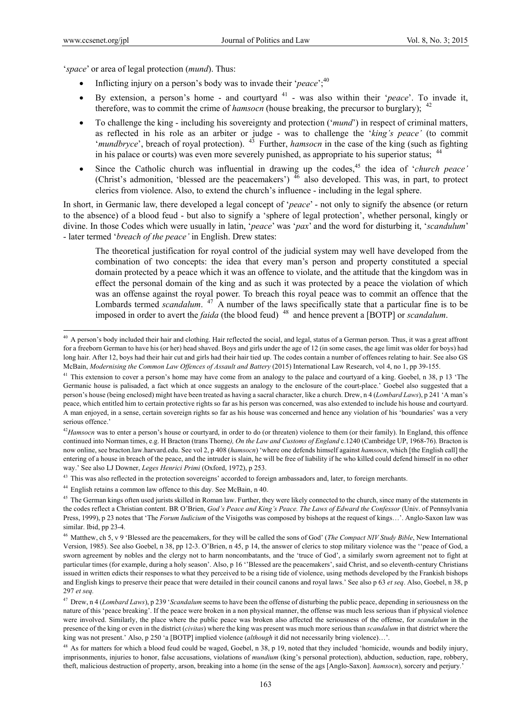$\overline{a}$ 

'*space*' or area of legal protection (*mund*). Thus:

- Inflicting injury on a person's body was to invade their '*peace*';<sup>40</sup>
- By extension, a person's home and courtyard <sup>41</sup> was also within their '*peace*'. To invade it, therefore, was to commit the crime of *hamsocn* (house breaking, the precursor to burglary); <sup>42</sup>
- To challenge the king including his sovereignty and protection ('*mund*') in respect of criminal matters, as reflected in his role as an arbiter or judge - was to challenge the '*king's peace'* (to commit '*mundbryce*', breach of royal protection). <sup>43</sup> Further, *hamsocn* in the case of the king (such as fighting in his palace or courts) was even more severely punished, as appropriate to his superior status; <sup>44</sup>
- Since the Catholic church was influential in drawing up the codes,<sup>45</sup> the idea of '*church peace'* (Christ's admonition, 'blessed are the peacemakers')  $46$  also developed. This was, in part, to protect clerics from violence. Also, to extend the church's influence - including in the legal sphere.

In short, in Germanic law, there developed a legal concept of '*peace*' - not only to signify the absence (or return to the absence) of a blood feud - but also to signify a 'sphere of legal protection', whether personal, kingly or divine. In those Codes which were usually in latin, '*peace*' was '*pax*' and the word for disturbing it, '*scandulum*' - later termed '*breach of the peace'* in English. Drew states:

The theoretical justification for royal control of the judicial system may well have developed from the combination of two concepts: the idea that every man's person and property constituted a special domain protected by a peace which it was an offence to violate, and the attitude that the kingdom was in effect the personal domain of the king and as such it was protected by a peace the violation of which was an offense against the royal power. To breach this royal peace was to commit an offence that the Lombards termed *scandalum*. <sup>47</sup> A number of the laws specifically state that a particular fine is to be imposed in order to avert the *faida* (the blood feud) <sup>48</sup> and hence prevent a [BOTP] or *scandalum*.

<sup>43</sup> This was also reflected in the protection sovereigns' accorded to foreign ambassadors and, later, to foreign merchants.

44 English retains a common law offence to this day. See McBain, n 40.

<sup>&</sup>lt;sup>40</sup> A person's body included their hair and clothing. Hair reflected the social, and legal, status of a German person. Thus, it was a great affront for a freeborn German to have his (or her) head shaved. Boys and girls under the age of 12 (in some cases, the age limit was older for boys) had long hair. After 12, boys had their hair cut and girls had their hair tied up. The codes contain a number of offences relating to hair. See also GS McBain, *Modernising the Common Law Offences of Assault and Battery* (2015) International Law Research, vol 4, no 1, pp 39-155.

<sup>&</sup>lt;sup>41</sup> This extension to cover a person's home may have come from an analogy to the palace and courtyard of a king. Goebel, n 38, p 13 'The Germanic house is palisaded, a fact which at once suggests an analogy to the enclosure of the court-place.' Goebel also suggested that a person's house (being enclosed) might have been treated as having a sacral character, like a church. Drew, n 4 (*Lombard Laws*), p 241 'A man's peace, which entitled him to certain protective rights so far as his person was concerned, was also extended to include his house and courtyard. A man enjoyed, in a sense, certain sovereign rights so far as his house was concerned and hence any violation of his 'boundaries' was a very serious offence.'

<sup>&</sup>lt;sup>42</sup>Hamsocn was to enter a person's house or courtyard, in order to do (or threaten) violence to them (or their family). In England, this offence continued into Norman times, e.g. H Bracton (trans Thorne*), On the Law and Customs of England* c.1240 (Cambridge UP, 1968-76). Bracton is now online, see bracton.law.harvard.edu. See vol 2, p 408 (*hamsocn*) 'where one defends himself against *hamsocn*, which [the English call] the entering of a house in breach of the peace, and the intruder is slain, he will be free of liability if he who killed could defend himself in no other way.' See also LJ Downer, *Leges Henrici Primi* (Oxford, 1972), p 253.

<sup>&</sup>lt;sup>45</sup> The German kings often used jurists skilled in Roman law. Further, they were likely connected to the church, since many of the statements in the codes reflect a Christian content. BR O'Brien, *God's Peace and King's Peace. The Laws of Edward the Confessor* (Univ. of Pennsylvania Press, 1999), p 23 notes that 'The *Forum Iudicium* of the Visigoths was composed by bishops at the request of kings…'. Anglo-Saxon law was similar. Ibid, pp 23-4.

<sup>46</sup> Matthew, ch 5, v 9 'Blessed are the peacemakers, for they will be called the sons of God' (*The Compact NIV Study Bible*, New International Version, 1985). See also Goebel, n 38, pp 12-3. O'Brien, n 45, p 14, the answer of clerics to stop military violence was the ''peace of God, a sworn agreement by nobles and the clergy not to harm noncombatants, and the 'truce of God', a similarly sworn agreement not to fight at particular times (for example, during a holy season'. Also, p 16 ''Blessed are the peacemakers', said Christ, and so eleventh-century Christians issued in written edicts their responses to what they perceived to be a rising tide of violence, using methods developed by the Frankish bishops and English kings to preserve their peace that were detailed in their council canons and royal laws.' See also p 63 *et seq*. Also, Goebel, n 38, p 297 *et seq.* 

<sup>47</sup> Drew, n 4 (*Lombard Laws*), p 239 '*Scandalum* seems to have been the offense of disturbing the public peace, depending in seriousness on the nature of this 'peace breaking'. If the peace were broken in a non physical manner, the offense was much less serious than if physical violence were involved. Similarly, the place where the public peace was broken also affected the seriousness of the offense, for *scandalum* in the presence of the king or even in the district (*civitas*) where the king was present was much more serious than *scandalum* in that district where the king was not present.' Also, p 250 'a [BOTP] implied violence (*although* it did not necessarily bring violence)…'.

<sup>&</sup>lt;sup>48</sup> As for matters for which a blood feud could be waged, Goebel, n 38, p 19, noted that they included 'homicide, wounds and bodily injury, imprisonments, injuries to honor, false accusations, violations of *mundium* (king's personal protection), abduction, seduction, rape, robbery, theft, malicious destruction of property, arson, breaking into a home (in the sense of the ags [Anglo-Saxon]. *hamsocn*), sorcery and perjury.'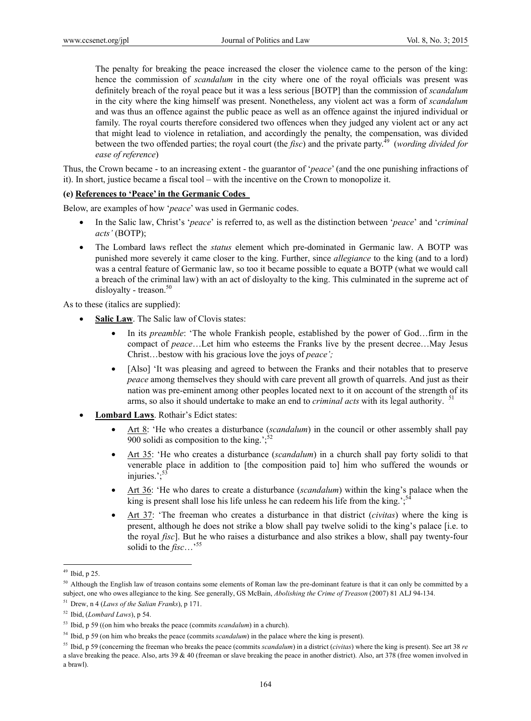The penalty for breaking the peace increased the closer the violence came to the person of the king: hence the commission of *scandalum* in the city where one of the royal officials was present was definitely breach of the royal peace but it was a less serious [BOTP] than the commission of *scandalum* in the city where the king himself was present. Nonetheless, any violent act was a form of *scandalum* and was thus an offence against the public peace as well as an offence against the injured individual or family. The royal courts therefore considered two offences when they judged any violent act or any act that might lead to violence in retaliation, and accordingly the penalty, the compensation, was divided between the two offended parties; the royal court (the *fisc*) and the private party.<sup>49</sup> (*wording divided for ease of reference*)

Thus, the Crown became - to an increasing extent - the guarantor of '*peace*' (and the one punishing infractions of it). In short, justice became a fiscal tool – with the incentive on the Crown to monopolize it.

### **(e) References to 'Peace' in the Germanic Codes**

Below, are examples of how '*peace*' was used in Germanic codes.

- In the Salic law, Christ's '*peace*' is referred to, as well as the distinction between '*peace*' and '*criminal acts'* (BOTP);
- The Lombard laws reflect the *status* element which pre-dominated in Germanic law. A BOTP was punished more severely it came closer to the king. Further, since *allegiance* to the king (and to a lord) was a central feature of Germanic law, so too it became possible to equate a BOTP (what we would call a breach of the criminal law) with an act of disloyalty to the king. This culminated in the supreme act of disloyalty - treason. $50$

As to these (italics are supplied):

- **Salic Law**. The Salic law of Clovis states:
	- In its *preamble*: 'The whole Frankish people, established by the power of God…firm in the compact of *peace*…Let him who esteems the Franks live by the present decree…May Jesus Christ…bestow with his gracious love the joys of *peace';*
	- [Also] 'It was pleasing and agreed to between the Franks and their notables that to preserve *peace* among themselves they should with care prevent all growth of quarrels. And just as their nation was pre-eminent among other peoples located next to it on account of the strength of its arms, so also it should undertake to make an end to *criminal acts* with its legal authority. <sup>51</sup>
- **Lombard Laws**. Rothair's Edict states:
	- Art 8: 'He who creates a disturbance (*scandalum*) in the council or other assembly shall pay 900 solidi as composition to the king.';
	- Art 35: 'He who creates a disturbance (*scandalum*) in a church shall pay forty solidi to that venerable place in addition to [the composition paid to] him who suffered the wounds or injuries.':<sup>53</sup>
	- Art 36: 'He who dares to create a disturbance (*scandalum*) within the king's palace when the king is present shall lose his life unless he can redeem his life from the king.';
	- Art 37: 'The freeman who creates a disturbance in that district (*civitas*) where the king is present, although he does not strike a blow shall pay twelve solidi to the king's palace [i.e. to the royal *fisc*]. But he who raises a disturbance and also strikes a blow, shall pay twenty-four solidi to the *fisc*…'55

 $49$  Ibid, p 25.

<sup>&</sup>lt;sup>50</sup> Although the English law of treason contains some elements of Roman law the pre-dominant feature is that it can only be committed by a subject, one who owes allegiance to the king. See generally, GS McBain, *Abolishing the Crime of Treason* (2007) 81 ALJ 94-134.

<sup>51</sup> Drew, n 4 (*Laws of the Salian Franks*), p 171.

<sup>52</sup> Ibid, (*Lombard Laws*), p 54.

<sup>53</sup> Ibid, p 59 ((on him who breaks the peace (commits *scandalum*) in a church).

<sup>54</sup> Ibid, p 59 (on him who breaks the peace (commits *scandalum*) in the palace where the king is present).

<sup>55</sup> Ibid, p 59 (concerning the freeman who breaks the peace (commits *scandalum*) in a district (*civitas*) where the king is present). See art 38 *re*

a slave breaking the peace. Also, arts 39 & 40 (freeman or slave breaking the peace in another district). Also, art 378 (free women involved in a brawl).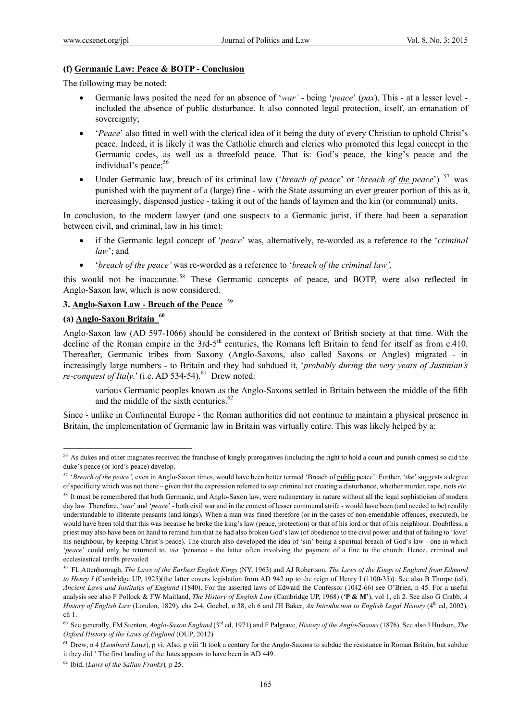#### **(f) Germanic Law: Peace & BOTP - Conclusion**

The following may be noted:

- Germanic laws posited the need for an absence of '*war'* being '*peace*' (*pax*). This at a lesser level included the absence of public disturbance. It also connoted legal protection, itself, an emanation of sovereignty;
- '*Peace*' also fitted in well with the clerical idea of it being the duty of every Christian to uphold Christ's peace. Indeed, it is likely it was the Catholic church and clerics who promoted this legal concept in the Germanic codes, as well as a threefold peace. That is: God's peace, the king's peace and the individual's peace;<sup>56</sup>
- Under Germanic law, breach of its criminal law ('*breach of peace*' or '*breach of the peace*') 57 was punished with the payment of a (large) fine - with the State assuming an ever greater portion of this as it, increasingly, dispensed justice - taking it out of the hands of laymen and the kin (or communal) units.

In conclusion, to the modern lawyer (and one suspects to a Germanic jurist, if there had been a separation between civil, and criminal, law in his time):

- if the Germanic legal concept of '*peace*' was, alternatively, re-worded as a reference to the '*criminal law*'; and
- '*breach of the peace'* was re-worded as a reference to '*breach of the criminal law',*

this would not be inaccurate. 58 These Germanic concepts of peace, and BOTP, were also reflected in Anglo-Saxon law, which is now considered.

### **3. Anglo-Saxon Law - Breach of the Peace** <sup>59</sup>

# **(a) Anglo-Saxon Britain 60**

 $\overline{a}$ 

Anglo-Saxon law (AD 597-1066) should be considered in the context of British society at that time. With the decline of the Roman empire in the 3rd-5<sup>th</sup> centuries, the Romans left Britain to fend for itself as from c.410. Thereafter, Germanic tribes from Saxony (Anglo-Saxons, also called Saxons or Angles) migrated - in increasingly large numbers - to Britain and they had subdued it, '*probably during the very years of Justinian's re-conquest of Italy*.' (i.e. AD 534-54).<sup>61</sup> Drew noted:

various Germanic peoples known as the Anglo-Saxons settled in Britain between the middle of the fifth and the middle of the sixth centuries.<sup>62</sup>

Since - unlike in Continental Europe - the Roman authorities did not continue to maintain a physical presence in Britain, the implementation of Germanic law in Britain was virtually entire. This was likely helped by a:

<sup>&</sup>lt;sup>56</sup> As dukes and other magnates received the franchise of kingly prerogatives (including the right to hold a court and punish crimes) so did the duke's peace (or lord's peace) develop.

<sup>57 &#</sup>x27;*Breach of the peace',* even in Anglo-Saxon times, would have been better termed 'Breach of public peace'. Further, '*the*' suggests a degree of specificity which was not there – given that the expression referred to *any* criminal act creating a disturbance, whether murder, rape, riots *etc*.

<sup>&</sup>lt;sup>58</sup> It must be remembered that both Germanic, and Anglo-Saxon law, were rudimentary in nature without all the legal sophisticism of modern day law. Therefore, '*war*' and '*peace*' - both civil war and in the context of lesser communal strife - would have been (and needed to be) readily understandable to illiterate peasants (and kings). When a man was fined therefore (or in the cases of non-emendable offences, executed), he would have been told that this was because he broke the king's law (peace, protection) or that of his lord or that of his neighbour. Doubtless, a priest may also have been on hand to remind him that he had also broken God's law (of obedience to the civil power and that of failing to 'love' his neighbour, by keeping Christ's peace). The church also developed the idea of 'sin' being a spiritual breach of God's law - one in which '*peace*' could only be returned to, *via '*penance - the latter often involving the payment of a fine to the church. Hence, criminal and ecclesiastical tariffs prevailed.

<sup>59</sup> FL Attenborough, *The Laws of the Earliest English Kings* (NY, 1963) and AJ Robertson, *The Laws of the Kings of England from Edmund to Henry I* (Cambridge UP, 1925)(the latter covers legislation from AD 942 up to the reign of Henry I (1100-35)). See also B Thorpe (ed), *Ancient Laws and Institutes of England* (1840). For the asserted laws of Edward the Confessor (1042-66) see O'Brien, n 45. For a useful analysis see also F Pollock & FW Maitland, *The History of English Law* (Cambridge UP, 1968) ('**P & M'**), vol 1, ch 2. See also G Crabb, *A History of English Law* (London, 1829), chs 2-4, Goebel, n 38, ch 6 and JH Baker, *An Introduction to English Legal History* (4<sup>th</sup> ed, 2002), ch 1.

<sup>60</sup> See generally, FM Stenton, *Anglo-Saxon England* (3rd ed, 1971) and F Palgrave, *History of the Anglo-Saxons* (1876). See also J Hudson, *The Oxford History of the Laws of England* (OUP, 2012).

<sup>&</sup>lt;sup>61</sup> Drew, n 4 (*Lombard Laws*), p vi. Also, p viii 'It took a century for the Anglo-Saxons to subdue the resistance in Roman Britain, but subdue it they did.' The first landing of the Jutes appears to have been in AD 449.

<sup>62</sup> Ibid, (*Laws of the Salian Franks*)*,* p 25.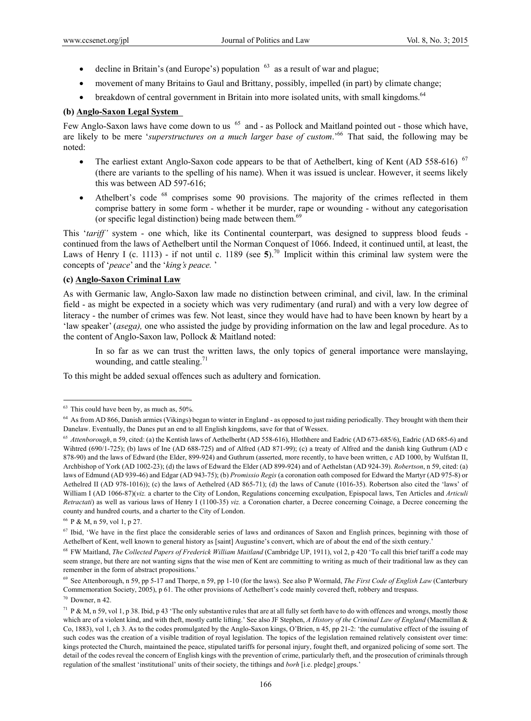- decline in Britain's (and Europe's) population  $63$  as a result of war and plague;
- movement of many Britains to Gaul and Brittany, possibly, impelled (in part) by climate change;
- breakdown of central government in Britain into more isolated units, with small kingdoms.<sup>64</sup>

### **(b) Anglo-Saxon Legal System**

Few Anglo-Saxon laws have come down to us <sup>65</sup> and - as Pollock and Maitland pointed out - those which have, are likely to be mere '*superstructures on a much larger base of custom*.'66 That said, the following may be noted:

- The earliest extant Anglo-Saxon code appears to be that of Aethelbert, king of Kent (AD 558-616)  $67$ (there are variants to the spelling of his name). When it was issued is unclear. However, it seems likely this was between AD 597-616;
- Athelbert's code <sup>68</sup> comprises some 90 provisions. The majority of the crimes reflected in them comprise battery in some form - whether it be murder, rape or wounding - without any categorisation (or specific legal distinction) being made between them. $69$

This '*tariff'* system - one which, like its Continental counterpart, was designed to suppress blood feuds continued from the laws of Aethelbert until the Norman Conquest of 1066. Indeed, it continued until, at least, the Laws of Henry I (c. 1113) - if not until c. 1189 (see 5).<sup>70</sup> Implicit within this criminal law system were the concepts of '*peace*' and the '*king's peace.* '

# **(c) Anglo-Saxon Criminal Law**

As with Germanic law, Anglo-Saxon law made no distinction between criminal, and civil, law. In the criminal field - as might be expected in a society which was very rudimentary (and rural) and with a very low degree of literacy - the number of crimes was few. Not least, since they would have had to have been known by heart by a 'law speaker' (*asega),* one who assisted the judge by providing information on the law and legal procedure. As to the content of Anglo-Saxon law, Pollock & Maitland noted:

In so far as we can trust the written laws, the only topics of general importance were manslaying, wounding, and cattle stealing. $71$ 

To this might be added sexual offences such as adultery and fornication.

66 P & M, n 59, vol 1, p 27.

 $\overline{a}$ 

 $70$  Downer, n 42.

 $63$  This could have been by, as much as, 50%.

<sup>&</sup>lt;sup>64</sup> As from AD 866, Danish armies (Vikings) began to winter in England - as opposed to just raiding periodically. They brought with them their Danelaw. Eventually, the Danes put an end to all English kingdoms, save for that of Wessex.

<sup>&</sup>lt;sup>65</sup> *Attenborough*, n 59, cited: (a) the Kentish laws of Aethelberht (AD 558-616), Hlothhere and Eadric (AD 673-685/6), Eadric (AD 685-6) and Wihtred (690/1-725); (b) laws of Ine (AD 688-725) and of Alfred (AD 871-99); (c) a treaty of Alfred and the danish king Guthrum (AD c 878-90) and the laws of Edward (the Elder, 899-924) and Guthrum (asserted, more recently, to have been written, c AD 1000, by Wulfstan II, Archbishop of York (AD 1002-23); (d) the laws of Edward the Elder (AD 899-924) and of Aethelstan (AD 924-39). *Robertson*, n 59, cited: (a) laws of Edmund (AD 939-46) and Edgar (AD 943-75); (b) *Promissio Regis* (a coronation oath composed for Edward the Martyr (AD 975-8) or Aethelred II (AD 978-1016)); (c) the laws of Aethelred (AD 865-71); (d) the laws of Canute (1016-35). Robertson also cited the 'laws' of William I (AD 1066-87)(*viz.* a charter to the City of London, Regulations concerning exculpation, Epispocal laws, Ten Articles and *Articuli Retractati*) as well as various laws of Henry I (1100-35) *viz.* a Coronation charter, a Decree concerning Coinage, a Decree concerning the county and hundred courts, and a charter to the City of London.

<sup>&</sup>lt;sup>67</sup> Ibid, 'We have in the first place the considerable series of laws and ordinances of Saxon and English princes, beginning with those of Aethelbert of Kent, well known to general history as [saint] Augustine's convert, which are of about the end of the sixth century.'

<sup>68</sup> FW Maitland, *The Collected Papers of Frederick William Maitland* (Cambridge UP, 1911), vol 2, p 420 'To call this brief tariff a code may seem strange, but there are not wanting signs that the wise men of Kent are committing to writing as much of their traditional law as they can remember in the form of abstract propositions.'

<sup>69</sup> See Attenborough, n 59, pp 5-17 and Thorpe, n 59, pp 1-10 (for the laws). See also P Wormald, *The First Code of English Law* (Canterbury Commemoration Society, 2005), p 61. The other provisions of Aethelbert's code mainly covered theft, robbery and trespass.

<sup>&</sup>lt;sup>71</sup> P & M, n 59, vol 1, p 38. Ibid, p 43 'The only substantive rules that are at all fully set forth have to do with offences and wrongs, mostly those which are of a violent kind, and with theft, mostly cattle lifting.' See also JF Stephen, *A History of the Criminal Law of England* (Macmillan & Co, 1883), vol 1, ch 3. As to the codes promulgated by the Anglo-Saxon kings, O'Brien, n 45, pp 21-2: 'the cumulative effect of the issuing of such codes was the creation of a visible tradition of royal legislation. The topics of the legislation remained relatively consistent over time: kings protected the Church, maintained the peace, stipulated tariffs for personal injury, fought theft, and organized policing of some sort. The detail of the codes reveal the concern of English kings with the prevention of crime, particularly theft, and the prosecution of criminals through regulation of the smallest 'institutional' units of their society, the tithings and *borh* [i.e. pledge] *g*roups.'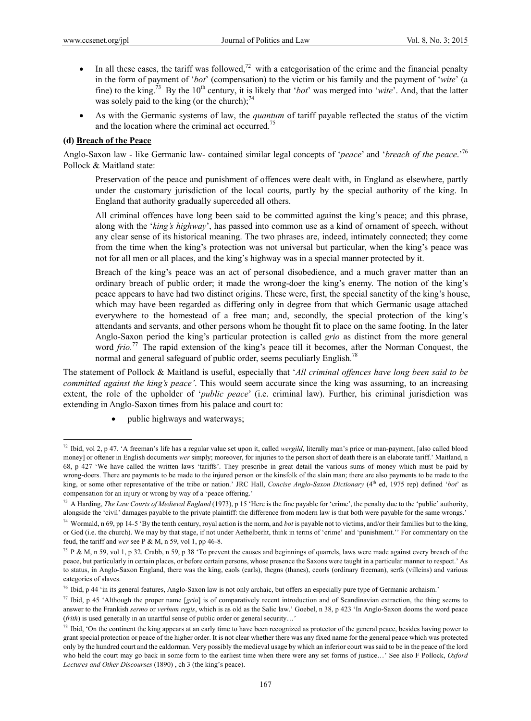- In all these cases, the tariff was followed,<sup>72</sup> with a categorisation of the crime and the financial penalty in the form of payment of '*bot*' (compensation) to the victim or his family and the payment of '*wite*' (a fine) to the king.73 By the 10th century, it is likely that '*bot*' was merged into '*wite*'. And, that the latter was solely paid to the king (or the church); $^{74}$
- As with the Germanic systems of law, the *quantum* of tariff payable reflected the status of the victim and the location where the criminal act occurred.<sup>75</sup>

### **(d) Breach of the Peace**

 $\overline{a}$ 

Anglo-Saxon law - like Germanic law- contained similar legal concepts of '*peace*' and '*breach of the peace*.'76 Pollock & Maitland state:

Preservation of the peace and punishment of offences were dealt with, in England as elsewhere, partly under the customary jurisdiction of the local courts, partly by the special authority of the king. In England that authority gradually superceded all others.

All criminal offences have long been said to be committed against the king's peace; and this phrase, along with the '*king's highway*', has passed into common use as a kind of ornament of speech, without any clear sense of its historical meaning. The two phrases are, indeed, intimately connected; they come from the time when the king's protection was not universal but particular, when the king's peace was not for all men or all places, and the king's highway was in a special manner protected by it.

Breach of the king's peace was an act of personal disobedience, and a much graver matter than an ordinary breach of public order; it made the wrong-doer the king's enemy. The notion of the king's peace appears to have had two distinct origins. These were, first, the special sanctity of the king's house, which may have been regarded as differing only in degree from that which Germanic usage attached everywhere to the homestead of a free man; and, secondly, the special protection of the king's attendants and servants, and other persons whom he thought fit to place on the same footing. In the later Anglo-Saxon period the king's particular protection is called *grio* as distinct from the more general word *frio.*<sup>77</sup> The rapid extension of the king's peace till it becomes, after the Norman Conquest, the normal and general safeguard of public order, seems peculiarly English.<sup>78</sup>

The statement of Pollock & Maitland is useful, especially that '*All criminal offences have long been said to be committed against the king's peace'*. This would seem accurate since the king was assuming, to an increasing extent, the role of the upholder of '*public peace*' (i.e. criminal law). Further, his criminal jurisdiction was extending in Anglo-Saxon times from his palace and court to:

public highways and waterways;

<sup>72</sup> Ibid, vol 2, p 47. 'A freeman's life has a regular value set upon it, called *wergild*, literally man's price or man-payment, [also called blood money] or oftener in English documents *wer* simply; moreover, for injuries to the person short of death there is an elaborate tariff.' Maitland, n 68, p 427 'We have called the written laws 'tariffs'. They prescribe in great detail the various sums of money which must be paid by wrong-doers. There are payments to be made to the injured person or the kinsfolk of the slain man; there are also payments to be made to the king, or some other representative of the tribe or nation.' JRC Hall, *Concise Anglo-Saxon Dictionary* (4<sup>th</sup> ed, 1975 rep) defined '*bot*' as compensation for an injury or wrong by way of a 'peace offering.'

<sup>73</sup> A Harding, *The Law Courts of Medieval England* (1973), p 15 'Here is the fine payable for 'crime', the penalty due to the 'public' authority, alongside the 'civil' damages payable to the private plaintiff: the difference from modern law is that both were payable for the same wrongs.'

<sup>74</sup> Wormald, n 69, pp 14-5 'By the tenth century, royal action is the norm, and *bot* is payable not to victims, and/or their families but to the king, or God (i.e. the church). We may by that stage, if not under Aethelberht, think in terms of 'crime' and 'punishment.'' For commentary on the feud, the tariff and *wer* see P & M, n 59, vol 1, pp 46-8.

<sup>&</sup>lt;sup>75</sup> P & M, n 59, vol 1, p 32. Crabb, n 59, p 38 'To prevent the causes and beginnings of quarrels, laws were made against every breach of the peace, but particularly in certain places, or before certain persons, whose presence the Saxons were taught in a particular manner to respect.' As to status, in Anglo-Saxon England, there was the king, eaols (earls), thegns (thanes), ceorls (ordinary freeman), serfs (villeins) and various categories of slaves.

<sup>76</sup> Ibid, p 44 'in its general features, Anglo-Saxon law is not only archaic, but offers an especially pure type of Germanic archaism.'

<sup>77</sup> Ibid, p 45 'Although the proper name [*grio*] is of comparatively recent introduction and of Scandinavian extraction, the thing seems to answer to the Frankish *sermo* or *verbum regis*, which is as old as the Salic law.' Goebel, n 38, p 423 'In Anglo-Saxon dooms the word peace (*frith*) is used generally in an unartful sense of public order or general security…'

<sup>&</sup>lt;sup>78</sup> Ibid, 'On the continent the king appears at an early time to have been recognized as protector of the general peace, besides having power to grant special protection or peace of the higher order. It is not clear whether there was any fixed name for the general peace which was protected only by the hundred court and the ealdorman. Very possibly the medieval usage by which an inferior court was said to be in the peace of the lord who held the court may go back in some form to the earliest time when there were any set forms of justice…' See also F Pollock, *Oxford Lectures and Other Discourses* (1890) , ch 3 (the king's peace).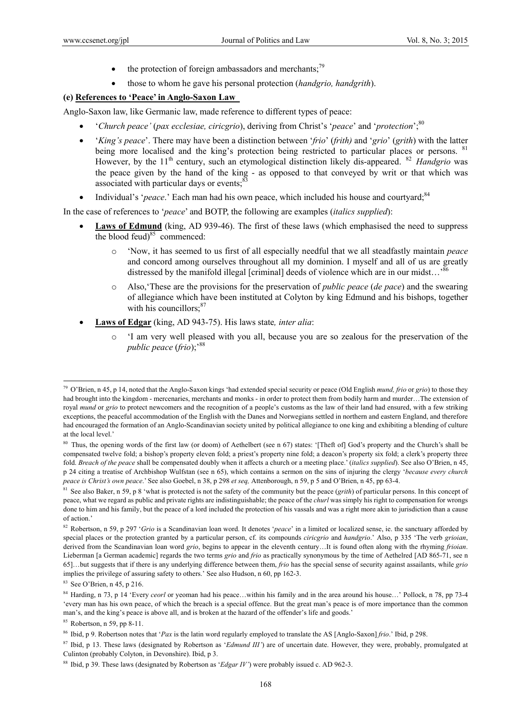- the protection of foreign ambassadors and merchants; $^{79}$
- those to whom he gave his personal protection (*handgrio, handgrith*).

### **(e) References to 'Peace' in Anglo-Saxon Law**

Anglo-Saxon law, like Germanic law, made reference to different types of peace:

- '*Church peace'* (*pax ecclesiae, ciricgrio*), deriving from Christ's '*peace*' and '*protection*';80
- '*King's peace*'. There may have been a distinction between '*frio*' (*frith)* and '*grio*' (*grith*) with the latter being more localised and the king's protection being restricted to particular places or persons. <sup>81</sup> However, by the 11<sup>th</sup> century, such an etymological distinction likely dis-appeared. <sup>82</sup> *Handgrio* was the peace given by the hand of the king - as opposed to that conveyed by writ or that which was associated with particular days or events;<sup>8</sup>
- Individual's '*peace*.' Each man had his own peace, which included his house and courtyard;<sup>84</sup>

In the case of references to '*peace*' and BOTP, the following are examples (*italics supplied*):

- Laws of Edmund (king, AD 939-46). The first of these laws (which emphasised the need to suppress the blood feud) $85$  commenced:
	- o 'Now, it has seemed to us first of all especially needful that we all steadfastly maintain *peace* and concord among ourselves throughout all my dominion. I myself and all of us are greatly distressed by the manifold illegal [criminal] deeds of violence which are in our midst...<sup>86</sup>
	- o Also,'These are the provisions for the preservation of *public peace* (*de pace*) and the swearing of allegiance which have been instituted at Colyton by king Edmund and his bishops, together with his councillors: $87$
- **Laws of Edgar** (king, AD 943-75). His laws state*, inter alia*:
	- 'I am very well pleased with you all, because you are so zealous for the preservation of the *public peace* (*frio*);'88

<sup>79</sup> O'Brien, n 45, p 14, noted that the Anglo-Saxon kings 'had extended special security or peace (Old English *mund, frio* or *grio*) to those they had brought into the kingdom - mercenaries, merchants and monks - in order to protect them from bodily harm and murder…The extension of royal *mund* or *grio* to protect newcomers and the recognition of a people's customs as the law of their land had ensured, with a few striking exceptions, the peaceful accommodation of the English with the Danes and Norwegians settled in northern and eastern England, and therefore had encouraged the formation of an Anglo-Scandinavian society united by political allegiance to one king and exhibiting a blending of culture at the local level.'

<sup>&</sup>lt;sup>80</sup> Thus, the opening words of the first law (or doom) of Aethelbert (see n 67) states: '[Theft of] God's property and the Church's shall be compensated twelve fold; a bishop's property eleven fold; a priest's property nine fold; a deacon's property six fold; a clerk's property three fold. *Breach of the peace* shall be compensated doubly when it affects a church or a meeting place.' (*italics supplied*). See also O'Brien, n 45, p 24 citing a treatise of Archbishop Wulfstan (see n 65), which contains a sermon on the sins of injuring the clergy '*because every church peace is Christ's own peace*.' See also Goebel, n 38, p 298 *et seq,* Attenborough, n 59, p 5 and O'Brien, n 45, pp 63-4.

<sup>&</sup>lt;sup>81</sup> See also Baker, n 59, p 8 'what is protected is not the safety of the community but the peace (*grith*) of particular persons. In this concept of peace, what we regard as public and private rights are indistinguishable; the peace of the *churl* was simply his right to compensation for wrongs done to him and his family, but the peace of a lord included the protection of his vassals and was a right more akin to jurisdiction than a cause of action.'

<sup>82</sup> Robertson, n 59, p 297 '*Grio* is a Scandinavian loan word. It denotes '*peace*' in a limited or localized sense, ie. the sanctuary afforded by special places or the protection granted by a particular person, cf. its compounds *ciricgrio* and *handgrio*.' Also, p 335 'The verb *grioian*, derived from the Scandinavian loan word *grio*, begins to appear in the eleventh century…It is found often along with the rhyming *frioian*. Lieberman [a German academic] regards the two terms *grio* and *frio* as practically synonymous by the time of Aethelred [AD 865-71, see n 65]…but suggests that if there is any underlying difference between them, *frio* has the special sense of security against assailants, while *grio* implies the privilege of assuring safety to others.' See also Hudson, n 60, pp 162-3.

<sup>83</sup> See O'Brien, n 45, p 216.

<sup>84</sup> Harding, n 73, p 14 'Every *ceorl* or yeoman had his peace…within his family and in the area around his house…' Pollock, n 78, pp 73-4 'every man has his own peace, of which the breach is a special offence. But the great man's peace is of more importance than the common man's, and the king's peace is above all, and is broken at the hazard of the offender's life and goods.'

 $85$  Robertson, n 59, pp 8-11.

<sup>86</sup> Ibid, p 9. Robertson notes that '*Pax* is the latin word regularly employed to translate the AS [Anglo-Saxon] *frio*.' Ibid, p 298.

<sup>&</sup>lt;sup>87</sup> Ibid, p 13. These laws (designated by Robertson as '*Edmund III'*) are of uncertain date. However, they were, probably, promulgated at Culinton (probably Colyton, in Devonshire). Ibid, p 3.

<sup>88</sup> Ibid, p 39. These laws (designated by Robertson as '*Edgar IV'*) were probably issued c. AD 962-3.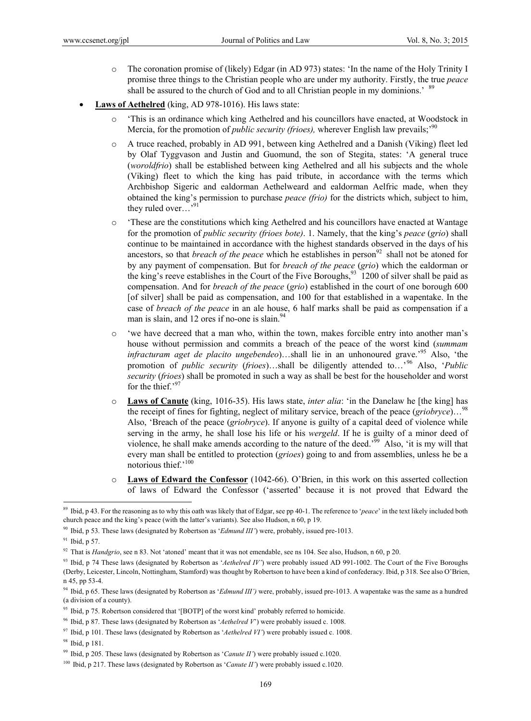- o The coronation promise of (likely) Edgar (in AD 973) states: 'In the name of the Holy Trinity I promise three things to the Christian people who are under my authority. Firstly, the true *peace*  shall be assured to the church of God and to all Christian people in my dominions.<sup>'89</sup>
- **Laws of Aethelred** (king, AD 978-1016). His laws state:
	- o 'This is an ordinance which king Aethelred and his councillors have enacted, at Woodstock in Mercia, for the promotion of *public security (frioes)*, wherever English law prevails;<sup>90</sup>
	- o A truce reached, probably in AD 991, between king Aethelred and a Danish (Viking) fleet led by Olaf Tyggvason and Justin and Guomund, the son of Stegita, states: 'A general truce (*woroldfrio*) shall be established between king Aethelred and all his subjects and the whole (Viking) fleet to which the king has paid tribute, in accordance with the terms which Archbishop Sigeric and ealdorman Aethelweard and ealdorman Aelfric made, when they obtained the king's permission to purchase *peace (frio)* for the districts which, subject to him, they ruled over...'<sup>9</sup>
	- o 'These are the constitutions which king Aethelred and his councillors have enacted at Wantage for the promotion of *public security (frioes bote)*. 1. Namely, that the king's *peace* (*grio*) shall continue to be maintained in accordance with the highest standards observed in the days of his ancestors, so that *breach of the peace* which he establishes in person<sup>92</sup> shall not be atoned for by any payment of compensation. But for *breach of the peace* (*grio*) which the ealdorman or the king's reeve establishes in the Court of the Five Boroughs,  $^{93}$  1200 of silver shall be paid as compensation. And for *breach of the peace* (*grio*) established in the court of one borough 600 [of silver] shall be paid as compensation, and 100 for that established in a wapentake. In the case of *breach of the peace* in an ale house, 6 half marks shall be paid as compensation if a man is slain, and 12 ores if no-one is slain. $94$
	- o 'we have decreed that a man who, within the town, makes forcible entry into another man's house without permission and commits a breach of the peace of the worst kind (*summam infracturam aget de placito ungebendeo*)…shall lie in an unhonoured grave.<sup>95</sup> Also, 'the promotion of *public security* (*frioes*)…shall be diligently attended to…'96 Also, '*Public security* (*frioes*) shall be promoted in such a way as shall be best for the householder and worst for the thief. $5<sup>9</sup>$
	- o **Laws of Canute** (king, 1016-35). His laws state, *inter alia*: 'in the Danelaw he [the king] has the receipt of fines for fighting, neglect of military service, breach of the peace (*griobryce*)…<sup>98</sup> Also, 'Breach of the peace (*griobryce*). If anyone is guilty of a capital deed of violence while serving in the army, he shall lose his life or his *wergeld*. If he is guilty of a minor deed of violence, he shall make amends according to the nature of the deed.'99 Also, 'it is my will that every man shall be entitled to protection (*grioes*) going to and from assemblies, unless he be a notorious thief.'100
	- o **Laws of Edward the Confessor** (1042-66). O'Brien, in this work on this asserted collection of laws of Edward the Confessor ('asserted' because it is not proved that Edward the

<sup>89</sup> Ibid, p 43. For the reasoning as to why this oath was likely that of Edgar, see pp 40-1. The reference to '*peace*' in the text likely included both church peace and the king's peace (with the latter's variants). See also Hudson, n 60, p 19.

<sup>90</sup> Ibid, p 53. These laws (designated by Robertson as '*Edmund III'*) were, probably, issued pre-1013.

 $91$  Ibid, p 57.

<sup>92</sup> That is *Handgrio*, see n 83. Not 'atoned' meant that it was not emendable, see ns 104. See also, Hudson, n 60, p 20.

<sup>&</sup>lt;sup>93</sup> Ibid, p 74 These laws (designated by Robertson as '*Aethelred IV*') were probably issued AD 991-1002. The Court of the Five Boroughs (Derby, Leicester, Lincoln, Nottingham, Stamford) was thought by Robertson to have been a kind of confederacy. Ibid, p 318. See also O'Brien, n 45, pp 53-4.

<sup>94</sup> Ibid, p 65. These laws (designated by Robertson as '*Edmund III')* were, probably, issued pre-1013. A wapentake was the same as a hundred (a division of a county).

<sup>&</sup>lt;sup>95</sup> Ibid, p 75. Robertson considered that '[BOTP] of the worst kind' probably referred to homicide.

<sup>96</sup> Ibid, p 87. These laws (designated by Robertson as '*Aethelred V*') were probably issued c. 1008.

<sup>97</sup> Ibid, p 101. These laws (designated by Robertson as '*Aethelred VI'*) were probably issued c. 1008.

<sup>98</sup> Ibid, p 181.

<sup>99</sup> Ibid, p 205. These laws (designated by Robertson as '*Canute II'*) were probably issued c.1020.

<sup>&</sup>lt;sup>100</sup> Ibid, p 217. These laws (designated by Robertson as '*Canute II'*) were probably issued c.1020.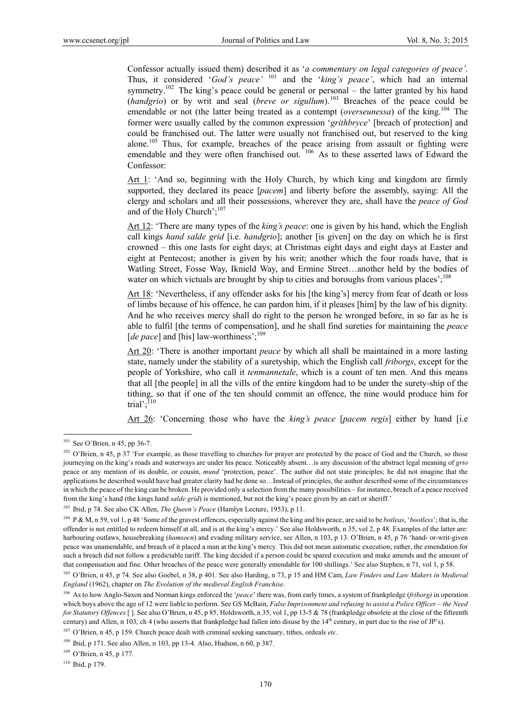Confessor actually issued them) described it as '*a commentary on legal categories of peace'*. Thus, it considered '*God's peace'* 101 and the '*king's peace'*, which had an internal symmetry.<sup>102</sup> The king's peace could be general or personal – the latter granted by his hand (*handgrio*) or by writ and seal (*breve or sigullum*).<sup>103</sup> Breaches of the peace could be emendable or not (the latter being treated as a contempt (*overseunessa*) of the king.<sup>104</sup> The former were usually called by the common expression '*grithbryce*' [breach of protection] and could be franchised out. The latter were usually not franchised out, but reserved to the king alone.<sup>105</sup> Thus, for example, breaches of the peace arising from assault or fighting were emendable and they were often franchised out. <sup>106</sup> As to these asserted laws of Edward the Confessor:

Art 1: 'And so, beginning with the Holy Church, by which king and kingdom are firmly supported, they declared its peace [*pacem*] and liberty before the assembly, saying: All the clergy and scholars and all their possessions, wherever they are, shall have the *peace of God* and of the Holy Church':<sup>107</sup>

Art 12: 'There are many types of the *king's peace*: one is given by his hand, which the English call kings *hand salde grid* [i.e. *handgrio*]; another [is given] on the day on which he is first crowned – this one lasts for eight days; at Christmas eight days and eight days at Easter and eight at Pentecost; another is given by his writ; another which the four roads have, that is Watling Street, Fosse Way, Iknield Way, and Ermine Street…another held by the bodies of water on which victuals are brought by ship to cities and boroughs from various places';<sup>108</sup>

Art 18: 'Nevertheless, if any offender asks for his [the king's] mercy from fear of death or loss of limbs because of his offence, he can pardon him, if it pleases [him] by the law of his dignity. And he who receives mercy shall do right to the person he wronged before, in so far as he is able to fulfil [the terms of compensation], and he shall find sureties for maintaining the *peace*  [ $de pace$ ] and [his] law-worthiness';<sup>109</sup>

Art 20: 'There is another important *peace* by which all shall be maintained in a more lasting state, namely under the stability of a suretyship, which the English call *friborgs*, except for the people of Yorkshire, who call it *tenmannetale*, which is a count of ten men. And this means that all [the people] in all the vills of the entire kingdom had to be under the surety-ship of the tithing, so that if one of the ten should commit an offence, the nine would produce him for trial'; $^{110}$ 

Art 26: 'Concerning those who have the *king's peace* [*pacem regis*] either by hand [i.e

 $101$  See O'Brien, n 45, pp 36-7.

<sup>&</sup>lt;sup>102</sup> O'Brien, n 45, p 37 'For example, as those travelling to churches for prayer are protected by the peace of God and the Church, so those journeying on the king's roads and waterways are under his peace. Noticeably absent…is any discussion of the abstract legal meaning of *grio* peace or any mention of its double, or cousin, *mund* 'protection, peace'. The author did not state principles; he did not imagine that the applications he described would have had greater clarity had he done so…Instead of principles, the author described some of the circumstances in which the peace of the king can be broken. He provided only a selection from the many possibilities – for instance, breach of a peace received from the king's hand (the kings hand *salde grid*) is mentioned, but not the king's peace given by an earl or sheriff.'

<sup>103</sup> Ibid, p 74. See also CK Allen, *The Queen's Peace* (Hamlyn Lecture, 1953), p 11.

<sup>104</sup> P & M, n 59, vol 1, p 48 'Some of the gravest offences, especially against the king and his peace, are said to be *botleas*, '*bootless*'; that is, the offender is not entitled to redeem himself at all, and is at the king's mercy.' See also Holdsworth, n 35, vol 2, p 48. Examples of the latter are: harbouring outlaws, housebreaking (*hamsocn*) and evading military service, see Allen, n 103, p 13. O'Brien, n 45, p 76 'hand- or-writ-given peace was unamendable, and breach of it placed a man at the king's mercy. This did not mean automatic execution; rather, the emendation for such a breach did not follow a predictable tariff. The king decided if a person could be spared execution and make amends and the amount of that compensation and fine. Other breaches of the peace were generally emendable for 100 shillings.' See also Stephen, n 71, vol 1, p 58.

<sup>105</sup> O'Brien, n 45, p 74. See also Goebel, n 38, p 401. See also Harding, n 73, p 15 and HM Cam, *Law Finders and Law Makers in Medieval England* (1962), chapter on *The Evolution of the medieval English Franchise*.

<sup>106</sup> As to how Anglo-Saxon and Norman kings enforced the '*peace*' there was, from early times, a system of frankpledge (*friborg)* in operation which boys above the age of 12 were liable to perform. See GS McBain, *False Imprisonment and refusing to assist a Police Officer – the Need for Statutory Offences* [ ]. See also O'Brien, n 45, p 85, Holdsworth, n 35, vol 1, pp 13-5 & 78 (frankpledge obsolete at the close of the fifteenth century) and Allen, n 103, ch 4 (who asserts that frankpledge had fallen into disuse by the  $14<sup>th</sup>$  century, in part due to the rise of JP's).

<sup>107</sup> O'Brien, n 45, p 159. Church peace dealt with criminal seeking sanctuary, tithes, ordeals *etc*.

<sup>108</sup> Ibid, p 171. See also Allen, n 103, pp 13-4. Also, Hudson, n 60, p 387.

<sup>&</sup>lt;sup>109</sup> O'Brien, n 45, p 177.

 $110$  Ibid, p 179.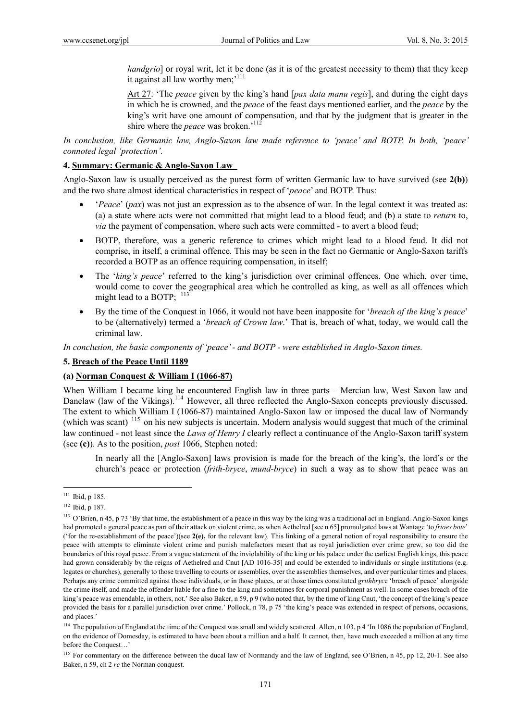*handgrio*] or royal writ, let it be done (as it is of the greatest necessity to them) that they keep it against all law worthy men;<sup>111</sup>

Art 27: 'The *peace* given by the king's hand [*pax data manu regis*], and during the eight days in which he is crowned, and the *peace* of the feast days mentioned earlier, and the *peace* by the king's writ have one amount of compensation, and that by the judgment that is greater in the shire where the *peace* was broken.<sup>'112</sup>

*In conclusion, like Germanic law, Anglo-Saxon law made reference to 'peace' and BOTP. In both, 'peace' connoted legal 'protection'.* 

#### **4. Summary: Germanic & Anglo-Saxon Law**

Anglo-Saxon law is usually perceived as the purest form of written Germanic law to have survived (see **2(b)**) and the two share almost identical characteristics in respect of '*peace*' and BOTP. Thus:

- '*Peace*' (*pax*) was not just an expression as to the absence of war. In the legal context it was treated as: (a) a state where acts were not committed that might lead to a blood feud; and (b) a state to *return* to, *via* the payment of compensation, where such acts were committed - to avert a blood feud;
- BOTP, therefore, was a generic reference to crimes which might lead to a blood feud. It did not comprise, in itself, a criminal offence. This may be seen in the fact no Germanic or Anglo-Saxon tariffs recorded a BOTP as an offence requiring compensation, in itself;
- The '*king's peace*' referred to the king's jurisdiction over criminal offences. One which, over time, would come to cover the geographical area which he controlled as king, as well as all offences which might lead to a BOTP;  $^{113}$
- By the time of the Conquest in 1066, it would not have been inapposite for '*breach of the king's peace*' to be (alternatively) termed a '*breach of Crown law*.' That is, breach of what, today, we would call the criminal law.

*In conclusion, the basic components of 'peace' - and BOTP - were established in Anglo-Saxon times.* 

#### **5. Breach of the Peace Until 1189**

#### **(a) Norman Conquest & William I (1066-87)**

When William I became king he encountered English law in three parts - Mercian law, West Saxon law and Danelaw (law of the Vikings).<sup>114</sup> However, all three reflected the Anglo-Saxon concepts previously discussed. The extent to which William I (1066-87) maintained Anglo-Saxon law or imposed the ducal law of Normandy (which was scant) 115 on his new subjects is uncertain. Modern analysis would suggest that much of the criminal law continued - not least since the *Laws of Henry I* clearly reflect a continuance of the Anglo-Saxon tariff system (see **(c)**). As to the position, *post* 1066, Stephen noted:

In nearly all the [Anglo-Saxon] laws provision is made for the breach of the king's, the lord's or the church's peace or protection (*frith-bryce*, *mund-bryce*) in such a way as to show that peace was an

<sup>&</sup>lt;sup>111</sup> Ibid, p 185.

<sup>112</sup> Ibid, p 187.

<sup>&</sup>lt;sup>113</sup> O'Brien, n 45, p 73 'By that time, the establishment of a peace in this way by the king was a traditional act in England. Anglo-Saxon kings had promoted a general peace as part of their attack on violent crime, as when Aethelred [see n 65] promulgated laws at Wantage 'to *frioes bote*' ('for the re-establishment of the peace')(see **2(e),** for the relevant law). This linking of a general notion of royal responsibility to ensure the peace with attempts to eliminate violent crime and punish malefactors meant that as royal jurisdiction over crime grew, so too did the boundaries of this royal peace. From a vague statement of the inviolability of the king or his palace under the earliest English kings, this peace had grown considerably by the reigns of Aethelred and Cnut [AD 1016-35] and could be extended to individuals or single institutions (e.g. legates or churches), generally to those travelling to courts or assemblies, over the assemblies themselves, and over particular times and places. Perhaps any crime committed against those individuals, or in those places, or at those times constituted *grithbryc*e 'breach of peace' alongside the crime itself, and made the offender liable for a fine to the king and sometimes for corporal punishment as well. In some cases breach of the king's peace was emendable, in others, not.' See also Baker, n 59, p 9 (who noted that, by the time of king Cnut, 'the concept of the king's peace provided the basis for a parallel jurisdiction over crime.' Pollock, n 78, p 75 'the king's peace was extended in respect of persons, occasions, and places.'

<sup>&</sup>lt;sup>114</sup> The population of England at the time of the Conquest was small and widely scattered. Allen, n 103, p 4 'In 1086 the population of England, on the evidence of Domesday, is estimated to have been about a million and a half. It cannot, then, have much exceeded a million at any time before the Conquest…'

<sup>&</sup>lt;sup>115</sup> For commentary on the difference between the ducal law of Normandy and the law of England, see O'Brien, n 45, pp 12, 20-1. See also Baker, n 59, ch 2 *re* the Norman conquest.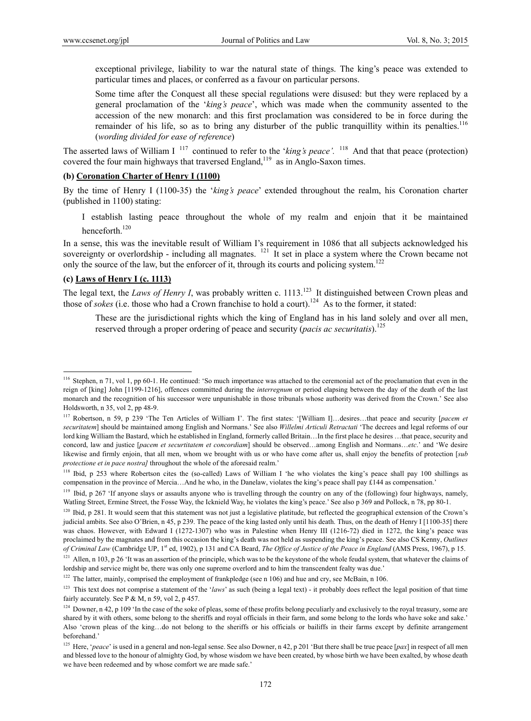exceptional privilege, liability to war the natural state of things. The king's peace was extended to particular times and places, or conferred as a favour on particular persons.

Some time after the Conquest all these special regulations were disused: but they were replaced by a general proclamation of the '*king's peace*', which was made when the community assented to the accession of the new monarch: and this first proclamation was considered to be in force during the remainder of his life, so as to bring any disturber of the public tranquillity within its penalties.<sup>116</sup> (*wording divided for ease of reference*)

The asserted laws of William I<sup>117</sup> continued to refer to the '*king's peace*'. <sup>118</sup> And that that peace (protection) covered the four main highways that traversed  ${\rm England<sub>119</sub>}$  as in Anglo-Saxon times.

### **(b) Coronation Charter of Henry I (1100)**

By the time of Henry I (1100-35) the '*king's peace*' extended throughout the realm, his Coronation charter (published in 1100) stating:

 I establish lasting peace throughout the whole of my realm and enjoin that it be maintained henceforth<sup>120</sup>

In a sense, this was the inevitable result of William I's requirement in 1086 that all subjects acknowledged his sovereignty or overlordship - including all magnates. <sup>121</sup> It set in place a system where the Crown became not only the source of the law, but the enforcer of it, through its courts and policing system.<sup>122</sup>

### **(c) Laws of Henry I (c. 1113)**

 $\overline{a}$ 

The legal text, the *Laws of Henry I*, was probably written c. 1113.<sup>123</sup> It distinguished between Crown pleas and those of *sokes* (i.e. those who had a Crown franchise to hold a court).<sup>124</sup> As to the former, it stated:

These are the jurisdictional rights which the king of England has in his land solely and over all men, reserved through a proper ordering of peace and security (*pacis ac securitatis*).125

<sup>116</sup> Stephen, n 71, vol 1, pp 60-1. He continued: 'So much importance was attached to the ceremonial act of the proclamation that even in the reign of [king] John [1199-1216], offences committed during the *interregnum* or period elapsing between the day of the death of the last monarch and the recognition of his successor were unpunishable in those tribunals whose authority was derived from the Crown.' See also Holdsworth, n 35, vol 2, pp 48-9.

<sup>117</sup> Robertson, n 59, p 239 'The Ten Articles of William I'. The first states: '[William I]…desires…that peace and security [*pacem et securitatem*] should be maintained among English and Normans.' See also *Willelmi Articuli Retractati* 'The decrees and legal reforms of our lord king William the Bastard, which he established in England, formerly called Britain…In the first place he desires …that peace, security and concord, law and justice [*pacem et securtitatem et concordiam*] should be observed…among English and Normans…*etc*.' and 'We desire likewise and firmly enjoin, that all men, whom we brought with us or who have come after us, shall enjoy the benefits of protection [*sub protectione et in pace nostra]* throughout the whole of the aforesaid realm.'

<sup>&</sup>lt;sup>118</sup> Ibid, p 253 where Robertson cites the (so-called) Laws of William I 'he who violates the king's peace shall pay 100 shillings as compensation in the province of Mercia…And he who, in the Danelaw, violates the king's peace shall pay £144 as compensation.'

<sup>&</sup>lt;sup>119</sup> Ibid, p 267 'If anyone slays or assaults anyone who is travelling through the country on any of the (following) four highways, namely, Watling Street, Ermine Street, the Fosse Way, the Icknield Way, he violates the king's peace.' See also p 369 and Pollock, n 78, pp 80-1.

<sup>&</sup>lt;sup>120</sup> Ibid, p 281. It would seem that this statement was not just a legislative platitude, but reflected the geographical extension of the Crown's judicial ambits. See also O'Brien, n 45, p 239. The peace of the king lasted only until his death. Thus, on the death of Henry I [1100-35] there was chaos. However, with Edward I (1272-1307) who was in Palestine when Henry III (1216-72) died in 1272, the king's peace was proclaimed by the magnates and from this occasion the king's death was not held as suspending the king's peace. See also CS Kenny, *Outlines of Criminal Law* (Cambridge UP, 1st ed, 1902), p 131 and CA Beard, *The Office of Justice of the Peace in England* (AMS Press, 1967), p 15.

 $121$  Allen, n 103, p 26 'It was an assertion of the principle, which was to be the keystone of the whole feudal system, that whatever the claims of lordship and service might be, there was only one supreme overlord and to him the transcendent fealty was due.'

<sup>&</sup>lt;sup>122</sup> The latter, mainly, comprised the employment of frankpledge (see n 106) and hue and cry, see McBain, n 106.

<sup>&</sup>lt;sup>123</sup> This text does not comprise a statement of the '*laws*' as such (being a legal text) - it probably does reflect the legal position of that time fairly accurately. See P & M, n 59, vol 2, p 457.

<sup>&</sup>lt;sup>124</sup> Downer, n 42, p 109 'In the case of the soke of pleas, some of these profits belong peculiarly and exclusively to the royal treasury, some are shared by it with others, some belong to the sheriffs and royal officials in their farm, and some belong to the lords who have soke and sake.' Also 'crown pleas of the king…do not belong to the sheriffs or his officials or bailiffs in their farms except by definite arrangement beforehand.'

<sup>&</sup>lt;sup>125</sup> Here, '*peace*' is used in a general and non-legal sense. See also Downer, n 42, p 201 'But there shall be true peace [*pax*] in respect of all men and blessed love to the honour of almighty God, by whose wisdom we have been created, by whose birth we have been exalted, by whose death we have been redeemed and by whose comfort we are made safe.'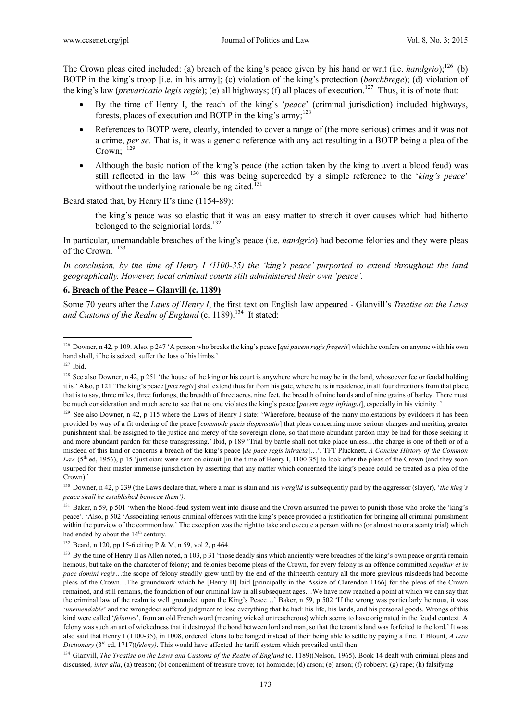The Crown pleas cited included: (a) breach of the king's peace given by his hand or writ (i.e. *handgrio*);<sup>126</sup> (b) BOTP in the king's troop [i.e. in his army]; (c) violation of the king's protection (*borchbrege*); (d) violation of the king's law (*prevaricatio legis regie*); (e) all highways; (f) all places of execution.127 Thus, it is of note that:

- By the time of Henry I, the reach of the king's '*peace*' (criminal jurisdiction) included highways, forests, places of execution and BOTP in the king's army:<sup>128</sup>
- References to BOTP were, clearly, intended to cover a range of (the more serious) crimes and it was not a crime, *per se*. That is, it was a generic reference with any act resulting in a BOTP being a plea of the Crown; 129
- Although the basic notion of the king's peace (the action taken by the king to avert a blood feud) was still reflected in the law 130 this was being superceded by a simple reference to the '*king's peace*' without the underlying rationale being cited. $131$

Beard stated that, by Henry II's time (1154-89):

the king's peace was so elastic that it was an easy matter to stretch it over causes which had hitherto belonged to the seigniorial lords.<sup>132</sup>

In particular, unemandable breaches of the king's peace (i.e. *handgrio*) had become felonies and they were pleas of the Crown.  $133$ 

*In conclusion, by the time of Henry I (1100-35) the 'king's peace' purported to extend throughout the land geographically. However, local criminal courts still administered their own 'peace'.* 

### **6. Breach of the Peace – Glanvill (c. 1189)**

Some 70 years after the *Laws of Henry I*, the first text on English law appeared - Glanvill's *Treatise on the Laws*  and Customs of the Realm of England (c. 1189).<sup>134</sup> It stated:

 $\overline{a}$ 

130 Downer, n 42, p 239 (the Laws declare that, where a man is slain and his *wergild* is subsequently paid by the aggressor (slayer), '*the king's peace shall be established between them').*

<sup>134</sup> Glanvill, *The Treatise on the Laws and Customs of the Realm of England* (c. 1189)(Nelson, 1965). Book 14 dealt with criminal pleas and discussed, *inter alia*, (a) treason; (b) concealment of treasure trove; (c) homicide; (d) arson; (e) arson; (f) robbery; (g) rape; (h) falsifying

<sup>126</sup> Downer, n 42, p 109. Also, p 247 'A person who breaks the king's peace [*qui pacem regis fregerit*] which he confers on anyone with his own hand shall, if he is seized, suffer the loss of his limbs.'

 $127$  Ibid.

<sup>&</sup>lt;sup>128</sup> See also Downer, n 42, p 251 'the house of the king or his court is anywhere where he may be in the land, whosoever fee or feudal holding it is.' Also, p 121 'The king's peace [*pax regis*] shall extend thus far from his gate, where he is in residence, in all four directions from that place, that is to say, three miles, three furlongs, the breadth of three acres, nine feet, the breadth of nine hands and of nine grains of barley. There must be much consideration and much acre to see that no one violates the king's peace [*pacem regis infringat*], especially in his vicinity. '

<sup>&</sup>lt;sup>129</sup> See also Downer, n 42, p 115 where the Laws of Henry I state: 'Wherefore, because of the many molestations by evildoers it has been provided by way of a fit ordering of the peace [*commode pacis dispensatio*] that pleas concerning more serious charges and meriting greater punishment shall be assigned to the justice and mercy of the sovereign alone, so that more abundant pardon may be had for those seeking it and more abundant pardon for those transgressing.' Ibid, p 189 'Trial by battle shall not take place unless…the charge is one of theft or of a misdeed of this kind or concerns a breach of the king's peace [*de pace regis infracta*]…'. TFT Plucknett, *A Concise History of the Common Law* (5<sup>th</sup> ed, 1956), p 15 'justiciars were sent on circuit [in the time of Henry I, 1100-35] to look after the pleas of the Crown (and they soon usurped for their master immense jurisdiction by asserting that any matter which concerned the king's peace could be treated as a plea of the Crown).'

<sup>&</sup>lt;sup>131</sup> Baker, n 59, p 501 'when the blood-feud system went into disuse and the Crown assumed the power to punish those who broke the 'king's peace'. 'Also, p 502 'Associating serious criminal offences with the king's peace provided a justification for bringing all criminal punishment within the purview of the common law.' The exception was the right to take and execute a person with no (or almost no or a scanty trial) which had ended by about the 14<sup>th</sup> century.

<sup>132</sup> Beard, n 120, pp 15-6 citing P & M, n 59, vol 2, p 464.

<sup>&</sup>lt;sup>133</sup> By the time of Henry II as Allen noted, n 103, p 31 'those deadly sins which anciently were breaches of the king's own peace or grith remain heinous, but take on the character of felony; and felonies become pleas of the Crown, for every felony is an offence committed *nequitur et in pace domini regis*…the scope of felony steadily grew until by the end of the thirteenth century all the more grevious misdeeds had become pleas of the Crown…The groundwork which he [Henry II] laid [principally in the Assize of Clarendon 1166] for the pleas of the Crown remained, and still remains, the foundation of our criminal law in all subsequent ages…We have now reached a point at which we can say that the criminal law of the realm is well grounded upon the King's Peace…' Baker, n 59, p 502 'If the wrong was particularly heinous, it was '*unemendable*' and the wrongdoer suffered judgment to lose everything that he had: his life, his lands, and his personal goods. Wrongs of this kind were called '*felonies*', from an old French word (meaning wicked or treacherous) which seems to have originated in the feudal context. A felony was such an act of wickedness that it destroyed the bond between lord and man, so that the tenant's land was forfeited to the lord.' It was also said that Henry I (1100-35), in 1008, ordered felons to be hanged instead of their being able to settle by paying a fine. T Blount, *A Law Dictionary* (3<sup>rd</sup> ed, 1717)(*felony*). This would have affected the tariff system which prevailed until then.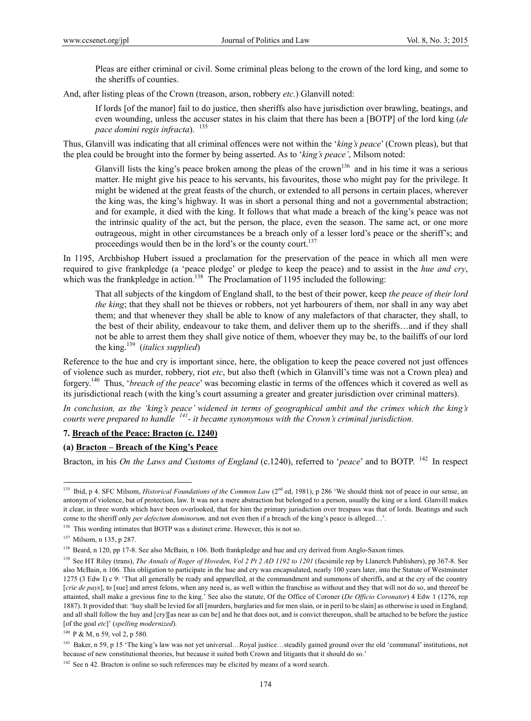Pleas are either criminal or civil. Some criminal pleas belong to the crown of the lord king, and some to the sheriffs of counties.

And, after listing pleas of the Crown (treason, arson, robbery *etc.*) Glanvill noted:

If lords [of the manor] fail to do justice, then sheriffs also have jurisdiction over brawling, beatings, and even wounding, unless the accuser states in his claim that there has been a [BOTP] of the lord king (*de pace domini regis infracta*). 135

Thus, Glanvill was indicating that all criminal offences were not within the '*king's peace*' (Crown pleas), but that the plea could be brought into the former by being asserted. As to '*king's peace'*, Milsom noted:

Glanvill lists the king's peace broken among the pleas of the crown<sup>136</sup> and in his time it was a serious matter. He might give his peace to his servants, his favourites, those who might pay for the privilege. It might be widened at the great feasts of the church, or extended to all persons in certain places, wherever the king was, the king's highway. It was in short a personal thing and not a governmental abstraction; and for example, it died with the king. It follows that what made a breach of the king's peace was not the intrinsic quality of the act, but the person, the place, even the season. The same act, or one more outrageous, might in other circumstances be a breach only of a lesser lord's peace or the sheriff's; and proceedings would then be in the lord's or the county court.<sup>137</sup>

In 1195, Archbishop Hubert issued a proclamation for the preservation of the peace in which all men were required to give frankpledge (a 'peace pledge' or pledge to keep the peace) and to assist in the *hue and cry*, which was the frankpledge in action.<sup>138</sup> The Proclamation of 1195 included the following:

That all subjects of the kingdom of England shall, to the best of their power, keep *the peace of their lord the king*; that they shall not be thieves or robbers, not yet harbourers of them, nor shall in any way abet them; and that whenever they shall be able to know of any malefactors of that character, they shall, to the best of their ability, endeavour to take them, and deliver them up to the sheriffs…and if they shall not be able to arrest them they shall give notice of them, whoever they may be, to the bailiffs of our lord the king.139 (*italics supplied*)

Reference to the hue and cry is important since, here, the obligation to keep the peace covered not just offences of violence such as murder, robbery, riot *etc*, but also theft (which in Glanvill's time was not a Crown plea) and forgery.140 Thus, '*breach of the peace*' was becoming elastic in terms of the offences which it covered as well as its jurisdictional reach (with the king's court assuming a greater and greater jurisdiction over criminal matters).

*In conclusion, as the 'king's peace' widened in terms of geographical ambit and the crimes which the king's courts were prepared to handle 141- it became synonymous with the Crown's criminal jurisdiction.* 

### **7. Breach of the Peace: Bracton (c. 1240)**

### **(a) Bracton – Breach of the King's Peace**

Bracton, in his *On the Laws and Customs of England* (c.1240), referred to '*peace*' and to BOTP. <sup>142</sup> In respect

<sup>&</sup>lt;sup>135</sup> Ibid, p 4. SFC Milsom, *Historical Foundations of the Common Law* (2<sup>nd</sup> ed, 1981), p 286 'We should think not of peace in our sense, an antonym of violence, but of protection, law. It was not a mere abstraction but belonged to a person, usually the king or a lord. Glanvill makes it clear, in three words which have been overlooked, that for him the primary jurisdiction over trespass was that of lords. Beatings and such come to the sheriff only *per defectum dominorum*, and not even then if a breach of the king's peace is alleged...'.

<sup>&</sup>lt;sup>136</sup> This wording intimates that BOTP was a distinct crime. However, this is not so.

<sup>137</sup> Milsom, n 135, p 287.

<sup>&</sup>lt;sup>138</sup> Beard, n 120, pp 17-8. See also McBain, n 106. Both frankpledge and hue and cry derived from Anglo-Saxon times.

<sup>&</sup>lt;sup>139</sup> See HT Riley (trans), *The Annals of Roger of Hoveden, Vol 2 Pt 2 AD 1192 to 1201* (facsimile rep by Llanerch Publishers), pp 367-8. See also McBain, n 106. This obligation to participate in the hue and cry was encapsulated, nearly 100 years later, into the Statute of Westminster 1275 (3 Edw I) c 9: 'That all generally be ready and apparelled, at the commandment and summons of sheriffs, and at the cry of the country [*crie de pays*], to [sue] and arrest felons, when any need is, as well within the franchise as without and they that will not do so, and thereof be attainted, shall make a grevious fine to the king.' See also the statute, Of the Office of Coroner (*De Officio Coronator*) 4 Edw 1 (1276, rep 1887). It provided that: 'huy shall be levied for all [murders, burglaries and for men slain, or in peril to be slain] as otherwise is used in England; and all shall follow the huy and [cry][as near as can be] and he that does not, and is convict thereupon, shall be attached to be before the justice [of the goal *etc*]' (*spelling modernized*).

<sup>140</sup> P & M, n 59, vol 2, p 580.

<sup>&</sup>lt;sup>141</sup> Baker, n 59, p 15 'The king's law was not yet universal...Royal justice...steadily gained ground over the old 'communal' institutions, not because of new constitutional theories, but because it suited both Crown and litigants that it should do so.'

 $142$  See n 42. Bracton is online so such references may be elicited by means of a word search.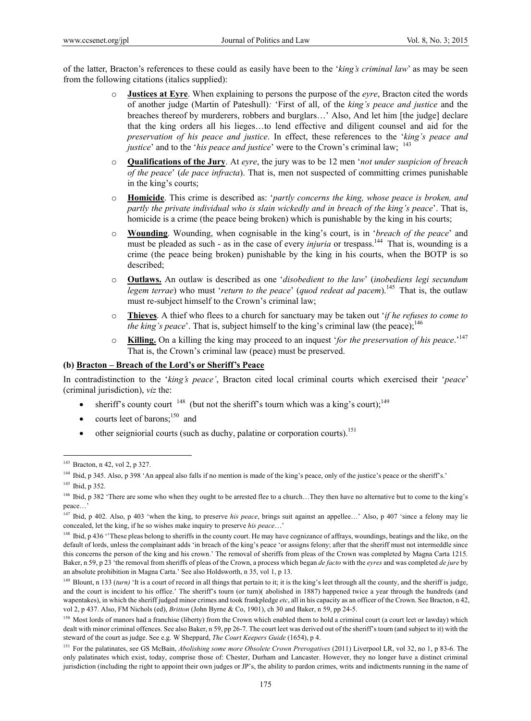of the latter, Bracton's references to these could as easily have been to the '*king's criminal law*' as may be seen from the following citations (italics supplied):

- o **Justices at Eyre**. When explaining to persons the purpose of the *eyre*, Bracton cited the words of another judge (Martin of Pateshull)*:* 'First of all, of the *king's peace and justice* and the breaches thereof by murderers, robbers and burglars…' Also, And let him [the judge] declare that the king orders all his lieges…to lend effective and diligent counsel and aid for the *preservation of his peace and justice*. In effect, these references to the '*king's peace and justice*' and to the '*his peace and justice*' were to the Crown's criminal law; <sup>143</sup>
- o **Qualifications of the Jury**. At *eyre*, the jury was to be 12 men '*not under suspicion of breach of the peace*' (*de pace infracta*). That is, men not suspected of committing crimes punishable in the king's courts;
- o **Homicide**. This crime is described as: '*partly concerns the king, whose peace is broken, and partly the private individual who is slain wickedly and in breach of the king's peace*'. That is, homicide is a crime (the peace being broken) which is punishable by the king in his courts;
- o **Wounding**. Wounding, when cognisable in the king's court, is in '*breach of the peace*' and must be pleaded as such - as in the case of every *injuria* or trespass.<sup>144</sup> That is, wounding is a crime (the peace being broken) punishable by the king in his courts, when the BOTP is so described;
- o **Outlaws.** An outlaw is described as one '*disobedient to the law*' (*inobediens legi secundum legem terrae*) who must '*return to the peace*' (*quod redeat ad pacem*).145 That is, the outlaw must re-subject himself to the Crown's criminal law;
- o **Thieves**. A thief who flees to a church for sanctuary may be taken out '*if he refuses to come to the king's peace'*. That is, subject himself to the king's criminal law (the peace);<sup>146</sup>
- o **Killing.** On a killing the king may proceed to an inquest '*for the preservation of his peace*.'<sup>147</sup> That is, the Crown's criminal law (peace) must be preserved.

### **(b) Bracton – Breach of the Lord's or Sheriff's Peace**

In contradistinction to the '*king's peace'*, Bracton cited local criminal courts which exercised their '*peace*' (criminal jurisdiction), *viz* the:

- $\bullet$  sheriff's county court  $^{148}$  (but not the sheriff's tourn which was a king's court);<sup>149</sup>
- courts leet of barons; $^{150}$  and
- $\bullet$  other seigniorial courts (such as duchy, palatine or corporation courts).<sup>151</sup>

<sup>143</sup> Bracton, n 42, vol 2, p 327.

<sup>&</sup>lt;sup>144</sup> Ibid, p 345. Also, p 398 'An appeal also falls if no mention is made of the king's peace, only of the justice's peace or the sheriff's.'

<sup>&</sup>lt;sup>145</sup> Ibid, p 352.

<sup>146</sup> Ibid, p 382 'There are some who when they ought to be arrested flee to a church...They then have no alternative but to come to the king's peace…'

<sup>&</sup>lt;sup>147</sup> Ibid, p 402. Also, p 403 'when the king, to preserve *his peace*, brings suit against an appellee...' Also, p 407 'since a felony may lie concealed, let the king, if he so wishes make inquiry to preserve *his peace*…'

<sup>&</sup>lt;sup>148</sup> Ibid, p 436 "These pleas belong to sheriffs in the county court. He may have cognizance of affrays, woundings, beatings and the like, on the default of lords, unless the complainant adds 'in breach of the king's peace 'or assigns felony; after that the sheriff must not intermeddle since this concerns the person of the king and his crown.' The removal of sheriffs from pleas of the Crown was completed by Magna Carta 1215. Baker, n 59, p 23 'the removal from sheriffs of pleas of the Crown, a process which began *de facto* with the *eyres* and was completed *de jure* by an absolute prohibition in Magna Carta.' See also Holdsworth, n 35, vol 1, p 13.

<sup>&</sup>lt;sup>149</sup> Blount, n 133 (*turn*) 'It is a court of record in all things that pertain to it; it is the king's leet through all the county, and the sheriff is judge, and the court is incident to his office.' The sheriff's tourn (or turn)( abolished in 1887) happened twice a year through the hundreds (and wapentakes), in which the sheriff judged minor crimes and took frankpledge *etc*, all in his capacity as an officer of the Crown. See Bracton, n 42, vol 2, p 437. Also, FM Nichols (ed), *Britton* (John Byrne & Co, 1901), ch 30 and Baker, n 59, pp 24-5.

<sup>&</sup>lt;sup>150</sup> Most lords of manors had a franchise (liberty) from the Crown which enabled them to hold a criminal court (a court leet or lawday) which dealt with minor criminal offences. See also Baker, n 59, pp 26-7. The court leet was derived out of the sheriff's tourn (and subject to it) with the steward of the court as judge. See e.g. W Sheppard, *The Court Keepers Guide* (1654), p 4.

<sup>151</sup> For the palatinates, see GS McBain, *Abolishing some more Obsolete Crown Prerogatives* (2011) Liverpool LR, vol 32, no 1, p 83-6. The only palatinates which exist, today, comprise those of: Chester, Durham and Lancaster. However, they no longer have a distinct criminal jurisdiction (including the right to appoint their own judges or JP's, the ability to pardon crimes, writs and indictments running in the name of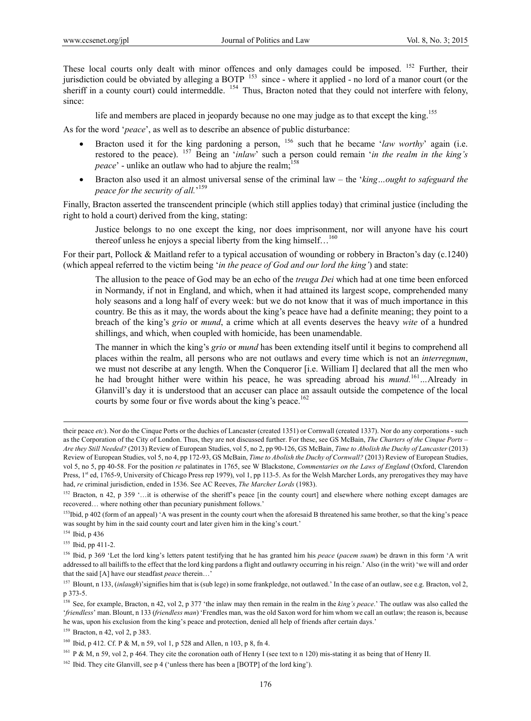These local courts only dealt with minor offences and only damages could be imposed. <sup>152</sup> Further, their jurisdiction could be obviated by alleging a BOTP 153 since - where it applied - no lord of a manor court (or the sheriff in a county court) could intermeddle. <sup>154</sup> Thus, Bracton noted that they could not interfere with felony, since:

life and members are placed in jeopardy because no one may judge as to that except the king.<sup>155</sup>

As for the word '*peace*', as well as to describe an absence of public disturbance:

- Bracton used it for the king pardoning a person, <sup>156</sup> such that he became '*law worthy*' again (i.e. restored to the peace). 157 Being an '*inlaw*' such a person could remain '*in the realm in the king's peace*' - unlike an outlaw who had to abjure the realm;<sup>158</sup>
- Bracton also used it an almost universal sense of the criminal law the '*king…ought to safeguard the peace for the security of all.*' 159

Finally, Bracton asserted the transcendent principle (which still applies today) that criminal justice (including the right to hold a court) derived from the king, stating:

Justice belongs to no one except the king, nor does imprisonment, nor will anyone have his court thereof unless he enjoys a special liberty from the king himself...<sup>160</sup>

For their part, Pollock & Maitland refer to a typical accusation of wounding or robbery in Bracton's day (c.1240) (which appeal referred to the victim being '*in the peace of God and our lord the king'*) and state:

The allusion to the peace of God may be an echo of the *treuga Dei* which had at one time been enforced in Normandy, if not in England, and which, when it had attained its largest scope, comprehended many holy seasons and a long half of every week: but we do not know that it was of much importance in this country. Be this as it may, the words about the king's peace have had a definite meaning; they point to a breach of the king's *grio* or *mund*, a crime which at all events deserves the heavy *wite* of a hundred shillings, and which, when coupled with homicide, has been unamendable.

The manner in which the king's *grio* or *mund* has been extending itself until it begins to comprehend all places within the realm, all persons who are not outlaws and every time which is not an *interregnum*, we must not describe at any length. When the Conqueror [i.e. William I] declared that all the men who he had brought hither were within his peace, he was spreading abroad his *mund.*<sup>161</sup>*…*Already in Glanvill's day it is understood that an accuser can place an assault outside the competence of the local courts by some four or five words about the king's peace.<sup>162</sup>

154 Ibid, p 436

<sup>155</sup> Ibid, pp 411-2.

159 Bracton, n 42, vol 2, p 383.

their peace *etc*). Nor do the Cinque Ports or the duchies of Lancaster (created 1351) or Cornwall (created 1337). Nor do any corporations - such as the Corporation of the City of London. Thus, they are not discussed further. For these, see GS McBain, *The Charters of the Cinque Ports – Are they Still Needed?* (2013) Review of European Studies, vol 5, no 2, pp 90-126, GS McBain, *Time to Abolish the Duchy of Lancaster* (2013) Review of European Studies, vol 5, no 4, pp 172-93, GS McBain, *Time to Abolish the Duchy of Cornwall?* (2013) Review of European Studies, vol 5, no 5, pp 40-58. For the position *re* palatinates in 1765, see W Blackstone, *Commentaries on the Laws of England* (Oxford, Clarendon Press, 1<sup>st</sup> ed, 1765-9, University of Chicago Press rep 1979), vol 1, pp 113-5. As for the Welsh Marcher Lords, any prerogatives they may have had, *re* criminal jurisdiction, ended in 1536. See AC Reeves, *The Marcher Lords* (1983).

<sup>&</sup>lt;sup>152</sup> Bracton, n 42, p 359 '...it is otherwise of the sheriff's peace [in the county court] and elsewhere where nothing except damages are recovered… where nothing other than pecuniary punishment follows.'

<sup>&</sup>lt;sup>153</sup>Ibid, p 402 (form of an appeal) 'A was present in the county court when the aforesaid B threatened his same brother, so that the king's peace was sought by him in the said county court and later given him in the king's court.'

<sup>156</sup> Ibid, p 369 'Let the lord king's letters patent testifying that he has granted him his *peace* (*pacem suam*) be drawn in this form 'A writ addressed to all bailiffs to the effect that the lord king pardons a flight and outlawry occurring in his reign.' Also (in the writ) 'we will and order that the said [A] have our steadfast *peace* therein...

<sup>&</sup>lt;sup>157</sup> Blount, n 133, (*inlaugh*)'signifies him that is (sub lege) in some frankpledge, not outlawed.' In the case of an outlaw, see e.g. Bracton, vol 2, p 373-5.

<sup>158</sup> See, for example, Bracton, n 42, vol 2, p 377 'the inlaw may then remain in the realm in the *king's peace*.' The outlaw was also called the '*friendless*' man. Blount, n 133 (*friendless man*) 'Frendles man, was the old Saxon word for him whom we call an outlaw; the reason is, because he was, upon his exclusion from the king's peace and protection, denied all help of friends after certain days.'

<sup>&</sup>lt;sup>160</sup> Ibid, p 412. Cf. P & M, n 59, vol 1, p 528 and Allen, n 103, p 8, fn 4.

<sup>&</sup>lt;sup>161</sup> P & M, n 59, vol 2, p 464. They cite the coronation oath of Henry I (see text to n 120) mis-stating it as being that of Henry II.

<sup>&</sup>lt;sup>162</sup> Ibid. They cite Glanvill, see p 4 ('unless there has been a [BOTP] of the lord king').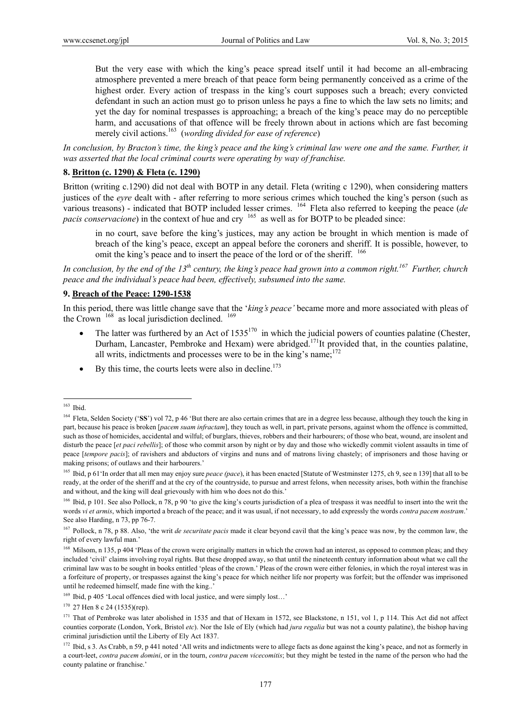But the very ease with which the king's peace spread itself until it had become an all-embracing atmosphere prevented a mere breach of that peace form being permanently conceived as a crime of the highest order. Every action of trespass in the king's court supposes such a breach; every convicted defendant in such an action must go to prison unless he pays a fine to which the law sets no limits; and yet the day for nominal trespasses is approaching; a breach of the king's peace may do no perceptible harm, and accusations of that offence will be freely thrown about in actions which are fast becoming merely civil actions.<sup>163</sup> (*wording divided for ease of reference*)

*In conclusion, by Bracton's time, the king's peace and the king's criminal law were one and the same. Further, it was asserted that the local criminal courts were operating by way of franchise.* 

### **8. Britton (c. 1290) & Fleta (c. 1290)**

Britton (writing c.1290) did not deal with BOTP in any detail. Fleta (writing c 1290), when considering matters justices of the *eyre* dealt with - after referring to more serious crimes which touched the king's person (such as various treasons) - indicated that BOTP included lesser crimes. 164 Fleta also referred to keeping the peace (*de pacis conservacione*) in the context of hue and cry <sup>165</sup> as well as for BOTP to be pleaded since:

in no court, save before the king's justices, may any action be brought in which mention is made of breach of the king's peace, except an appeal before the coroners and sheriff. It is possible, however, to omit the king's peace and to insert the peace of the lord or of the sheriff. <sup>166</sup>

*In conclusion, by the end of the 13th century, the king's peace had grown into a common right.167 Further, church peace and the individual's peace had been, effectively, subsumed into the same.* 

#### **9. Breach of the Peace: 1290-1538**

In this period, there was little change save that the '*king's peace'* became more and more associated with pleas of the Crown  $168$  as local jurisdiction declined.  $169$ 

- The latter was furthered by an Act of  $1535^{170}$  in which the judicial powers of counties palatine (Chester, Durham, Lancaster, Pembroke and Hexam) were abridged.<sup>171</sup>It provided that, in the counties palatine, all writs, indictments and processes were to be in the king's name; $172$
- By this time, the courts leets were also in decline.<sup>173</sup>

 $\overline{a}$ 

 $170$  27 Hen 8 c 24 (1535)(rep).

<sup>163</sup> Ibid.

<sup>&</sup>lt;sup>164</sup> Fleta, Selden Society ('SS') vol 72, p 46 'But there are also certain crimes that are in a degree less because, although they touch the king in part, because his peace is broken [*pacem suam infractam*], they touch as well, in part, private persons, against whom the offence is committed, such as those of homicides, accidental and wilful; of burglars, thieves, robbers and their harbourers; of those who beat, wound, are insolent and disturb the peace [*et paci rebellis*]; of those who commit arson by night or by day and those who wickedly commit violent assaults in time of peace [*tempore pacis*]; of ravishers and abductors of virgins and nuns and of matrons living chastely; of imprisoners and those having or making prisons; of outlaws and their harbourers.'

<sup>&</sup>lt;sup>165</sup> Ibid, p 61 'In order that all men may enjoy sure *peace (pace)*, it has been enacted [Statute of Westminster 1275, ch 9, see n 139] that all to be ready, at the order of the sheriff and at the cry of the countryside, to pursue and arrest felons, when necessity arises, both within the franchise and without, and the king will deal grievously with him who does not do this.'

<sup>&</sup>lt;sup>166</sup> Ibid, p 101. See also Pollock, n 78, p 90 'to give the king's courts jurisdiction of a plea of trespass it was needful to insert into the writ the words *vi et armis*, which imported a breach of the peace; and it was usual, if not necessary, to add expressly the words *contra pacem nostram*.' See also Harding, n 73, pp 76-7.

<sup>167</sup> Pollock, n 78, p 88. Also, 'the writ *de securitate pacis* made it clear beyond cavil that the king's peace was now, by the common law, the right of every lawful man.'

<sup>&</sup>lt;sup>168</sup> Milsom, n 135, p 404 'Pleas of the crown were originally matters in which the crown had an interest, as opposed to common pleas; and they included 'civil' claims involving royal rights. But these dropped away, so that until the nineteenth century information about what we call the criminal law was to be sought in books entitled 'pleas of the crown.' Pleas of the crown were either felonies, in which the royal interest was in a forfeiture of property, or trespasses against the king's peace for which neither life nor property was forfeit; but the offender was imprisoned until he redeemed himself, made fine with the king..'

<sup>169</sup> Ibid, p 405 'Local offences died with local justice, and were simply lost…'

 $171$  That of Pembroke was later abolished in 1535 and that of Hexam in 1572, see Blackstone, n 151, vol 1, p 114. This Act did not affect counties corporate (London, York, Bristol *etc*). Nor the Isle of Ely (which had *jura regalia* but was not a county palatine), the bishop having criminal jurisdiction until the Liberty of Ely Act 1837.

<sup>&</sup>lt;sup>172</sup> Ibid, s 3. As Crabb, n 59, p 441 noted 'All writs and indictments were to allege facts as done against the king's peace, and not as formerly in a court-leet, *contra pacem domini*, or in the tourn, *contra pacem vicecomitis*; but they might be tested in the name of the person who had the county palatine or franchise.'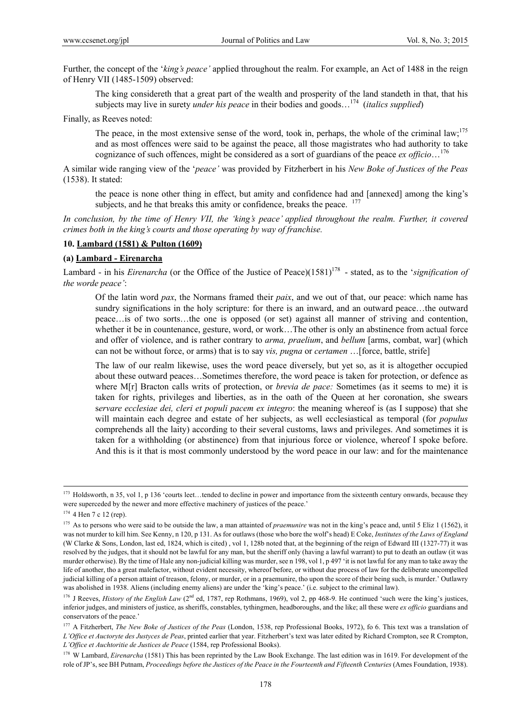Further, the concept of the '*king's peace'* applied throughout the realm. For example, an Act of 1488 in the reign of Henry VII (1485-1509) observed:

The king considereth that a great part of the wealth and prosperity of the land standeth in that, that his subjects may live in surety *under his peace* in their bodies and goods…174 (*italics supplied*)

Finally, as Reeves noted:

The peace, in the most extensive sense of the word, took in, perhaps, the whole of the criminal law;<sup>175</sup> and as most offences were said to be against the peace, all those magistrates who had authority to take cognizance of such offences, might be considered as a sort of guardians of the peace *ex officio*…176

A similar wide ranging view of the '*peace'* was provided by Fitzherbert in his *New Boke of Justices of the Peas* (1538). It stated:

the peace is none other thing in effect, but amity and confidence had and [annexed] among the king's subjects, and he that breaks this amity or confidence, breaks the peace. <sup>177</sup>

*In conclusion, by the time of Henry VII, the 'king's peace' applied throughout the realm. Further, it covered crimes both in the king's courts and those operating by way of franchise.* 

### **10. Lambard (1581) & Pulton (1609)**

### **(a) Lambard - Eirenarcha**

Lambard - in his *Eirenarcha* (or the Office of the Justice of Peace)(1581)<sup>178</sup> - stated, as to the '*signification of the worde peace'*:

Of the latin word *pax*, the Normans framed their *paix*, and we out of that, our peace: which name has sundry significations in the holy scripture: for there is an inward, and an outward peace...the outward peace…is of two sorts…the one is opposed (or set) against all manner of striving and contention, whether it be in countenance, gesture, word, or work...The other is only an abstinence from actual force and offer of violence, and is rather contrary to *arma, praelium*, and *bellum* [arms, combat, war] (which can not be without force, or arms) that is to say *vis, pugna* or *certamen* …[force, battle, strife]

The law of our realm likewise, uses the word peace diversely, but yet so, as it is altogether occupied about these outward peaces…Sometimes therefore, the word peace is taken for protection, or defence as where M[r] Bracton calls writs of protection, or *brevia de pace:* Sometimes (as it seems to me) it is taken for rights, privileges and liberties, as in the oath of the Queen at her coronation, she swears s*ervare ecclesiae dei, cleri et populi pacem ex integro*: the meaning whereof is (as I suppose) that she will maintain each degree and estate of her subjects, as well ecclesiastical as temporal (for *populus* comprehends all the laity) according to their several customs, laws and privileges. And sometimes it is taken for a withholding (or abstinence) from that injurious force or violence, whereof I spoke before. And this is it that is most commonly understood by the word peace in our law: and for the maintenance

<sup>&</sup>lt;sup>173</sup> Holdsworth, n 35, vol 1, p 136 'courts leet...tended to decline in power and importance from the sixteenth century onwards, because they were superceded by the newer and more effective machinery of justices of the peace.'

 $174$  4 Hen 7 c 12 (rep).

<sup>&</sup>lt;sup>175</sup> As to persons who were said to be outside the law, a man attainted of *praemunire* was not in the king's peace and, until 5 Eliz 1 (1562), it was not murder to kill him. See Kenny, n 120, p 131. As for outlaws (those who bore the wolf's head) E Coke, *Institutes of the Laws of England*  (W Clarke & Sons, London, last ed, 1824, which is cited) , vol 1, 128b noted that, at the beginning of the reign of Edward III (1327-77) it was resolved by the judges, that it should not be lawful for any man, but the sheriff only (having a lawful warrant) to put to death an outlaw (it was murder otherwise). By the time of Hale any non-judicial killing was murder, see n 198, vol 1, p 497 'it is not lawful for any man to take away the life of another, tho a great malefactor, without evident necessity, whereof before, or without due process of law for the deliberate uncompelled judicial killing of a person attaint of treason, felony, or murder, or in a praemunire, tho upon the score of their being such, is murder.' Outlawry was abolished in 1938. Aliens (including enemy aliens) are under the 'king's peace.' (i.e. subject to the criminal law).

<sup>&</sup>lt;sup>176</sup> J Reeves, *History of the English Law* (2<sup>nd</sup> ed, 1787, rep Rothmans, 1969), vol 2, pp 468-9. He continued 'such were the king's justices, inferior judges, and ministers of justice, as sheriffs, constables, tythingmen, headboroughs, and the like; all these were *ex officio* guardians and conservators of the peace.'

<sup>&</sup>lt;sup>177</sup> A Fitzherbert, *The New Boke of Justices of the Peas* (London, 1538, rep Professional Books, 1972), fo 6. This text was a translation of *L'Office et Auctoryte des Justyces de Peas*, printed earlier that year. Fitzherbert's text was later edited by Richard Crompton, see R Crompton, *L'Office et Auchtoritie de Justices de Peace* (1584, rep Professional Books).

<sup>&</sup>lt;sup>178</sup> W Lambard, *Eirenarcha* (1581) This has been reprinted by the Law Book Exchange. The last edition was in 1619. For development of the role of JP's, see BH Putnam, *Proceedings before the Justices of the Peace in the Fourteenth and Fifteenth Centuries* (Ames Foundation, 1938).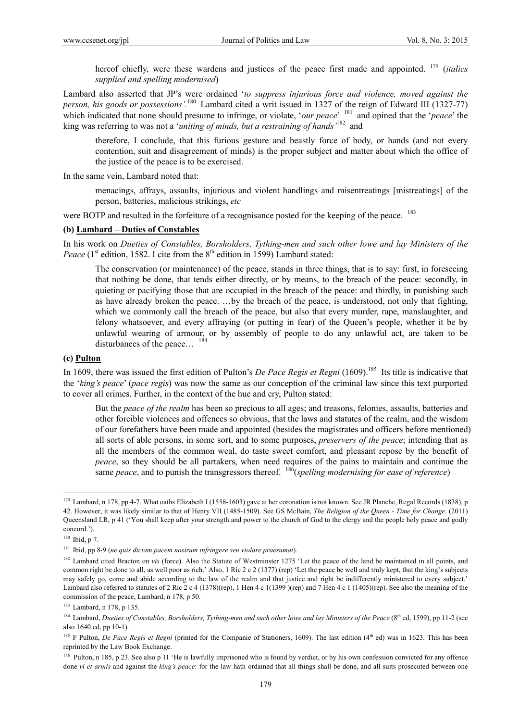hereof chiefly, were these wardens and justices of the peace first made and appointed. 179 (*italics supplied and spelling modernised*)

Lambard also asserted that JP's were ordained '*to suppress injurious force and violence, moved against the person, his goods or possessions'.*180 Lambard cited a writ issued in 1327 of the reign of Edward III (1327-77) which indicated that none should presume to infringe, or violate, '*our peace*' <sup>181</sup> and opined that the '*peace*' the king was referring to was not a '*uniting of minds, but a restraining of hands'*<sup>182</sup> and

therefore, I conclude, that this furious gesture and beastly force of body, or hands (and not every contention, suit and disagreement of minds) is the proper subject and matter about which the office of the justice of the peace is to be exercised.

In the same vein, Lambard noted that:

menacings, affrays, assaults, injurious and violent handlings and misentreatings [mistreatings] of the person, batteries, malicious strikings, *etc*

were BOTP and resulted in the forfeiture of a recognisance posted for the keeping of the peace. <sup>183</sup>

### **(b) Lambard – Duties of Constables**

In his work on *Dueties of Constables, Borsholders, Tything-men and such other lowe and lay Ministers of the Peace* ( $1<sup>st</sup>$  edition, 1582. I cite from the  $8<sup>th</sup>$  edition in 1599) Lambard stated:

The conservation (or maintenance) of the peace, stands in three things, that is to say: first, in foreseeing that nothing be done, that tends either directly, or by means, to the breach of the peace: secondly, in quieting or pacifying those that are occupied in the breach of the peace: and thirdly, in punishing such as have already broken the peace. …by the breach of the peace, is understood, not only that fighting, which we commonly call the breach of the peace, but also that every murder, rape, manslaughter, and felony whatsoever, and every affraying (or putting in fear) of the Queen's people, whether it be by unlawful wearing of armour, or by assembly of people to do any unlawful act, are taken to be disturbances of the peace...  $184$ 

### **(c) Pulton**

In 1609, there was issued the first edition of Pulton's *De Pace Regis et Regni* (1609).<sup>185</sup> Its title is indicative that the '*king's peace*' (*pace regis*) was now the same as our conception of the criminal law since this text purported to cover all crimes. Further, in the context of the hue and cry, Pulton stated:

But the *peace of the realm* has been so precious to all ages; and treasons, felonies, assaults, batteries and other forcible violences and offences so obvious, that the laws and statutes of the realm, and the wisdom of our forefathers have been made and appointed (besides the magistrates and officers before mentioned) all sorts of able persons, in some sort, and to some purposes, *preservers of the peace*; intending that as all the members of the common weal, do taste sweet comfort, and pleasant repose by the benefit of *peace*, so they should be all partakers, when need requires of the pains to maintain and continue the same *peace*, and to punish the transgressors thereof. <sup>186</sup>(*spelling modernising for ease of reference*)

 $179$  Lambard, n 178, pp 4-7. What oaths Elizabeth I (1558-1603) gave at her coronation is not known. See JR Planche, Regal Records (1838), p 42. However, it was likely similar to that of Henry VII (1485-1509). See GS McBain, *The Religion of the Queen - Time for Change*. (2011) Queensland LR, p 41 ('You shall keep after your strength and power to the church of God to the clergy and the people holy peace and godly concord.').

<sup>180</sup> Ibid, p 7.

<sup>181</sup> Ibid, pp 8-9 (*ne quis dictam pacem nostrum infringere seu violare praesumat*).

<sup>&</sup>lt;sup>182</sup> Lambard cited Bracton on *vis* (force). Also the Statute of Westminster 1275 'Let the peace of the land be maintained in all points, and common right be done to all, as well poor as rich.' Also, 1 Ric 2 c 2 (1377) (rep) 'Let the peace be well and truly kept, that the king's subjects may safely go, come and abide according to the law of the realm and that justice and right be indifferently ministered to every subject.' Lambard also referred to statutes of 2 Ric 2 c 4 (1378)(rep), 1 Hen 4 c 1(1399)(rep) and 7 Hen 4 c 1 (1405)(rep). See also the meaning of the commission of the peace, Lambard, n 178, p 50.

<sup>183</sup> Lambard, n 178, p 135.

<sup>&</sup>lt;sup>184</sup> Lambard, *Dueties of Constables, Borsholders, Tything-men and such other lowe and lay Ministers of the Peace* (8<sup>th</sup> ed, 1599), pp 11-2 (see also 1640 ed, pp 10-1).

<sup>&</sup>lt;sup>185</sup> F Pulton, *De Pace Regis et Regni* (printed for the Companie of Stationers, 1609). The last edition (4<sup>th</sup> ed) was in 1623. This has been reprinted by the Law Book Exchange.

<sup>&</sup>lt;sup>186</sup> Pulton, n 185, p 23. See also p 11 'He is lawfully imprisoned who is found by verdict, or by his own confession convicted for any offence done *vi et armis* and against the *king's peace*: for the law hath ordained that all things shall be done, and all suits prosecuted between one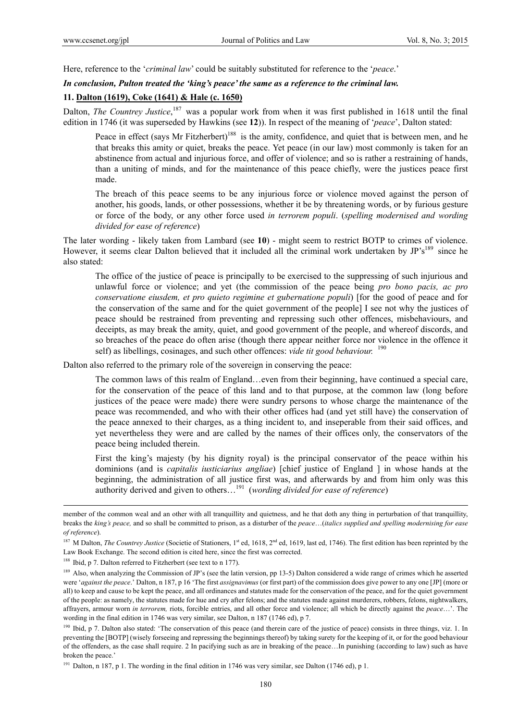Here, reference to the '*criminal law*' could be suitably substituted for reference to the '*peace*.'

#### *In conclusion, Pulton treated the 'king's peace' the same as a reference to the criminal law.*

### **11. Dalton (1619), Coke (1641) & Hale (c. 1650)**

Dalton, *The Countrey Justice*,<sup>187</sup> was a popular work from when it was first published in 1618 until the final edition in 1746 (it was superseded by Hawkins (see **12**)). In respect of the meaning of '*peace*', Dalton stated:

Peace in effect (says Mr Fitzherbert)<sup>188</sup> is the amity, confidence, and quiet that is between men, and he that breaks this amity or quiet, breaks the peace. Yet peace (in our law) most commonly is taken for an abstinence from actual and injurious force, and offer of violence; and so is rather a restraining of hands, than a uniting of minds, and for the maintenance of this peace chiefly, were the justices peace first made.

The breach of this peace seems to be any injurious force or violence moved against the person of another, his goods, lands, or other possessions, whether it be by threatening words, or by furious gesture or force of the body, or any other force used *in terrorem populi*. (*spelling modernised and wording divided for ease of reference*)

The later wording - likely taken from Lambard (see **10**) - might seem to restrict BOTP to crimes of violence. However, it seems clear Dalton believed that it included all the criminal work undertaken by  $JP's^{189}$  since he also stated:

The office of the justice of peace is principally to be exercised to the suppressing of such injurious and unlawful force or violence; and yet (the commission of the peace being *pro bono pacis, ac pro conservatione eiusdem, et pro quieto regimine et gubernatione populi*) [for the good of peace and for the conservation of the same and for the quiet government of the people] I see not why the justices of peace should be restrained from preventing and repressing such other offences, misbehaviours, and deceipts, as may break the amity, quiet, and good government of the people, and whereof discords, and so breaches of the peace do often arise (though there appear neither force nor violence in the offence it self) as libellings, cosinages, and such other offences: *vide tit good behaviour.* <sup>190</sup>

Dalton also referred to the primary role of the sovereign in conserving the peace:

The common laws of this realm of England…even from their beginning, have continued a special care, for the conservation of the peace of this land and to that purpose, at the common law (long before justices of the peace were made) there were sundry persons to whose charge the maintenance of the peace was recommended, and who with their other offices had (and yet still have) the conservation of the peace annexed to their charges, as a thing incident to, and inseperable from their said offices, and yet nevertheless they were and are called by the names of their offices only, the conservators of the peace being included therein.

First the king's majesty (by his dignity royal) is the principal conservator of the peace within his dominions (and is *capitalis iusticiarius angliae*) [chief justice of England ] in whose hands at the beginning, the administration of all justice first was, and afterwards by and from him only was this authority derived and given to others…191 (*wording divided for ease of reference*)

member of the common weal and an other with all tranquillity and quietness, and he that doth any thing in perturbation of that tranquillity, breaks the *king's peace,* and so shall be committed to prison, as a disturber of the *peace*…(*italics supplied and spelling modernising for ease of reference*).

<sup>&</sup>lt;sup>187</sup> M Dalton, *The Countrey Justice* (Societie of Stationers, 1<sup>st</sup> ed, 1618, 2<sup>nd</sup> ed, 1619, last ed, 1746). The first edition has been reprinted by the Law Book Exchange. The second edition is cited here, since the first was corrected.

<sup>&</sup>lt;sup>188</sup> Ibid, p 7. Dalton referred to Fitzherbert (see text to n 177).

<sup>&</sup>lt;sup>189</sup> Also, when analyzing the Commission of JP's (see the latin version, pp 13-5) Dalton considered a wide range of crimes which he asserted were '*against the peace*.' Dalton, n 187, p 16 'The first *assignavimus* (or first part) of the commission does give power to any one [JP] (more or all) to keep and cause to be kept the peace, and all ordinances and statutes made for the conservation of the peace, and for the quiet government of the people: as namely, the statutes made for hue and cry after felons; and the statutes made against murderers, robbers, felons, nightwalkers, affrayers, armour worn *in terrorem,* riots, forcible entries, and all other force and violence; all which be directly against the *peace*…'. The wording in the final edition in 1746 was very similar, see Dalton, n 187 (1746 ed), p 7.

<sup>&</sup>lt;sup>190</sup> Ibid, p 7. Dalton also stated: 'The conservation of this peace (and therein care of the justice of peace) consists in three things, viz. 1. In preventing the [BOTP] (wisely forseeing and repressing the beginnings thereof) by taking surety for the keeping of it, or for the good behaviour of the offenders, as the case shall require. 2 In pacifying such as are in breaking of the peace…In punishing (according to law) such as have broken the peace.'

<sup>&</sup>lt;sup>191</sup> Dalton, n 187, p 1. The wording in the final edition in 1746 was very similar, see Dalton (1746 ed), p 1.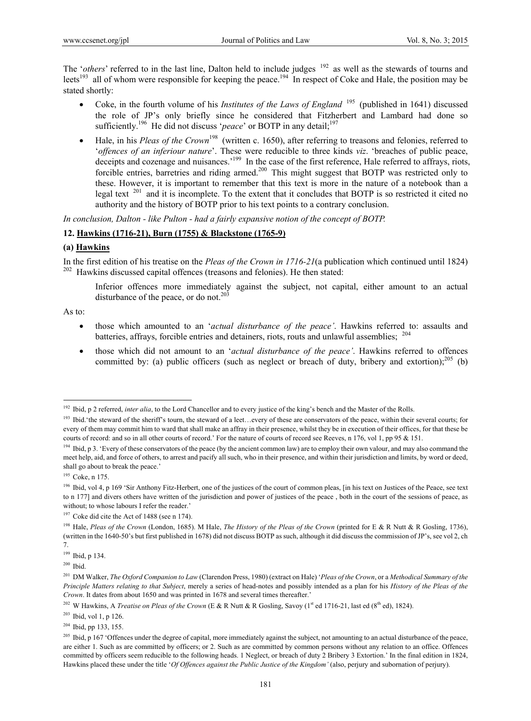The '*others*' referred to in the last line, Dalton held to include judges <sup>192</sup> as well as the stewards of tourns and leets<sup>193</sup> all of whom were responsible for keeping the peace.<sup>194</sup> In respect of Coke and Hale, the position may be stated shortly:

- Coke, in the fourth volume of his *Institutes of the Laws of England* 195 (published in 1641) discussed the role of JP's only briefly since he considered that Fitzherbert and Lambard had done so sufficiently.<sup>196</sup> He did not discuss '*peace*' or BOTP in any detail;<sup>197</sup>
- Hale, in his *Pleas of the Crown*<sup>198</sup> (written c. 1650), after referring to treasons and felonies, referred to '*offences of an inferiour nature*'. These were reducible to three kinds *viz*. 'breaches of public peace, deceipts and cozenage and nuisances.<sup>'199</sup> In the case of the first reference, Hale referred to affrays, riots, forcible entries, barretries and riding armed.<sup>200</sup> This might suggest that BOTP was restricted only to these. However, it is important to remember that this text is more in the nature of a notebook than a legal text <sup>201</sup> and it is incomplete. To the extent that it concludes that BOTP is so restricted it cited no authority and the history of BOTP prior to his text points to a contrary conclusion.

*In conclusion, Dalton - like Pulton - had a fairly expansive notion of the concept of BOTP.* 

### **12. Hawkins (1716-21), Burn (1755) & Blackstone (1765-9)**

#### **(a) Hawkins**

In the first edition of his treatise on the *Pleas of the Crown in 1716-21*(a publication which continued until 1824) <sup>202</sup> Hawkins discussed capital offences (treasons and felonies). He then stated:

Inferior offences more immediately against the subject, not capital, either amount to an actual disturbance of the peace, or do not.<sup>203</sup>

As to:

- those which amounted to an '*actual disturbance of the peace'*. Hawkins referred to: assaults and batteries, affrays, forcible entries and detainers, riots, routs and unlawful assemblies; <sup>204</sup>
- those which did not amount to an '*actual disturbance of the peace'*. Hawkins referred to offences committed by: (a) public officers (such as neglect or breach of duty, bribery and extortion);<sup>205</sup> (b)

<sup>&</sup>lt;sup>192</sup> Ibid, p 2 referred, *inter alia*, to the Lord Chancellor and to every justice of the king's bench and the Master of the Rolls.

<sup>&</sup>lt;sup>193</sup> Ibid. 'the steward of the sheriff's tourn, the steward of a leet...every of these are conservators of the peace, within their several courts; for every of them may commit him to ward that shall make an affray in their presence, whilst they be in execution of their offices, for that these be courts of record: and so in all other courts of record.' For the nature of courts of record see Reeves, n 176, vol 1, pp 95 & 151.

<sup>&</sup>lt;sup>194</sup> Ibid, p 3. 'Every of these conservators of the peace (by the ancient common law) are to employ their own valour, and may also command the meet help, aid, and force of others, to arrest and pacify all such, who in their presence, and within their jurisdiction and limits, by word or deed, shall go about to break the peace.'

<sup>195</sup> Coke, n 175.

<sup>&</sup>lt;sup>196</sup> Ibid, vol 4, p 169 'Sir Anthony Fitz-Herbert, one of the justices of the court of common pleas, [in his text on Justices of the Peace, see text to n 177] and divers others have written of the jurisdiction and power of justices of the peace , both in the court of the sessions of peace, as without; to whose labours I refer the reader.'

<sup>&</sup>lt;sup>197</sup> Coke did cite the Act of 1488 (see n 174).

<sup>198</sup> Hale, *Pleas of the Crown* (London, 1685). M Hale, *The History of the Pleas of the Crown* (printed for E & R Nutt & R Gosling, 1736), (written in the 1640-50's but first published in 1678) did not discuss BOTP as such, although it did discuss the commission of JP's, see vol 2, ch 7.

<sup>199</sup> Ibid, p 134.

 $200$  Ibid.

<sup>201</sup> DM Walker, *The Oxford Companion to Law* (Clarendon Press, 1980) (extract on Hale) '*Pleas of the Crown*, or a *Methodical Summary of the Principle Matters relating to that Subject*, merely a series of head-notes and possibly intended as a plan for his *History of the Pleas of the Crown*. It dates from about 1650 and was printed in 1678 and several times thereafter.'

<sup>&</sup>lt;sup>202</sup> W Hawkins, A *Treatise on Pleas of the Crown* (E & R Nutt & R Gosling, Savoy (1<sup>st</sup> ed 1716-21, last ed (8<sup>th</sup> ed), 1824).

 $203$  Ibid, vol 1, p 126.

 $204$  Ibid, pp 133, 155.

<sup>&</sup>lt;sup>205</sup> Ibid, p 167 'Offences under the degree of capital, more immediately against the subject, not amounting to an actual disturbance of the peace, are either 1. Such as are committed by officers; or 2. Such as are committed by common persons without any relation to an office. Offences committed by officers seem reducible to the following heads. 1 Neglect, or breach of duty 2 Bribery 3 Extortion.' In the final edition in 1824, Hawkins placed these under the title '*Of Offences against the Public Justice of the Kingdom'* (also, perjury and subornation of perjury).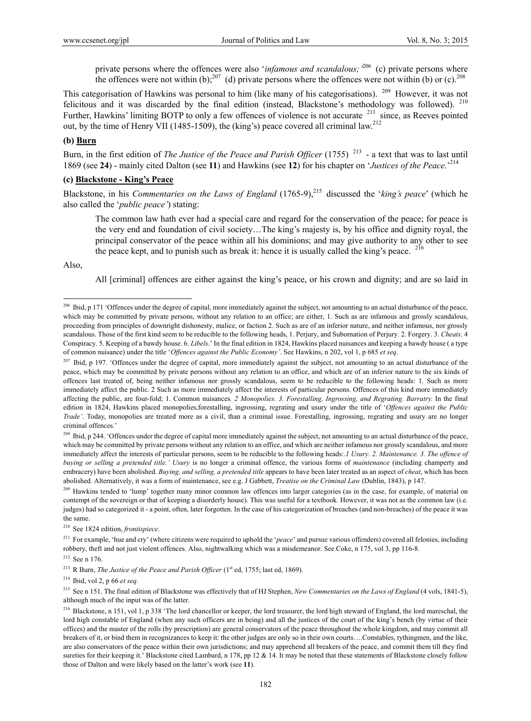private persons where the offences were also '*infamous and scandalous;'*<sup>206</sup> (c) private persons where the offences were not within (b);<sup>207</sup> (d) private persons where the offences were not within (b) or (c).<sup>208</sup>

This categorisation of Hawkins was personal to him (like many of his categorisations). 209 However, it was not felicitous and it was discarded by the final edition (instead, Blackstone's methodology was followed).  $2^{10}$ Further, Hawkins' limiting BOTP to only a few offences of violence is not accurate <sup>211</sup> since, as Reeves pointed out, by the time of Henry VII (1485-1509), the (king's) peace covered all criminal law.<sup>212</sup>

# **(b) Burn**

Burn, in the first edition of *The Justice of the Peace and Parish Officer* (1755)<sup>213</sup> - a text that was to last until 1869 (see **24**) - mainly cited Dalton (see **11**) and Hawkins (see **12**) for his chapter on '*Justices of the Peace.*' 214

# **(c) Blackstone - King's Peace**

Blackstone, in his *Commentaries on the Laws of England* (1765-9),<sup>215</sup> discussed the '*king's peace*' (which he also called the '*public peace'*) stating:

The common law hath ever had a special care and regard for the conservation of the peace; for peace is the very end and foundation of civil society…The king's majesty is, by his office and dignity royal, the principal conservator of the peace within all his dominions; and may give authority to any other to see the peace kept, and to punish such as break it: hence it is usually called the king's peace.  $^{216}$ 

Also,

 $\overline{a}$ 

All [criminal] offences are either against the king's peace, or his crown and dignity; and are so laid in

<sup>&</sup>lt;sup>206</sup> Ibid, p 171 'Offences under the degree of capital, more immediately against the subject, not amounting to an actual disturbance of the peace, which may be committed by private persons, without any relation to an office; are either, 1. Such as are infamous and grossly scandalous, proceeding from principles of downright dishonesty, malice, or faction 2. Such as are of an inferior nature, and neither infamous, nor grossly scandalous. Those of the first kind seem to be reducible to the following heads, 1. Perjury, and Subornation of Perjury. 2. Forgery. 3. *Cheats*. 4 Conspiracy. 5. Keeping of a bawdy house. 6. *Libels*.' In the final edition in 1824, Hawkins placed nuisances and keeping a bawdy house ( a type of common nuisance) under the title '*Offences against the Public Economy'*. See Hawkins, n 202, vol 1, p 685 *et seq*.

<sup>&</sup>lt;sup>207</sup> Ibid, p 197. 'Offences under the degree of capital, more immediately against the subject, not amounting to an actual disturbance of the peace, which may be committed by private persons without any relation to an office, and which are of an inferior nature to the six kinds of offences last treated of, being neither infamous nor grossly scandalous, seem to be reducible to the following heads: 1. Such as more immediately affect the public. 2 Such as more immediately affect the interests of particular persons. Offences of this kind more immediately affecting the public, are four-fold; 1. Common nuisances*. 2 Monopolies. 3. Forestalling, Ingrossing, and Regrating. Barratry.* In the final edition in 1824, Hawkins placed monopolies,forestalling, ingrossing, regrating and usury under the title of '*Offences against the Public Trade'*. Today, monopolies are treated more as a civil, than a criminal issue. Forestalling, ingrossing, regrating and usury are no longer criminal offences.'

<sup>&</sup>lt;sup>208</sup> Ibid, p 244. 'Offences under the degree of capital more immediately against the subject, not amounting to an actual disturbance of the peace, which may be committed by private persons without any relation to an office, and which are neither infamous nor grossly scandalous, and more immediately affect the interests of particular persons, seem to be reducible to the following heads:.*1 Usury. 2. Maintenance. 3. The offence of buying or selling a pretended title.' Usury* is no longer a criminal offence, the various forms of *maintenance* (including champerty and embracery) have been abolished. *Buying, and selling, a pretended title* appears to have been later treated as an aspect of *cheat*, which has been abolished. Alternatively, it was a form of maintenance, see e.g. J Gabbett, *Treatise on the Criminal Law* (Dublin, 1843), p 147.

<sup>&</sup>lt;sup>209</sup> Hawkins tended to 'lump' together many minor common law offences into larger categories (as in the case, for example, of material on contempt of the sovereign or that of keeping a disorderly house). This was useful for a textbook. However, it was not as the common law (i.e. judges) had so categorized it - a point, often, later forgotten. In the case of his categorization of breaches (and non-breaches) of the peace it was the same.

<sup>210</sup> See 1824 edition, *frontispiece*.

<sup>&</sup>lt;sup>211</sup> For example, 'hue and cry' (where citizens were required to uphold the '*peace*' and pursue various offenders) covered all felonies, including robbery, theft and not just violent offences. Also, nightwalking which was a misdemeanor. See Coke, n 175, vol 3, pp 116-8.

<sup>212</sup> See n 176.

<sup>&</sup>lt;sup>213</sup> R Burn, *The Justice of the Peace and Parish Officer* (1<sup>st</sup> ed, 1755; last ed, 1869).

<sup>214</sup> Ibid, vol 2, p 66 *et seq.*

<sup>215</sup> See n 151. The final edition of Blackstone was effectively that of HJ Stephen, *New Commentaries on the Laws of England* (4 vols, 1841-5), although much of the input was of the latter.

<sup>&</sup>lt;sup>216</sup> Blackstone, n 151, vol 1, p 338 'The lord chancellor or keeper, the lord treasurer, the lord high steward of England, the lord mareschal, the lord high constable of England (when any such officers are in being) and all the justices of the court of the king's bench (by virtue of their offices) and the master of the rolls (by prescription) are general conservators of the peace throughout the whole kingdom, and may commit all breakers of it, or bind them in recognizances to keep it: the other judges are only so in their own courts….Constables, tythingmen, and the like, are also conservators of the peace within their own jurisdictions; and may apprehend all breakers of the peace, and commit them till they find sureties for their keeping it.' Blackstone cited Lambard, n 178, pp 12 & 14. It may be noted that these statements of Blackstone closely follow those of Dalton and were likely based on the latter's work (see **11**).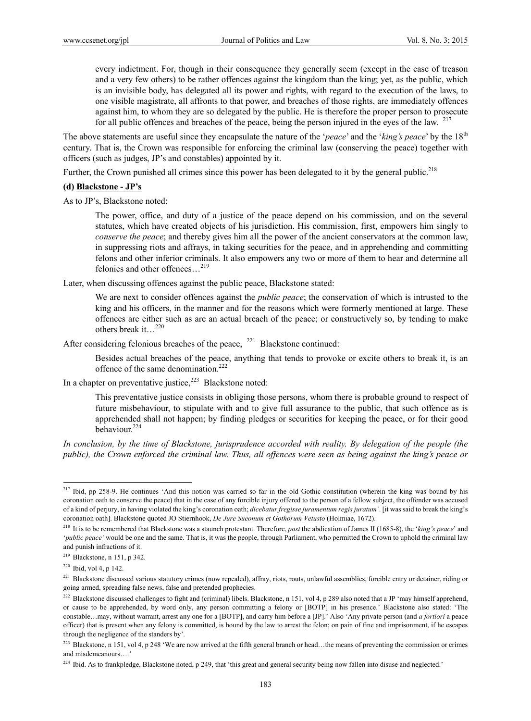every indictment. For, though in their consequence they generally seem (except in the case of treason and a very few others) to be rather offences against the kingdom than the king; yet, as the public, which is an invisible body, has delegated all its power and rights, with regard to the execution of the laws, to one visible magistrate, all affronts to that power, and breaches of those rights, are immediately offences against him, to whom they are so delegated by the public. He is therefore the proper person to prosecute for all public offences and breaches of the peace, being the person injured in the eyes of the law.  $217$ 

The above statements are useful since they encapsulate the nature of the '*peace*' and the '*king's peace*' by the 18th century. That is, the Crown was responsible for enforcing the criminal law (conserving the peace) together with officers (such as judges, JP's and constables) appointed by it.

Further, the Crown punished all crimes since this power has been delegated to it by the general public.<sup>218</sup>

#### **(d) Blackstone - JP's**

As to JP's, Blackstone noted:

The power, office, and duty of a justice of the peace depend on his commission, and on the several statutes, which have created objects of his jurisdiction. His commission, first, empowers him singly to *conserve the peace*; and thereby gives him all the power of the ancient conservators at the common law, in suppressing riots and affrays, in taking securities for the peace, and in apprehending and committing felons and other inferior criminals. It also empowers any two or more of them to hear and determine all felonies and other offences…219

Later, when discussing offences against the public peace, Blackstone stated:

We are next to consider offences against the *public peace*; the conservation of which is intrusted to the king and his officers, in the manner and for the reasons which were formerly mentioned at large. These offences are either such as are an actual breach of the peace; or constructively so, by tending to make others break it…220

After considering felonious breaches of the peace,  $^{221}$  Blackstone continued:

Besides actual breaches of the peace, anything that tends to provoke or excite others to break it, is an offence of the same denomination.<sup>222</sup>

In a chapter on preventative justice, $2^{22}$  Blackstone noted:

This preventative justice consists in obliging those persons, whom there is probable ground to respect of future misbehaviour, to stipulate with and to give full assurance to the public, that such offence as is apprehended shall not happen; by finding pledges or securities for keeping the peace, or for their good behaviour.224

*In conclusion, by the time of Blackstone, jurisprudence accorded with reality. By delegation of the people (the public), the Crown enforced the criminal law. Thus, all offences were seen as being against the king's peace or* 

 $2^{17}$  Ibid, pp 258-9. He continues 'And this notion was carried so far in the old Gothic constitution (wherein the king was bound by his coronation oath to conserve the peace) that in the case of any forcible injury offered to the person of a fellow subject, the offender was accused of a kind of perjury, in having violated the king's coronation oath; *dicebatur fregisse juramentum regis juratum'*. [it was said to break the king's coronation oath]. Blackstone quoted JO Stiernhook, *De Jure Sueonum et Gothorum Vetusto* (Holmiae, 1672).

<sup>218</sup> It is to be remembered that Blackstone was a staunch protestant. Therefore, *post* the abdication of James II (1685-8), the '*king's peace*' and '*public peace'* would be one and the same. That is, it was the people, through Parliament, who permitted the Crown to uphold the criminal law and punish infractions of it.

<sup>219</sup> Blackstone, n 151, p 342.

 $220$  Ibid, vol 4, p 142.

<sup>&</sup>lt;sup>221</sup> Blackstone discussed various statutory crimes (now repealed), affray, riots, routs, unlawful assemblies, forcible entry or detainer, riding or going armed, spreading false news, false and pretended prophecies.

<sup>&</sup>lt;sup>222</sup> Blackstone discussed challenges to fight and (criminal) libels. Blackstone, n 151, vol 4, p 289 also noted that a JP 'may himself apprehend, or cause to be apprehended, by word only, any person committing a felony or [BOTP] in his presence.' Blackstone also stated: 'The constable…may, without warrant, arrest any one for a [BOTP], and carry him before a [JP].' Also 'Any private person (and *a fortiori* a peace officer) that is present when any felony is committed, is bound by the law to arrest the felon; on pain of fine and imprisonment, if he escapes through the negligence of the standers by'.

<sup>&</sup>lt;sup>223</sup> Blackstone, n 151, vol 4, p 248 'We are now arrived at the fifth general branch or head...the means of preventing the commission or crimes and misdemeanours….'

<sup>&</sup>lt;sup>224</sup> Ibid. As to frankpledge, Blackstone noted, p 249, that 'this great and general security being now fallen into disuse and neglected.'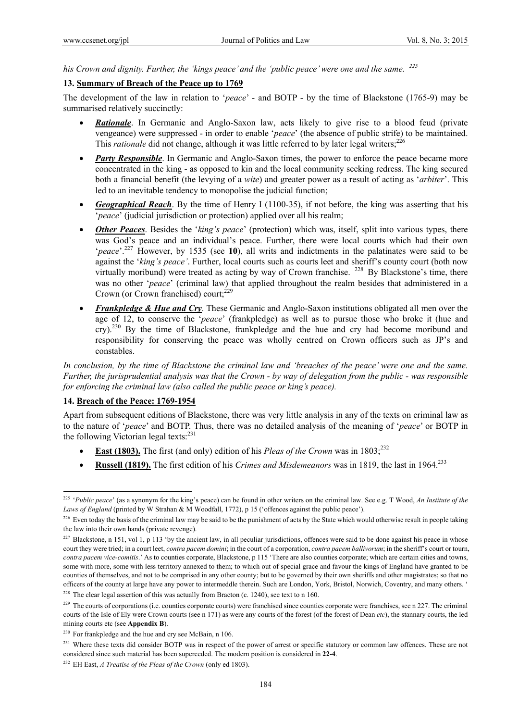*his Crown and dignity. Further, the 'kings peace' and the 'public peace' were one and the same. 225* 

### **13. Summary of Breach of the Peace up to 1769**

The development of the law in relation to '*peace*' - and BOTP - by the time of Blackstone (1765-9) may be summarised relatively succinctly:

- *Rationale*. In Germanic and Anglo-Saxon law, acts likely to give rise to a blood feud (private vengeance) were suppressed - in order to enable '*peace*' (the absence of public strife) to be maintained. This *rationale* did not change, although it was little referred to by later legal writers;<sup>226</sup>
- *Party Responsible*. In Germanic and Anglo-Saxon times, the power to enforce the peace became more concentrated in the king - as opposed to kin and the local community seeking redress. The king secured both a financial benefit (the levying of a *wite*) and greater power as a result of acting as '*arbiter*'. This led to an inevitable tendency to monopolise the judicial function;
- *Geographical Reach*. By the time of Henry I (1100-35), if not before, the king was asserting that his '*peace*' (judicial jurisdiction or protection) applied over all his realm;
- **Other Peaces**. Besides the '*king's peace*' (protection) which was, itself, split into various types, there was God's peace and an individual's peace. Further, there were local courts which had their own '*peace*'.227 However, by 1535 (see **10**), all writs and indictments in the palatinates were said to be against the '*king's peace'*. Further, local courts such as courts leet and sheriff's county court (both now virtually moribund) were treated as acting by way of Crown franchise. <sup>228</sup> By Blackstone's time, there was no other '*peace*' (criminal law) that applied throughout the realm besides that administered in a Crown (or Crown franchised) court; $229$
- *Frankpledge & Hue and Cry*. These Germanic and Anglo-Saxon institutions obligated all men over the age of 12, to conserve the '*peace*' (frankpledge) as well as to pursue those who broke it (hue and  $\text{cry}$ ).<sup>230</sup> By the time of Blackstone, frankpledge and the hue and cry had become moribund and responsibility for conserving the peace was wholly centred on Crown officers such as JP's and constables.

*In conclusion, by the time of Blackstone the criminal law and 'breaches of the peace' were one and the same. Further, the jurisprudential analysis was that the Crown - by way of delegation from the public - was responsible for enforcing the criminal law (also called the public peace or king's peace).* 

### **14. Breach of the Peace: 1769-1954**

 $\overline{a}$ 

Apart from subsequent editions of Blackstone, there was very little analysis in any of the texts on criminal law as to the nature of '*peace*' and BOTP. Thus, there was no detailed analysis of the meaning of '*peace*' or BOTP in the following Victorian legal texts: $231$ 

- **East (1803).** The first (and only) edition of his *Pleas of the Crown* was in 1803;<sup>232</sup>
- **Russell (1819).** The first edition of his *Crimes and Misdemeanors* was in 1819, the last in 1964.233

<sup>225 &#</sup>x27;*Public peace*' (as a synonym for the king's peace) can be found in other writers on the criminal law. See e.g. T Wood, *An Institute of the Laws of England* (printed by W Strahan & M Woodfall, 1772), p 15 ('offences against the public peace').

 $^{226}$  Even today the basis of the criminal law may be said to be the punishment of acts by the State which would otherwise result in people taking the law into their own hands (private revenge).

 $^{227}$  Blackstone, n 151, vol 1, p 113 'by the ancient law, in all peculiar jurisdictions, offences were said to be done against his peace in whose court they were tried; in a court leet, *contra pacem domini*; in the court of a corporation, *contra pacem ballivorum*; in the sheriff's court or tourn, *contra pacem vice-comitis*.' As to counties corporate, Blackstone, p 115 'There are also counties corporate; which are certain cities and towns, some with more, some with less territory annexed to them; to which out of special grace and favour the kings of England have granted to be counties of themselves, and not to be comprised in any other county; but to be governed by their own sheriffs and other magistrates; so that no officers of the county at large have any power to intermeddle therein. Such are London, York, Bristol, Norwich, Coventry, and many others. ' <sup>228</sup> The clear legal assertion of this was actually from Bracton (c. 1240), see text to n 160.

<sup>&</sup>lt;sup>229</sup> The courts of corporations (i.e. counties corporate courts) were franchised since counties corporate were franchises, see n 227. The criminal courts of the Isle of Ely were Crown courts (see n 171) as were any courts of the forest (of the forest of Dean *etc*), the stannary courts, the led mining courts etc (see **Appendix B**).

<sup>&</sup>lt;sup>230</sup> For frankpledge and the hue and cry see McBain, n 106.

<sup>&</sup>lt;sup>231</sup> Where these texts did consider BOTP was in respect of the power of arrest or specific statutory or common law offences. These are not considered since such material has been superceded. The modern position is considered in **22-4**.

<sup>232</sup> EH East, *A Treatise of the Pleas of the Crown* (only ed 1803).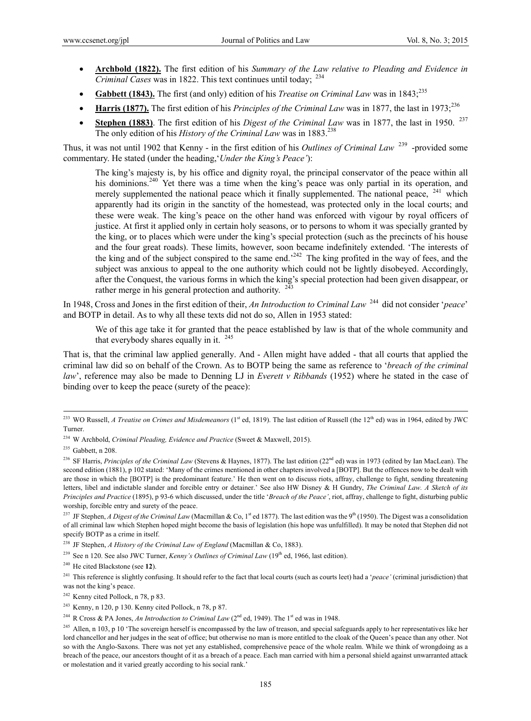- **Archbold (1822).** The first edition of his *Summary of the Law relative to Pleading and Evidence in Criminal Cases* was in 1822. This text continues until today; <sup>234</sup>
- Gabbett (1843). The first (and only) edition of his *Treatise on Criminal Law* was in 1843;<sup>235</sup>
- Harris (1877). The first edition of his *Principles of the Criminal Law* was in 1877, the last in 1973;<sup>236</sup>
- **Stephen (1883)**. The first edition of his *Digest of the Criminal Law* was in 1877, the last in 1950. <sup>237</sup> The only edition of his *History of the Criminal Law* was in 1883.<sup>238</sup>

Thus, it was not until 1902 that Kenny - in the first edition of his *Outlines of Criminal Law* 239 -provided some commentary. He stated (under the heading,'*Under the King's Peace'*):

The king's majesty is, by his office and dignity royal, the principal conservator of the peace within all his dominions.<sup>240</sup> Yet there was a time when the king's peace was only partial in its operation, and merely supplemented the national peace which it finally supplemented. The national peace,  $241$  which apparently had its origin in the sanctity of the homestead, was protected only in the local courts; and these were weak. The king's peace on the other hand was enforced with vigour by royal officers of justice. At first it applied only in certain holy seasons, or to persons to whom it was specially granted by the king, or to places which were under the king's special protection (such as the precincts of his house and the four great roads). These limits, however, soon became indefinitely extended. 'The interests of the king and of the subject conspired to the same end.<sup>242</sup> The king profited in the way of fees, and the subject was anxious to appeal to the one authority which could not be lightly disobeyed. Accordingly, after the Conquest, the various forms in which the king's special protection had been given disappear, or rather merge in his general protection and authority.  $243$ 

In 1948, Cross and Jones in the first edition of their, *An Introduction to Criminal Law* <sup>244</sup> did not consider '*peace*' and BOTP in detail. As to why all these texts did not do so, Allen in 1953 stated:

We of this age take it for granted that the peace established by law is that of the whole community and that everybody shares equally in it.  $245$ 

That is, that the criminal law applied generally. And - Allen might have added - that all courts that applied the criminal law did so on behalf of the Crown. As to BOTP being the same as reference to '*breach of the criminal law*', reference may also be made to Denning LJ in *Everett v Ribbands* (1952) where he stated in the case of binding over to keep the peace (surety of the peace):

<sup>&</sup>lt;sup>233</sup> WO Russell, *A Treatise on Crimes and Misdemeanors* (1<sup>st</sup> ed, 1819). The last edition of Russell (the 12<sup>th</sup> ed) was in 1964, edited by JWC Turner.

<sup>234</sup> W Archbold, *Criminal Pleading, Evidence and Practice* (Sweet & Maxwell, 2015).

 $235$  Gabbett, n 208.

<sup>&</sup>lt;sup>236</sup> SF Harris, *Principles of the Criminal Law* (Stevens & Haynes, 1877). The last edition (22<sup>nd</sup> ed) was in 1973 (edited by Ian MacLean). The second edition (1881), p 102 stated: 'Many of the crimes mentioned in other chapters involved a [BOTP]. But the offences now to be dealt with are those in which the [BOTP] is the predominant feature.' He then went on to discuss riots, affray, challenge to fight, sending threatening letters, libel and indictable slander and forcible entry or detainer.' See also HW Disney & H Gundry, *The Criminal Law. A Sketch of its Principles and Practice* (1895), p 93-6 which discussed, under the title '*Breach of the Peace'*, riot, affray, challenge to fight, disturbing public worship, forcible entry and surety of the peace.

<sup>&</sup>lt;sup>237</sup> JF Stephen, *A Digest of the Criminal Law* (Macmillan & Co, 1<sup>st</sup> ed 1877). The last edition was the 9<sup>th</sup> (1950). The Digest was a consolidation of all criminal law which Stephen hoped might become the basis of legislation (his hope was unfulfilled). It may be noted that Stephen did not specify BOTP as a crime in itself.

<sup>238</sup> JF Stephen, *A History of the Criminal Law of England* (Macmillan & Co, 1883).

<sup>&</sup>lt;sup>239</sup> See n 120. See also JWC Turner, *Kenny's Outlines of Criminal Law* (19<sup>th</sup> ed, 1966, last edition).

<sup>240</sup> He cited Blackstone (see **12**).

<sup>&</sup>lt;sup>241</sup> This reference is slightly confusing. It should refer to the fact that local courts (such as courts leet) had a '*peace'* (criminal jurisdiction) that was not the king's peace.

<sup>242</sup> Kenny cited Pollock, n 78, p 83.

<sup>&</sup>lt;sup>243</sup> Kenny, n 120, p 130. Kenny cited Pollock, n 78, p 87.

<sup>&</sup>lt;sup>244</sup> R Cross & PA Jones, *An Introduction to Criminal Law* (2<sup>nd</sup> ed, 1949). The 1<sup>st</sup> ed was in 1948.

<sup>&</sup>lt;sup>245</sup> Allen, n 103, p 10 'The sovereign herself is encompassed by the law of treason, and special safeguards apply to her representatives like her lord chancellor and her judges in the seat of office; but otherwise no man is more entitled to the cloak of the Queen's peace than any other. Not so with the Anglo-Saxons. There was not yet any established, comprehensive peace of the whole realm. While we think of wrongdoing as a breach of the peace, our ancestors thought of it as a breach of a peace. Each man carried with him a personal shield against unwarranted attack or molestation and it varied greatly according to his social rank.'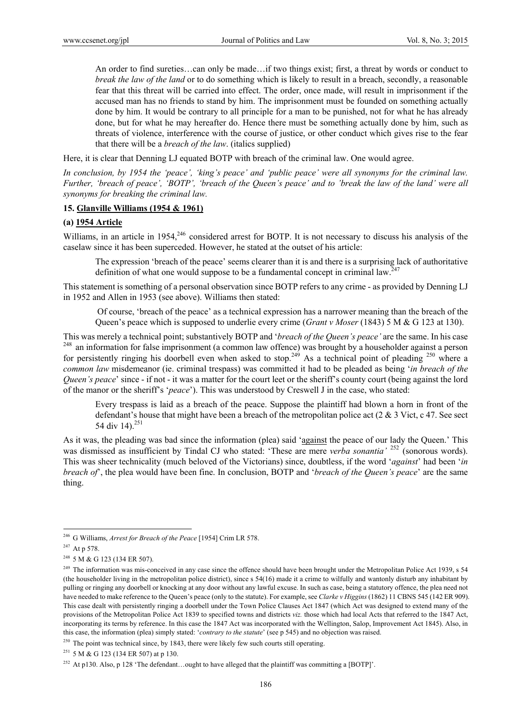An order to find sureties…can only be made…if two things exist; first, a threat by words or conduct to *break the law of the land* or to do something which is likely to result in a breach, secondly, a reasonable fear that this threat will be carried into effect. The order, once made, will result in imprisonment if the accused man has no friends to stand by him. The imprisonment must be founded on something actually done by him. It would be contrary to all principle for a man to be punished, not for what he has already done, but for what he may hereafter do. Hence there must be something actually done by him, such as threats of violence, interference with the course of justice, or other conduct which gives rise to the fear that there will be a *breach of the law*. (italics supplied)

Here, it is clear that Denning LJ equated BOTP with breach of the criminal law. One would agree.

*In conclusion, by 1954 the 'peace', 'king's peace' and 'public peace' were all synonyms for the criminal law. Further, 'breach of peace', 'BOTP', 'breach of the Queen's peace' and to 'break the law of the land' were all synonyms for breaking the criminal law.* 

### **15. Glanville Williams (1954 & 1961)**

### **(a) 1954 Article**

Williams, in an article in 1954,<sup>246</sup> considered arrest for BOTP. It is not necessary to discuss his analysis of the caselaw since it has been superceded. However, he stated at the outset of his article:

The expression 'breach of the peace' seems clearer than it is and there is a surprising lack of authoritative definition of what one would suppose to be a fundamental concept in criminal law.<sup>247</sup>

This statement is something of a personal observation since BOTP refers to any crime - as provided by Denning LJ in 1952 and Allen in 1953 (see above). Williams then stated:

Of course, 'breach of the peace' as a technical expression has a narrower meaning than the breach of the Queen's peace which is supposed to underlie every crime (*Grant v Moser* (1843) 5 M & G 123 at 130).

This was merely a technical point; substantively BOTP and 'breach of the Queen's peace' are the same. In his case <sup>248</sup> an information for false imprisonment (a common law offence) was brought by a householder against a pe for persistently ringing his doorbell even when asked to stop.<sup>249</sup> As a technical point of pleading <sup>250</sup> where a *common law* misdemeanor (ie. criminal trespass) was committed it had to be pleaded as being '*in breach of the Queen's peace*' since - if not - it was a matter for the court leet or the sheriff's county court (being against the lord of the manor or the sheriff's '*peace*'). This was understood by Creswell J in the case, who stated:

Every trespass is laid as a breach of the peace. Suppose the plaintiff had blown a horn in front of the defendant's house that might have been a breach of the metropolitan police act (2 & 3 Vict, c 47. See sect 54 div 14).<sup>251</sup>

As it was, the pleading was bad since the information (plea) said 'against the peace of our lady the Queen.' This was dismissed as insufficient by Tindal CJ who stated: 'These are mere *verba sonantia'* <sup>252</sup> (sonorous words). This was sheer technicality (much beloved of the Victorians) since, doubtless, if the word '*against*' had been '*in breach of*', the plea would have been fine. In conclusion, BOTP and '*breach of the Queen's peace*' are the same thing.

 $\overline{a}$ 

 $250$  The point was technical since, by 1843, there were likely few such courts still operating.

<sup>251</sup> 5 M & G 123 (134 ER 507) at p 130.

<sup>252</sup> At p130. Also, p 128 'The defendant...ought to have alleged that the plaintiff was committing a [BOTP]'.

<sup>246</sup> G Williams, *Arrest for Breach of the Peace* [1954] Crim LR 578.

<sup>247</sup> At p 578.

<sup>&</sup>lt;sup>248</sup> 5 M & G 123 (134 ER 507).

 $249$  The information was mis-conceived in any case since the offence should have been brought under the Metropolitan Police Act 1939, s 54 (the householder living in the metropolitan police district), since s 54(16) made it a crime to wilfully and wantonly disturb any inhabitant by pulling or ringing any doorbell or knocking at any door without any lawful excuse. In such as case, being a statutory offence, the plea need not have needed to make reference to the Queen's peace (only to the statute). For example, see *Clarke v Higgins* (1862) 11 CBNS 545 (142 ER 909). This case dealt with persistently ringing a doorbell under the Town Police Clauses Act 1847 (which Act was designed to extend many of the provisions of the Metropolitan Police Act 1839 to specified towns and districts *viz.* those which had local Acts that referred to the 1847 Act, incorporating its terms by reference. In this case the 1847 Act was incorporated with the Wellington, Salop, Improvement Act 1845). Also, in this case, the information (plea) simply stated: '*contrary to the statute*' (see p 545) and no objection was raised.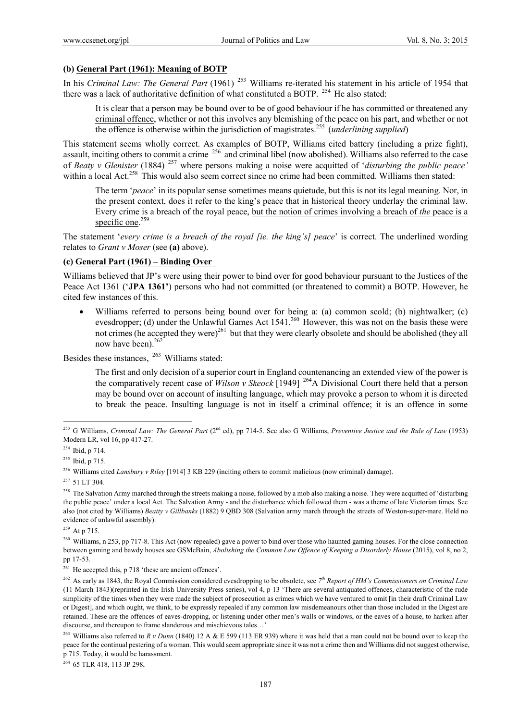### **(b) General Part (1961): Meaning of BOTP**

In his *Criminal Law: The General Part* (1961) <sup>253</sup> Williams re-iterated his statement in his article of 1954 that there was a lack of authoritative definition of what constituted a BOTP.<sup>254</sup> He also stated:

It is clear that a person may be bound over to be of good behaviour if he has committed or threatened any criminal offence, whether or not this involves any blemishing of the peace on his part, and whether or not the offence is otherwise within the jurisdiction of magistrates.255 (*underlining supplied*)

This statement seems wholly correct. As examples of BOTP, Williams cited battery (including a prize fight), assault, inciting others to commit a crime <sup>256</sup> and criminal libel (now abolished). Williams also referred to the case of *Beaty v Glenister* (1884) 257 where persons making a noise were acquitted of '*disturbing the public peace'* within a local Act.<sup>258</sup> This would also seem correct since no crime had been committed. Williams then stated:

The term '*peace*' in its popular sense sometimes means quietude, but this is not its legal meaning. Nor, in the present context, does it refer to the king's peace that in historical theory underlay the criminal law. Every crime is a breach of the royal peace, but the notion of crimes involving a breach of *the* peace is a specific one. $259$ 

The statement '*every crime is a breach of the royal [ie. the king's] peace*' is correct. The underlined wording relates to *Grant v Moser* (see **(a)** above).

### **(c) General Part (1961) – Binding Over**

Williams believed that JP's were using their power to bind over for good behaviour pursuant to the Justices of the Peace Act 1361 (**'JPA 1361'**) persons who had not committed (or threatened to commit) a BOTP. However, he cited few instances of this.

 Williams referred to persons being bound over for being a: (a) common scold; (b) nightwalker; (c) evesdropper; (d) under the Unlawful Games Act 1541.<sup>260</sup> However, this was not on the basis these were not crimes (he accepted they were)<sup>261</sup> but that they were clearly obsolete and should be abolished (they all now have been).<sup>262</sup>

Besides these instances, 263 Williams stated:

The first and only decision of a superior court in England countenancing an extended view of the power is the comparatively recent case of *Wilson v Skeock* [1949] 264A Divisional Court there held that a person may be bound over on account of insulting language, which may provoke a person to whom it is directed to break the peace. Insulting language is not in itself a criminal offence; it is an offence in some

 $\overline{a}$ 

259 At p 715.

264 65 TLR 418, 113 JP 298**.** 

<sup>253</sup> G Williams, *Criminal Law: The General Part* (2nd ed), pp 714-5. See also G Williams, *Preventive Justice and the Rule of Law* (1953) Modern LR, vol 16, pp 417-27.

 $254$  Ibid, p 714.

<sup>&</sup>lt;sup>255</sup> Ibid, p 715.

<sup>256</sup> Williams cited *Lansbury v Riley* [1914] 3 KB 229 (inciting others to commit malicious (now criminal) damage).

<sup>&</sup>lt;sup>257</sup> 51 LT 304.

<sup>&</sup>lt;sup>258</sup> The Salvation Army marched through the streets making a noise, followed by a mob also making a noise. They were acquitted of 'disturbing the public peace' under a local Act. The Salvation Army - and the disturbance which followed them - was a theme of late Victorian times. See also (not cited by Williams) *Beatty v Gillbanks* (1882) 9 QBD 308 (Salvation army march through the streets of Weston-super-mare. Held no evidence of unlawful assembly).

<sup>&</sup>lt;sup>260</sup> Williams, n 253, pp 717-8. This Act (now repealed) gave a power to bind over those who haunted gaming houses. For the close connection between gaming and bawdy houses see GSMcBain, *Abolishing the Common Law Offence of Keeping a Disorderly House* (2015), vol 8, no 2, pp 17-53.

<sup>&</sup>lt;sup>261</sup> He accepted this, p 718 'these are ancient offences'.

<sup>262</sup> As early as 1843, the Royal Commission considered evesdropping to be obsolete, see *7th Report of HM's Commissioners on Criminal Law* (11 March 1843)(reprinted in the Irish University Press series), vol 4, p 13 'There are several antiquated offences, characteristic of the rude simplicity of the times when they were made the subject of prosecution as crimes which we have ventured to omit [in their draft Criminal Law or Digest], and which ought, we think, to be expressly repealed if any common law misdemeanours other than those included in the Digest are retained. These are the offences of eaves-dropping, or listening under other men's walls or windows, or the eaves of a house, to harken after discourse, and thereupon to frame slanderous and mischievous tales…'

<sup>263</sup> Williams also referred to *R v Dunn* (1840) 12 A & E 599 (113 ER 939) where it was held that a man could not be bound over to keep the peace for the continual pestering of a woman. This would seem appropriate since it was not a crime then and Williams did not suggest otherwise, p 715. Today, it would be harassment.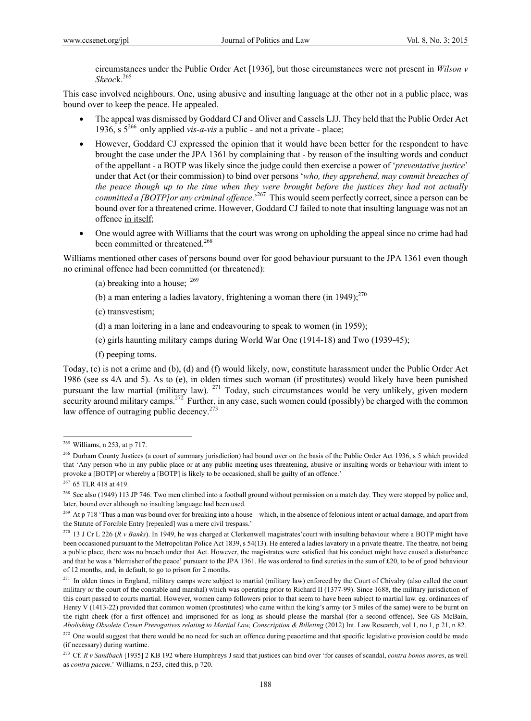circumstances under the Public Order Act [1936], but those circumstances were not present in *Wilson v Skeoc*k.265

This case involved neighbours. One, using abusive and insulting language at the other not in a public place, was bound over to keep the peace. He appealed.

- The appeal was dismissed by Goddard CJ and Oliver and Cassels LJJ. They held that the Public Order Act 1936, s 5266 only applied *vis-a-vis* a public - and not a private - place;
- However, Goddard CJ expressed the opinion that it would have been better for the respondent to have brought the case under the JPA 1361 by complaining that - by reason of the insulting words and conduct of the appellant - a BOTP was likely since the judge could then exercise a power of '*preventative justice*' under that Act (or their commission) to bind over persons '*who, they apprehend, may commit breaches of the peace though up to the time when they were brought before the justices they had not actually committed a [BOTP]or any criminal offence*.'267 This would seem perfectly correct, since a person can be bound over for a threatened crime. However, Goddard CJ failed to note that insulting language was not an offence in itself;
- One would agree with Williams that the court was wrong on upholding the appeal since no crime had had been committed or threatened.<sup>268</sup>

Williams mentioned other cases of persons bound over for good behaviour pursuant to the JPA 1361 even though no criminal offence had been committed (or threatened):

- (a) breaking into a house;  $^{269}$
- (b) a man entering a ladies lavatory, frightening a woman there (in 1949);  $270$
- (c) transvestism;
- (d) a man loitering in a lane and endeavouring to speak to women (in 1959);
- (e) girls haunting military camps during World War One (1914-18) and Two (1939-45);
- (f) peeping toms.

Today, (c) is not a crime and (b), (d) and (f) would likely, now, constitute harassment under the Public Order Act 1986 (see ss 4A and 5). As to (e), in olden times such woman (if prostitutes) would likely have been punished pursuant the law martial (military law). <sup>271</sup> Today, such circumstances would be very unlikely, given modern security around military camps.<sup>272</sup> Further, in any case, such women could (possibly) be charged with the common law offence of outraging public decency. $273$ 

 $\overline{a}$ 

<sup>267</sup> 65 TLR 418 at 419.

 $2^{65}$  Williams, n 253, at p 717.

<sup>&</sup>lt;sup>266</sup> Durham County Justices (a court of summary jurisdiction) had bound over on the basis of the Public Order Act 1936, s 5 which provided that 'Any person who in any public place or at any public meeting uses threatening, abusive or insulting words or behaviour with intent to provoke a [BOTP] or whereby a [BOTP] is likely to be occasioned, shall be guilty of an offence.'

<sup>&</sup>lt;sup>268</sup> See also (1949) 113 JP 746. Two men climbed into a football ground without permission on a match day. They were stopped by police and, later, bound over although no insulting language had been used.

<sup>&</sup>lt;sup>269</sup> At p 718 'Thus a man was bound over for breaking into a house – which, in the absence of felonious intent or actual damage, and apart from the Statute of Forcible Entry [repealed] was a mere civil trespass.'

<sup>&</sup>lt;sup>270</sup> 13 J Cr L 226 (*R v Banks*). In 1949, he was charged at Clerkenwell magistrates' court with insulting behaviour where a BOTP might have been occasioned pursuant to the Metropolitan Police Act 1839, s 54(13). He entered a ladies lavatory in a private theatre. The theatre, not being a public place, there was no breach under that Act. However, the magistrates were satisfied that his conduct might have caused a disturbance and that he was a 'blemisher of the peace' pursuant to the JPA 1361. He was ordered to find sureties in the sum of £20, to be of good behaviour of 12 months, and, in default, to go to prison for 2 months.

 $271$  In olden times in England, military camps were subject to martial (military law) enforced by the Court of Chivalry (also called the court military or the court of the constable and marshal) which was operating prior to Richard II (1377-99). Since 1688, the military jurisdiction of this court passed to courts martial. However, women camp followers prior to that seem to have been subject to martial law. eg. ordinances of Henry V (1413-22) provided that common women (prostitutes) who came within the king's army (or 3 miles of the same) were to be burnt on the right cheek (for a first offence) and imprisoned for as long as should please the marshal (for a second offence). See GS McBain, *Abolishing Obsolete Crown Prerogatives relating to Martial Law, Conscription & Billeting* (2012) Int. Law Research, vol 1, no 1, p 21, n 82.

<sup>&</sup>lt;sup>272</sup> One would suggest that there would be no need for such an offence during peacetime and that specific legislative provision could be made (if necessary) during wartime.

<sup>273</sup> Cf. *R v Sandbach* [1935] 2 KB 192 where Humphreys J said that justices can bind over 'for causes of scandal, *contra bonos mores*, as well as *contra pacem*.' Williams, n 253, cited this, p 720.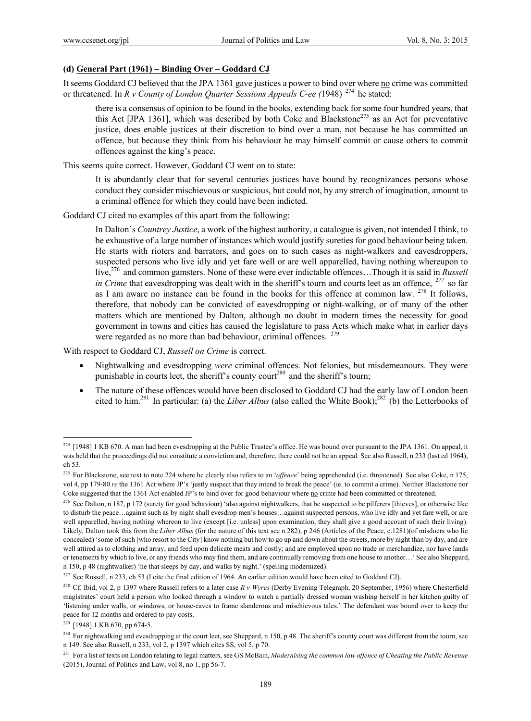### **(d) General Part (1961) – Binding Over – Goddard CJ**

It seems Goddard CJ believed that the JPA 1361 gave justices a power to bind over where no crime was committed or threatened. In *R v County of London Quarter Sessions Appeals C-ee (*1948) 274 he stated:

there is a consensus of opinion to be found in the books, extending back for some four hundred years, that this Act [JPA 1361], which was described by both Coke and Blackstone<sup>275</sup> as an Act for preventative justice, does enable justices at their discretion to bind over a man, not because he has committed an offence, but because they think from his behaviour he may himself commit or cause others to commit offences against the king's peace.

This seems quite correct. However, Goddard CJ went on to state:

It is abundantly clear that for several centuries justices have bound by recognizances persons whose conduct they consider mischievous or suspicious, but could not, by any stretch of imagination, amount to a criminal offence for which they could have been indicted.

Goddard CJ cited no examples of this apart from the following:

In Dalton's *Countrey Justice*, a work of the highest authority, a catalogue is given, not intended I think, to be exhaustive of a large number of instances which would justify sureties for good behaviour being taken. He starts with rioters and barrators, and goes on to such cases as night-walkers and eavesdroppers, suspected persons who live idly and yet fare well or are well apparelled, having nothing whereupon to live,276 and common gamsters. None of these were ever indictable offences…Though it is said in *Russell in Crime* that eavesdropping was dealt with in the sheriff's tourn and courts leet as an offence, <sup>277</sup> so far as I am aware no instance can be found in the books for this offence at common law.  $^{278}$  It follows, therefore, that nobody can be convicted of eavesdropping or night-walking, or of many of the other matters which are mentioned by Dalton, although no doubt in modern times the necessity for good government in towns and cities has caused the legislature to pass Acts which make what in earlier days were regarded as no more than bad behaviour, criminal offences. <sup>279</sup>

With respect to Goddard CJ, *Russell on Crime* is correct.

- Nightwalking and evesdropping *were* criminal offences. Not felonies, but misdemeanours. They were punishable in courts leet, the sheriff's county court<sup>280</sup> and the sheriff's tourn;
- The nature of these offences would have been disclosed to Goddard CJ had the early law of London been cited to him.<sup>281</sup> In particular: (a) the *Liber Albus* (also called the White Book);<sup>282</sup> (b) the Letterbooks of

 $^{274}$  [1948] 1 KB 670. A man had been evesdropping at the Public Trustee's office. He was bound over pursuant to the JPA 1361. On appeal, it was held that the proceedings did not constitute a conviction and, therefore, there could not be an appeal. See also Russell, n 233 (last ed 1964), ch 53.

<sup>&</sup>lt;sup>275</sup> For Blackstone, see text to note 224 where he clearly also refers to an '*offence*' being apprehended (i.e. threatened). See also Coke, n 175, vol 4, pp 179-80 *re* the 1361 Act where JP's 'justly suspect that they intend to break the peace' (ie. to commit a crime). Neither Blackstone nor Coke suggested that the 1361 Act enabled JP's to bind over for good behaviour where no crime had been committed or threatened.

<sup>&</sup>lt;sup>276</sup> See Dalton, n 187, p 172 (surety for good behaviour) 'also against nightwalkers, that be suspected to be pilferers [thieves], or otherwise like to disturb the peace…against such as by night shall evesdrop men's houses…against suspected persons, who live idly and yet fare well, or are well apparelled, having nothing whereon to live (except [i.e. unless] upon examination, they shall give a good account of such their living). Likely, Dalton took this from the *Liber Albus* (for the nature of this text see n 282), p 246 (Articles of the Peace, c.1281)(of misdoers who lie concealed) 'some of such [who resort to the City] know nothing but how to go up and down about the streets, more by night than by day, and are well attired as to clothing and array, and feed upon delicate meats and costly; and are employed upon no trade or merchandize, nor have lands or tenements by which to live, or any friends who may find them, and are continually removing from one house to another…' See also Sheppard, n 150, p 48 (nightwalker) 'he that sleeps by day, and walks by night.' (spelling modernized).

 $277$  See Russell, n 233, ch 53 (I cite the final edition of 1964. An earlier edition would have been cited to Goddard CJ).

<sup>278</sup> Cf. Ibid, vol 2, p 1397 where Russell refers to a later case *R v Wyres* (Derby Evening Telegraph, 20 September, 1956) where Chesterfield magistrates' court held a person who looked through a window to watch a partially dressed woman washing herself in her kitchen guilty of 'listening under walls, or windows, or house-eaves to frame slanderous and mischievous tales.' The defendant was bound over to keep the peace for 12 months and ordered to pay costs.

<sup>279 [1948] 1</sup> KB 670, pp 674-5.

<sup>&</sup>lt;sup>280</sup> For nightwalking and evesdropping at the court leet, see Sheppard, n 150, p 48. The sheriff's county court was different from the tourn, see n 149. See also Russell, n 233, vol 2, p 1397 which cites SS, vol 5, p 70.

<sup>&</sup>lt;sup>281</sup> For a list of texts on London relating to legal matters, see GS McBain, *Modernising the common law offence of Cheating the Public Revenue* (2015), Journal of Politics and Law, vol 8, no 1, pp 56-7.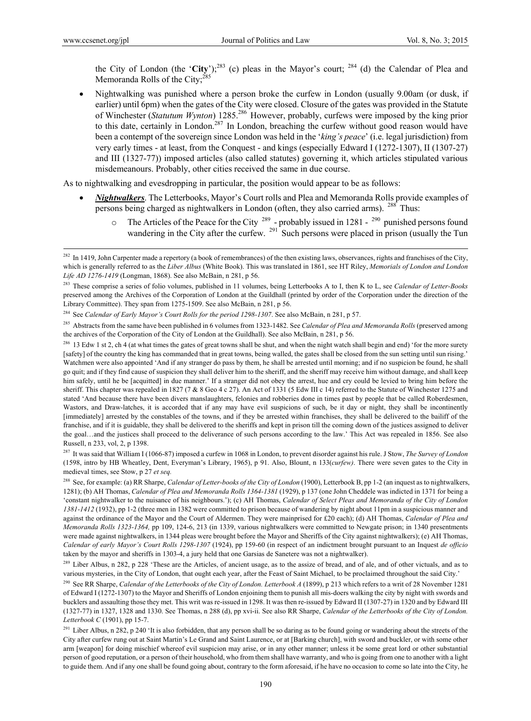the City of London (the '**City**');<sup>283</sup> (c) pleas in the Mayor's court; <sup>284</sup> (d) the Calendar of Plea and Memoranda Rolls of the City:<sup>285</sup>

 Nightwalking was punished where a person broke the curfew in London (usually 9.00am (or dusk, if earlier) until 6pm) when the gates of the City were closed. Closure of the gates was provided in the Statute of Winchester (*Statutum Wynton*) 1285.286 However, probably, curfews were imposed by the king prior to this date, certainly in London.<sup>287</sup> In London, breaching the curfew without good reason would have been a contempt of the sovereign since London was held in the '*king's peace*' (i.e. legal jurisdiction) from very early times - at least, from the Conquest - and kings (especially Edward I (1272-1307), II (1307-27) and III (1327-77)) imposed articles (also called statutes) governing it, which articles stipulated various misdemeanours. Probably, other cities received the same in due course.

As to nightwalking and evesdropping in particular, the position would appear to be as follows:

- *Nightwalkers*. The Letterbooks, Mayor's Court rolls and Plea and Memoranda Rolls provide examples of persons being charged as nightwalkers in London (often, they also carried arms). <sup>288</sup> Thus:
	- The Articles of the Peace for the City  $^{289}$  probably issued in 1281  $^{290}$  punished persons found wandering in the City after the curfew.  $^{291}$  Such persons were placed in prison (usually the Tun

284 See *Calendar of Early Mayor's Court Rolls for the period 1298-1307*. See also McBain, n 281, p 57.

285 Abstracts from the same have been published in 6 volumes from 1323-1482. See *Calendar of Plea and Memoranda Rolls* (preserved among the archives of the Corporation of the City of London at the Guildhall). See also McBain, n 281, p 56.

287 It was said that William I (1066-87) imposed a curfew in 1068 in London, to prevent disorder against his rule. J Stow, *The Survey of London* (1598, intro by HB Wheatley, Dent, Everyman's Library, 1965), p 91. Also, Blount, n 133(*curfew)*. There were seven gates to the City in medieval times, see Stow, p 27 *et seq.* 

288 See, for example: (a) RR Sharpe, *Calendar of Letter-books of the City of London* (1900), Letterbook B, pp 1-2 (an inquest as to nightwalkers, 1281); (b) AH Thomas, *Calendar of Plea and Memoranda Rolls 1364-1381* (1929), p 137 (one John Cheddele was indicted in 1371 for being a 'constant nightwalker to the nuisance of his neighbours.'); (c) AH Thomas, *Calendar of Select Pleas and Memoranda of the City of London 1381-1412* (1932), pp 1-2 (three men in 1382 were committed to prison because of wandering by night about 11pm in a suspicious manner and against the ordinance of the Mayor and the Court of Aldermen. They were mainprised for £20 each); (d) AH Thomas, *Calendar of Plea and Memoranda Rolls 1323-1364,* pp 109, 124-6, 213 (in 1339, various nightwalkers were committed to Newgate prison; in 1340 presentments were made against nightwalkers, in 1344 pleas were brought before the Mayor and Sheriffs of the City against nightwalkers); (e) AH Thomas, *Calendar of early Mayor's Court Rolls 1298-1307* (1924), pp 159-60 (in respect of an indictment brought pursuant to an Inquest *de officio* taken by the mayor and sheriffs in 1303-4, a jury held that one Garsias de Sanetere was not a nightwalker).

 $^{282}$  In 1419, John Carpenter made a repertory (a book of remembrances) of the then existing laws, observances, rights and franchises of the City. which is generally referred to as the *Liber Albus* (White Book). This was translated in 1861, see HT Riley, *Memorials of London and London Life AD 1276-1419* (Longman, 1868). See also McBain, n 281, p 56.

<sup>283</sup> These comprise a series of folio volumes, published in 11 volumes, being Letterbooks A to I, then K to L, see *Calendar of Letter-Books*  preserved among the Archives of the Corporation of London at the Guildhall (printed by order of the Corporation under the direction of the Library Committee). They span from 1275-1509. See also McBain, n 281, p 56.

<sup>&</sup>lt;sup>286</sup> 13 Edw 1 st 2, ch 4 (at what times the gates of great towns shall be shut, and when the night watch shall begin and end) 'for the more surety [safety] of the country the king has commanded that in great towns, being walled, the gates shall be closed from the sun setting until sun rising.' Watchmen were also appointed 'And if any stranger do pass by them, he shall be arrested until morning; and if no suspicion be found, he shall go quit; and if they find cause of suspicion they shall deliver him to the sheriff, and the sheriff may receive him without damage, and shall keep him safely, until he be [acquitted] in due manner.' If a stranger did not obey the arrest, hue and cry could be levied to bring him before the sheriff. This chapter was repealed in 1827 (7 & 8 Geo 4 c 27). An Act of 1331 (5 Edw III c 14) referred to the Statute of Winchester 1275 and stated 'And because there have been divers manslaughters, felonies and robberies done in times past by people that be called Roberdesmen, Wastors, and Draw-latches, it is accorded that if any may have evil suspicions of such, be it day or night, they shall be incontinently [immediately] arrested by the constables of the towns, and if they be arrested within franchises, they shall be delivered to the bailiff of the franchise, and if it is guidable, they shall be delivered to the sheriffs and kept in prison till the coming down of the justices assigned to deliver the goal…and the justices shall proceed to the deliverance of such persons according to the law.' This Act was repealed in 1856. See also Russell, n 233, vol, 2, p 1398.

<sup>&</sup>lt;sup>289</sup> Liber Albus, n 282, p 228 'These are the Articles, of ancient usage, as to the assize of bread, and of ale, and of other victuals, and as to various mysteries, in the City of London, that ought each year, after the Feast of Saint Michael, to be proclaimed throughout the said City.'

<sup>290</sup> See RR Sharpe, *Calendar of the Letterbooks of the City of London. Letterbook A* (1899), p 213 which refers to a writ of 28 November 1281 of Edward I (1272-1307) to the Mayor and Sheriffs of London enjoining them to punish all mis-doers walking the city by night with swords and bucklers and assaulting those they met. This writ was re-issued in 1298. It was then re-issued by Edward II (1307-27) in 1320 and by Edward III (1327-77) in 1327, 1328 and 1330. See Thomas, n 288 (d), pp xvi-ii. See also RR Sharpe, *Calendar of the Letterbooks of the City of London. Letterbook C* (1901), pp 15-7.

<sup>&</sup>lt;sup>291</sup> Liber Albus, n 282, p 240 'It is also forbidden, that any person shall be so daring as to be found going or wandering about the streets of the City after curfew rung out at Saint Martin's Le Grand and Saint Laurence, or at [Barking church], with sword and buckler, or with some other arm [weapon] for doing mischief whereof evil suspicion may arise, or in any other manner; unless it be some great lord or other substantial person of good reputation, or a person of their household, who from them shall have warranty, and who is going from one to another with a light to guide them. And if any one shall be found going about, contrary to the form aforesaid, if he have no occasion to come so late into the City, he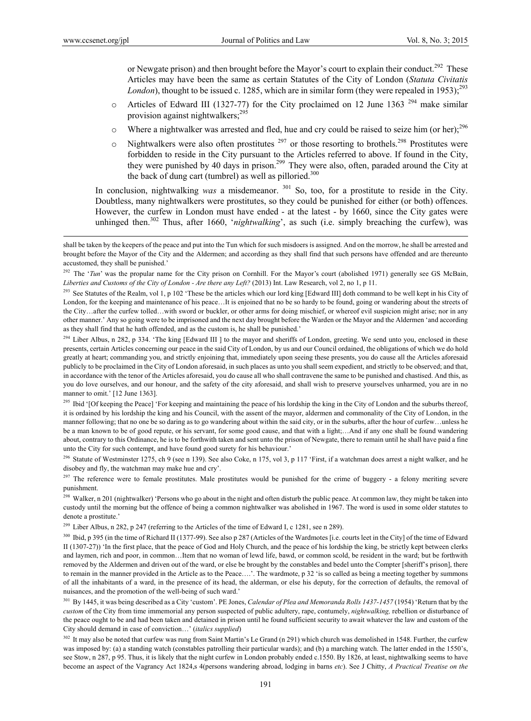or Newgate prison) and then brought before the Mayor's court to explain their conduct.<sup>292</sup> These Articles may have been the same as certain Statutes of the City of London (*Statuta Civitatis London*), thought to be issued c. 1285, which are in similar form (they were repealed in 1953);<sup>293</sup>

- $\circ$  Articles of Edward III (1327-77) for the City proclaimed on 12 June 1363<sup>294</sup> make similar provision against nightwalkers;<sup>295</sup>
- $\circ$  Where a nightwalker was arrested and fled, hue and cry could be raised to seize him (or her);<sup>296</sup>
- $\circ$  Nightwalkers were also often prostitutes  $^{297}$  or those resorting to brothels.<sup>298</sup> Prostitutes were forbidden to reside in the City pursuant to the Articles referred to above. If found in the City, they were punished by 40 days in prison.<sup>299</sup> They were also, often, paraded around the City at the back of dung cart (tumbrel) as well as pilloried.<sup>300</sup>

In conclusion, nightwalking *was* a misdemeanor. <sup>301</sup> So, too, for a prostitute to reside in the City. Doubtless, many nightwalkers were prostitutes, so they could be punished for either (or both) offences. However, the curfew in London must have ended - at the latest - by 1660, since the City gates were unhinged then.<sup>302</sup> Thus, after 1660, '*nightwalking*', as such (i.e. simply breaching the curfew), was

<sup>294</sup> Liber Albus, n 282, p 334. 'The king [Edward III] to the mayor and sheriffs of London, greeting. We send unto you, enclosed in these presents, certain Articles concerning our peace in the said City of London, by us and our Council ordained, the obligations of which we do hold greatly at heart; commanding you, and strictly enjoining that, immediately upon seeing these presents, you do cause all the Articles aforesaid publicly to be proclaimed in the City of London aforesaid, in such places as unto you shall seem expedient, and strictly to be observed; and that, in accordance with the tenor of the Articles aforesaid, you do cause all who shall contravene the same to be punished and chastised. And this, as you do love ourselves, and our honour, and the safety of the city aforesaid, and shall wish to preserve yourselves unharmed, you are in no manner to omit.' [12 June 1363].

<sup>295</sup> Ibid '[Of keeping the Peace] 'For keeping and maintaining the peace of his lordship the king in the City of London and the suburbs thereof, it is ordained by his lordship the king and his Council, with the assent of the mayor, aldermen and commonality of the City of London, in the manner following; that no one be so daring as to go wandering about within the said city, or in the suburbs, after the hour of curfew…unless he be a man known to be of good repute, or his servant, for some good cause, and that with a light;…And if any one shall be found wandering about, contrary to this Ordinance, he is to be forthwith taken and sent unto the prison of Newgate, there to remain until he shall have paid a fine unto the City for such contempt, and have found good surety for his behaviour.'

<sup>296</sup> Statute of Westminster 1275, ch 9 (see n 139). See also Coke, n 175, vol 3, p 117 'First, if a watchman does arrest a night walker, and he disobey and fly, the watchman may make hue and cry'.

<sup>297</sup> The reference were to female prostitutes. Male prostitutes would be punished for the crime of buggery - a felony meriting severe punishment.

<sup>298</sup> Walker, n 201 (nightwalker) 'Persons who go about in the night and often disturb the public peace. At common law, they might be taken into custody until the morning but the offence of being a common nightwalker was abolished in 1967. The word is used in some older statutes to denote a prostitute.'

<sup>299</sup> Liber Albus, n 282, p 247 (referring to the Articles of the time of Edward I, c 1281, see n 289).

<sup>300</sup> Ibid, p 395 (in the time of Richard II (1377-99). See also p 287 (Articles of the Wardmotes [i.e. courts leet in the City] of the time of Edward II (1307-27)) 'In the first place, that the peace of God and Holy Church, and the peace of his lordship the king, be strictly kept between clerks and laymen, rich and poor, in common…Item that no woman of lewd life, bawd, or common scold, be resident in the ward; but be forthwith removed by the Aldermen and driven out of the ward, or else be brought by the constables and bedel unto the Compter [sheriff's prison], there to remain in the manner provided in the Article as to the Peace….'. The wardmote, p 32 'is so called as being a meeting together by summons of all the inhabitants of a ward, in the presence of its head, the alderman, or else his deputy, for the correction of defaults, the removal of nuisances, and the promotion of the well-being of such ward.'

301 By 1445, it was being described as a City 'custom'. PE Jones, *Calendar of Plea and Memoranda Rolls 1437-1457* (1954) 'Return that by the *custom* of the City from time immemorial any person suspected of public adultery, rape, contumely, *nightwalking,* rebellion or disturbance of the peace ought to be and had been taken and detained in prison until he found sufficient security to await whatever the law and custom of the City should demand in case of conviction…' (*italics supplied*)

<sup>302</sup> It may also be noted that curfew was rung from Saint Martin's Le Grand (n 291) which church was demolished in 1548. Further, the curfew was imposed by: (a) a standing watch (constables patrolling their particular wards); and (b) a marching watch. The latter ended in the 1550's, see Stow, n 287, p 95. Thus, it is likely that the night curfew in London probably ended c.1550. By 1826, at least, nightwalking seems to have become an aspect of the Vagrancy Act 1824,s 4(persons wandering abroad, lodging in barns *etc*). See J Chitty, *A Practical Treatise on the* 

shall be taken by the keepers of the peace and put into the Tun which for such misdoers is assigned. And on the morrow, he shall be arrested and brought before the Mayor of the City and the Aldermen; and according as they shall find that such persons have offended and are thereunto accustomed, they shall be punished.'

<sup>&</sup>lt;sup>292</sup> The '*Tun*' was the propular name for the City prison on Cornhill. For the Mayor's court (abolished 1971) generally see GS McBain, *Liberties and Customs of the City of London - Are there any Left?* (2013) Int. Law Research, vol 2, no 1, p 11.

<sup>&</sup>lt;sup>293</sup> See Statutes of the Realm, vol 1, p 102 'These be the articles which our lord king [Edward III] doth command to be well kept in his City of London, for the keeping and maintenance of his peace...It is enjoined that no be so hardy to be found, going or wandering about the streets of the City…after the curfew tolled…with sword or buckler, or other arms for doing mischief, or whereof evil suspicion might arise; nor in any other manner.' Any so going were to be imprisoned and the next day brought before the Warden or the Mayor and the Aldermen 'and according as they shall find that he hath offended, and as the custom is, he shall be punished.'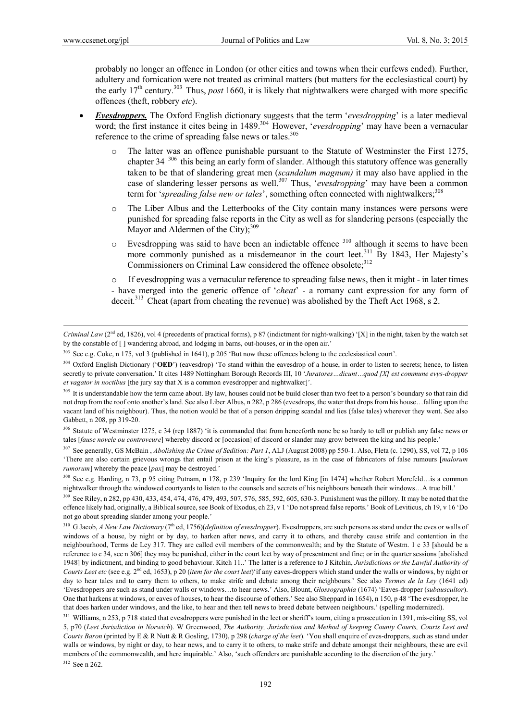probably no longer an offence in London (or other cities and towns when their curfews ended). Further, adultery and fornication were not treated as criminal matters (but matters for the ecclesiastical court) by the early 17th century.303 Thus, *post* 1660, it is likely that nightwalkers were charged with more specific offences (theft, robbery *etc*).

- *Evesdroppers.* The Oxford English dictionary suggests that the term '*evesdropping*' is a later medieval word; the first instance it cites being in 1489.<sup>304</sup> However, '*evesdropping*' may have been a vernacular reference to the crime of spreading false news or tales.<sup>305</sup>
	- The latter was an offence punishable pursuant to the Statute of Westminster the First 1275, chapter 34 306 this being an early form of slander. Although this statutory offence was generally taken to be that of slandering great men (*scandalum magnum)* it may also have applied in the case of slandering lesser persons as well.<sup>307</sup> Thus, '*evesdropping*' may have been a common term for '*spreading false new or tales*', something often connected with nightwalkers;<sup>308</sup>
	- o The Liber Albus and the Letterbooks of the City contain many instances were persons were punished for spreading false reports in the City as well as for slandering persons (especially the Mayor and Aldermen of the City);<sup>309</sup>
	- $\circ$  Evesdropping was said to have been an indictable offence  $310$  although it seems to have been more commonly punished as a misdemeanor in the court leet.<sup>311</sup> By 1843, Her Majesty's Commissioners on Criminal Law considered the offence obsolete;<sup>312</sup>

o If evesdropping was a vernacular reference to spreading false news, then it might - in later times - have merged into the generic offence of '*cheat*' - a romany cant expression for any form of deceit.<sup>313</sup> Cheat (apart from cheating the revenue) was abolished by the Theft Act 1968, s 2.

307 See generally, GS McBain , *Abolishing the Crime of Sedition: Part 1*, ALJ (August 2008) pp 550-1. Also, Fleta (c. 1290), SS, vol 72, p 106 'There are also certain grievous wrongs that entail prison at the king's pleasure, as in the case of fabricators of false rumours [*malorum rumorum*] whereby the peace [*pax*] may be destroyed.'

<sup>309</sup> See Riley, n 282, pp 430, 433, 454, 474, 476, 479, 493, 507, 576, 585, 592, 605, 630-3. Punishment was the pillory. It may be noted that the offence likely had, originally, a Biblical source, see Book of Exodus, ch 23, v 1 'Do not spread false reports.' Book of Leviticus, ch 19, v 16 'Do not go about spreading slander among your people.'

*Criminal Law* ( $2<sup>nd</sup>$  ed, 1826), vol 4 (precedents of practical forms), p 87 (indictment for night-walking) '[X] in the night, taken by the watch set by the constable of [ ] wandering abroad, and lodging in barns, out-houses, or in the open air.'

<sup>&</sup>lt;sup>303</sup> See e.g. Coke, n 175, vol 3 (published in 1641), p 205 'But now these offences belong to the ecclesiastical court'.

<sup>&</sup>lt;sup>304</sup> Oxford English Dictionary ('OED') (eavesdrop) 'To stand within the eavesdrop of a house, in order to listen to secrets; hence, to listen secretly to private conversation.' It cites 1489 Nottingham Borough Records III, 10 '*Juratores…dicunt…quod [X] est commune evys-dropper et vagator in noctibus* [the jury say that X is a common evesdropper and nightwalker]'.

<sup>&</sup>lt;sup>305</sup> It is understandable how the term came about. By law, houses could not be build closer than two feet to a person's boundary so that rain did not drop from the roof onto another's land. See also Liber Albus, n 282, p 286 (evesdrops, the water that drops from his house…falling upon the vacant land of his neighbour). Thus, the notion would be that of a person dripping scandal and lies (false tales) wherever they went. See also Gabbett, n 208, pp 319-20.

<sup>&</sup>lt;sup>306</sup> Statute of Westminster 1275, c 34 (rep 1887) 'it is commanded that from henceforth none be so hardy to tell or publish any false news or tales [*fause novele ou controveure*] whereby discord or [occasion] of discord or slander may grow between the king and his people.'

<sup>308</sup> See e.g. Harding, n 73, p 95 citing Putnam, n 178, p 239 'Inquiry for the lord King [in 1474] whether Robert Morefeld…is a common nightwalker through the windowed courtyards to listen to the counsels and secrets of his neighbours beneath their windows…A true bill.'

<sup>&</sup>lt;sup>310</sup> G Jacob, *A New Law Dictionary* (7<sup>th</sup> ed, 1756)(*definition of evesdropper*). Evesdroppers, are such persons as stand under the eves or walls of windows of a house, by night or by day, to harken after news, and carry it to others, and thereby cause strife and contention in the neighbourhood, Terms de Ley 317. They are called evil members of the commonwealth; and by the Statute of Westm. 1 c 33 [should be a reference to c 34, see n 306] they may be punished, either in the court leet by way of presentment and fine; or in the quarter sessions [abolished 1948] by indictment, and binding to good behaviour. Kitch 11..' The latter is a reference to J Kitchin, *Jurisdictions or the Lawful Authority of Courts Leet etc* (see e.g. 2<sup>nd</sup> ed, 1653), p 20 (*item for the court leet*)'if any eaves-droppers which stand under the walls or windows, by night or day to hear tales and to carry them to others, to make strife and debate among their neighbours.' See also *Termes de la Ley* (1641 ed) 'Evesdroppers are such as stand under walls or windows…to hear news.' Also, Blount, *Glossographia* (1674) 'Eaves-dropper (*subauscultor*). One that harkens at windows, or eaves of houses, to hear the discourse of others.' See also Sheppard in 1654), n 150, p 48 'The evesdropper, he that does harken under windows, and the like, to hear and then tell news to breed debate between neighbours.' (spelling modernized).

<sup>&</sup>lt;sup>311</sup> Williams, n 253, p 718 stated that evesdroppers were punished in the leet or sheriff's tourn, citing a prosecution in 1391, mis-citing SS, vol 5, p70 (*Leet Jurisdiction in Norwich*). W Greenwood, *The Authority, Jurisdiction and Method of keeping County Courts, Courts Leet and Courts Baron* (printed by E & R Nutt & R Gosling, 1730), p 298 (*charge of the leet*). 'You shall enquire of eves-droppers, such as stand under walls or windows, by night or day, to hear news, and to carry it to others, to make strife and debate amongst their neighbours, these are evil members of the commonwealth, and here inquirable.' Also, 'such offenders are punishable according to the discretion of the jury.' 312 See n 262.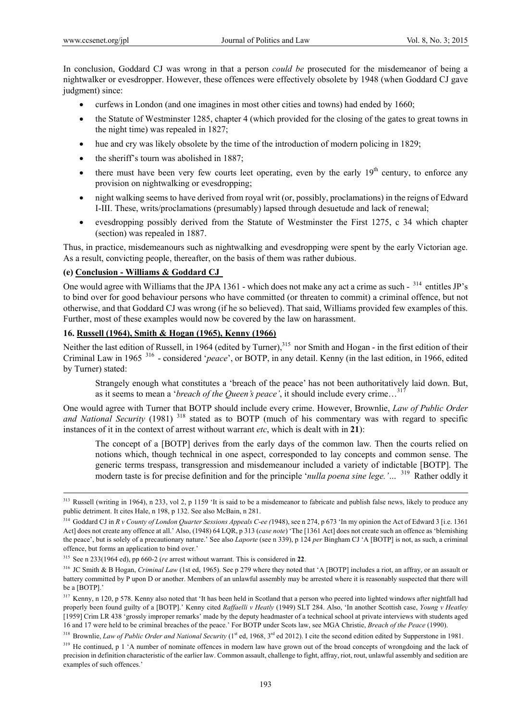In conclusion, Goddard CJ was wrong in that a person *could be* prosecuted for the misdemeanor of being a nightwalker or evesdropper. However, these offences were effectively obsolete by 1948 (when Goddard CJ gave judgment) since:

- curfews in London (and one imagines in most other cities and towns) had ended by 1660;
- the Statute of Westminster 1285, chapter 4 (which provided for the closing of the gates to great towns in the night time) was repealed in 1827;
- hue and cry was likely obsolete by the time of the introduction of modern policing in 1829;
- the sheriff's tourn was abolished in 1887;
- $\bullet$  there must have been very few courts leet operating, even by the early  $19<sup>th</sup>$  century, to enforce any provision on nightwalking or evesdropping;
- night walking seems to have derived from royal writ (or, possibly, proclamations) in the reigns of Edward I-III. These, writs/proclamations (presumably) lapsed through desuetude and lack of renewal;
- evesdropping possibly derived from the Statute of Westminster the First 1275, c 34 which chapter (section) was repealed in 1887.

Thus, in practice, misdemeanours such as nightwalking and evesdropping were spent by the early Victorian age. As a result, convicting people, thereafter, on the basis of them was rather dubious.

### **(e) Conclusion - Williams & Goddard CJ**

One would agree with Williams that the JPA 1361 - which does not make any act a crime as such -  $314$  entitles JP's to bind over for good behaviour persons who have committed (or threaten to commit) a criminal offence, but not otherwise, and that Goddard CJ was wrong (if he so believed). That said, Williams provided few examples of this. Further, most of these examples would now be covered by the law on harassment.

### **16. Russell (1964), Smith & Hogan (1965), Kenny (1966)**

Neither the last edition of Russell, in 1964 (edited by Turner),<sup>315</sup> nor Smith and Hogan - in the first edition of their Criminal Law in 1965 316 - considered '*peace*', or BOTP, in any detail. Kenny (in the last edition, in 1966, edited by Turner) stated:

Strangely enough what constitutes a 'breach of the peace' has not been authoritatively laid down. But, as it seems to mean a '*breach of the Queen's peace'*, it should include every crime…317

One would agree with Turner that BOTP should include every crime. However, Brownlie, *Law of Public Order*  and National Security (1981) <sup>318</sup> stated as to BOTP (much of his commentary was with regard to specific instances of it in the context of arrest without warrant *etc*, which is dealt with in **21**):

The concept of a [BOTP] derives from the early days of the common law. Then the courts relied on notions which, though technical in one aspect, corresponded to lay concepts and common sense. The generic terms trespass, transgression and misdemeanour included a variety of indictable [BOTP]. The modern taste is for precise definition and for the principle '*nulla poena sine lege.'…* 319 Rather oddly it

<sup>&</sup>lt;sup>313</sup> Russell (writing in 1964), n 233, vol 2, p 1159 'It is said to be a misdemeanor to fabricate and publish false news, likely to produce any public detriment. It cites Hale, n 198, p 132. See also McBain, n 281.

<sup>&</sup>lt;sup>314</sup> Goddard CJ in *R v County of London Quarter Sessions Appeals C-ee* (1948), see n 274, p 673 'In my opinion the Act of Edward 3 [i.e. 1361 Act] does not create any offence at all.' Also, (1948) 64 LQR, p 313 (*case note*) 'The [1361 Act] does not create such an offence as 'blemishing the peace', but is solely of a precautionary nature.' See also *Laporte* (see n 339), p 124 *per* Bingham CJ 'A [BOTP] is not, as such, a criminal offence, but forms an application to bind over.'

<sup>315</sup> See n 233(1964 ed), pp 660-2 (*re* arrest without warrant. This is considered in **22**.

<sup>&</sup>lt;sup>316</sup> JC Smith & B Hogan, *Criminal Law* (1st ed, 1965). See p 279 where they noted that 'A [BOTP] includes a riot, an affray, or an assault or battery committed by P upon D or another. Members of an unlawful assembly may be arrested where it is reasonably suspected that there will be a [BOTP].'

<sup>&</sup>lt;sup>317</sup> Kenny, n 120, p 578. Kenny also noted that 'It has been held in Scotland that a person who peered into lighted windows after nightfall had properly been found guilty of a [BOTP].' Kenny cited *Raffaelli v Heatly* (1949) SLT 284. Also, 'In another Scottish case, *Young v Heatley* [1959] Crim LR 438 'grossly improper remarks' made by the deputy headmaster of a technical school at private interviews with students aged 16 and 17 were held to be criminal breaches of the peace.' For BOTP under Scots law, see MGA Christie, *Breach of the Peace* (1990).

<sup>&</sup>lt;sup>318</sup> Brownlie, *Law of Public Order and National Security* (1<sup>st</sup> ed, 1968, 3<sup>rd</sup> ed 2012). I cite the second edition edited by Supperstone in 1981.

<sup>&</sup>lt;sup>319</sup> He continued, p 1 'A number of nominate offences in modern law have grown out of the broad concepts of wrongdoing and the lack of precision in definition characteristic of the earlier law. Common assault, challenge to fight, affray, riot, rout, unlawful assembly and sedition are examples of such offences.'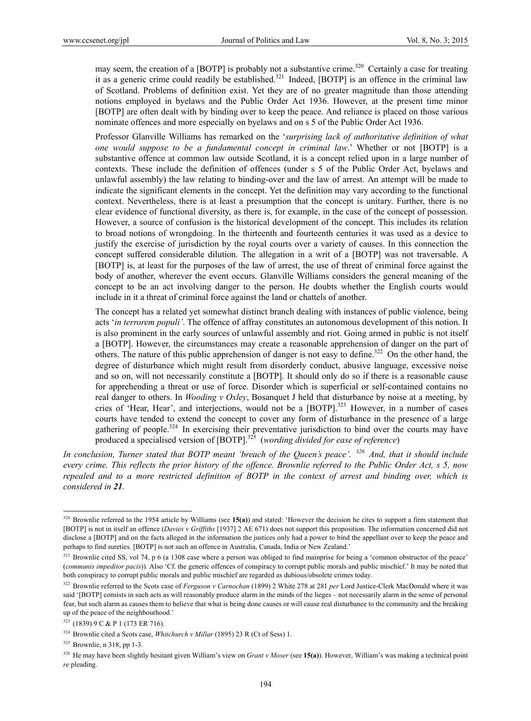may seem, the creation of a [BOTP] is probably not a substantive crime.<sup>320</sup> Certainly a case for treating it as a generic crime could readily be established.<sup>321</sup> Indeed, [BOTP] is an offence in the criminal law of Scotland. Problems of definition exist. Yet they are of no greater magnitude than those attending notions employed in byelaws and the Public Order Act 1936. However, at the present time minor [BOTP] are often dealt with by binding over to keep the peace. And reliance is placed on those various nominate offences and more especially on byelaws and on s 5 of the Public Order Act 1936.

Professor Glanville Williams has remarked on the '*surprising lack of authoritative definition of what one would suppose to be a fundamental concept in criminal law*.' Whether or not [BOTP] is a substantive offence at common law outside Scotland, it is a concept relied upon in a large number of contexts. These include the definition of offences (under s 5 of the Public Order Act, byelaws and unlawful assembly) the law relating to binding-over and the law of arrest. An attempt will be made to indicate the significant elements in the concept. Yet the definition may vary according to the functional context. Nevertheless, there is at least a presumption that the concept is unitary. Further, there is no clear evidence of functional diversity, as there is, for example, in the case of the concept of possession. However, a source of confusion is the historical development of the concept. This includes its relation to broad notions of wrongdoing. In the thirteenth and fourteenth centuries it was used as a device to justify the exercise of jurisdiction by the royal courts over a variety of causes. In this connection the concept suffered considerable dilution. The allegation in a writ of a [BOTP] was not traversable. A [BOTP] is, at least for the purposes of the law of arrest, the use of threat of criminal force against the body of another, wherever the event occurs. Glanville Williams considers the general meaning of the concept to be an act involving danger to the person. He doubts whether the English courts would include in it a threat of criminal force against the land or chattels of another.

The concept has a related yet somewhat distinct branch dealing with instances of public violence, being acts '*in terrorem populi'*. The offence of affray constitutes an autonomous development of this notion. It is also prominent in the early sources of unlawful assembly and riot. Going armed in public is not itself a [BOTP]. However, the circumstances may create a reasonable apprehension of danger on the part of others. The nature of this public apprehension of danger is not easy to define.<sup>322</sup> On the other hand, the degree of disturbance which might result from disorderly conduct, abusive language, excessive noise and so on, will not necessarily constitute a [BOTP]. It should only do so if there is a reasonable cause for apprehending a threat or use of force. Disorder which is superficial or self-contained contains no real danger to others. In *Wooding v Oxley*, Bosanquet J held that disturbance by noise at a meeting, by cries of 'Hear, Hear', and interjections, would not be a [BOTP].<sup>323</sup> However, in a number of cases courts have tended to extend the concept to cover any form of disturbance in the presence of a large gathering of people.<sup>324</sup> In exercising their preventative jurisdiction to bind over the courts may have produced a specialised version of [BOTP].325 (*wording divided for ease of reference*)

*In conclusion, Turner stated that BOTP meant 'breach of the Queen's peace'. 326 And, that it should include every crime. This reflects the prior history of the offence. Brownlie referred to the Public Order Act, s 5, now repealed and to a more restricted definition of BOTP in the context of arrest and binding over, which is considered in 21.* 

<sup>320</sup> Brownlie referred to the 1954 article by Williams (see **15(a)**) and stated: 'However the decision he cites to support a firm statement that [BOTP] is not in itself an offence (*Davies v Griffiths* [1937] 2 AE 671) does not support this proposition. The information concerned did not disclose a [BOTP] and on the facts alleged in the information the justices only had a power to bind the appellant over to keep the peace and perhaps to find sureties. [BOTP] is not such an offence in Australia, Canada, India or New Zealand.'

<sup>&</sup>lt;sup>321</sup> Brownlie cited SS, vol 74, p 6 (a 1308 case where a person was obliged to find mainprise for being a 'common obstructor of the peace' (*communis impeditor pacis*)). Also 'Cf. the generic offences of conspiracy to corrupt public morals and public mischief.' It may be noted that both conspiracy to corrupt public morals and public mischief are regarded as dubious/obsolete crimes today.

<sup>322</sup> Brownlie referred to the Scots case of *Ferguson v Carnochan* (1899) 2 White 278 at 281 *per* Lord Justice-Clerk MacDonald where it was said '[BOTP] consists in such acts as will reasonably produce alarm in the minds of the lieges – not necessarily alarm in the sense of personal fear, but such alarm as causes them to believe that what is being done causes or will cause real disturbance to the community and the breaking up of the peace of the neighbourhood.'

<sup>323 (1839) 9</sup> C & P 1 (173 ER 716).

<sup>324</sup> Brownlie cited a Scots case, *Whitchurch v Millar* (1895) 23 R (Ct of Sess) 1.

<sup>325</sup> Brownlie, n 318, pp 1-3.

<sup>326</sup> He may have been slightly hesitant given William's view on *Grant v Moser* (see **15(a)**). However, William's was making a technical point *re* pleading.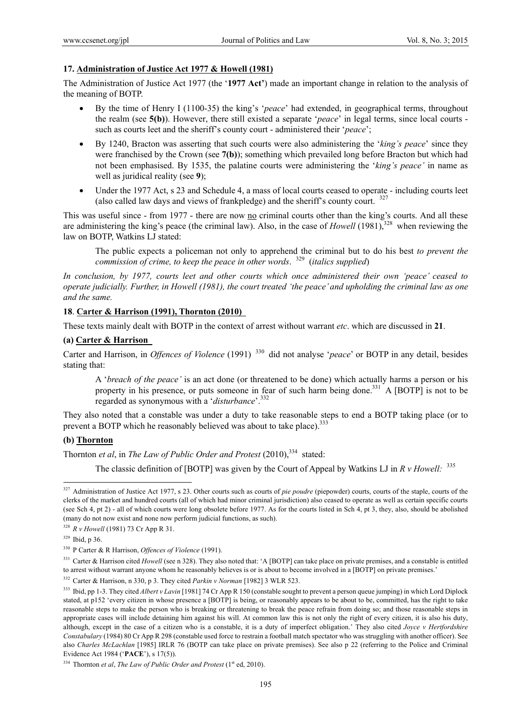### **17. Administration of Justice Act 1977 & Howell (1981)**

The Administration of Justice Act 1977 (the '**1977 Act'**) made an important change in relation to the analysis of the meaning of BOTP.

- By the time of Henry I (1100-35) the king's '*peace*' had extended, in geographical terms, throughout the realm (see **5(b)**). However, there still existed a separate '*peace*' in legal terms, since local courts such as courts leet and the sheriff's county court - administered their '*peace*';
- By 1240, Bracton was asserting that such courts were also administering the '*king's peace*' since they were franchised by the Crown (see **7(b)**); something which prevailed long before Bracton but which had not been emphasised. By 1535, the palatine courts were administering the '*king's peace'* in name as well as juridical reality (see **9**);
- Under the 1977 Act, s 23 and Schedule 4, a mass of local courts ceased to operate including courts leet (also called law days and views of frankpledge) and the sheriff's county court.  $327$

This was useful since - from 1977 - there are now no criminal courts other than the king's courts. And all these are administering the king's peace (the criminal law). Also, in the case of *Howell* (1981),<sup>328</sup> when reviewing the law on BOTP, Watkins LJ stated:

The public expects a policeman not only to apprehend the criminal but to do his best *to prevent the commission of crime, to keep the peace in other words*. 329 (*italics supplied*)

*In conclusion, by 1977, courts leet and other courts which once administered their own 'peace' ceased to operate judicially. Further, in Howell (1981), the court treated 'the peace' and upholding the criminal law as one and the same.* 

### **18**. **Carter & Harrison (1991), Thornton (2010)**

These texts mainly dealt with BOTP in the context of arrest without warrant *etc*. which are discussed in **21**.

#### **(a) Carter & Harrison**

Carter and Harrison, in *Offences of Violence* (1991) <sup>330</sup> did not analyse '*peace*' or BOTP in any detail, besides stating that:

A '*breach of the peace'* is an act done (or threatened to be done) which actually harms a person or his property in his presence, or puts someone in fear of such harm being done.<sup>331</sup> A [BOTP] is not to be regarded as synonymous with a '*disturbance*'.332

They also noted that a constable was under a duty to take reasonable steps to end a BOTP taking place (or to prevent a BOTP which he reasonably believed was about to take place).<sup>333</sup>

# **(b) Thornton**

Thornton *et al*, in *The Law of Public Order and Protest* (2010),<sup>334</sup> stated:

The classic definition of [BOTP] was given by the Court of Appeal by Watkins LJ in  $R v$  Howell:  $335$ 

 $\overline{a}$ 

332 Carter & Harrison, n 330, p 3. They cited *Parkin v Norman* [1982] 3 WLR 523.

<sup>327</sup> Administration of Justice Act 1977, s 23. Other courts such as courts of *pie poudre* (piepowder) courts, courts of the staple, courts of the clerks of the market and hundred courts (all of which had minor criminal jurisdiction) also ceased to operate as well as certain specific courts (see Sch 4, pt 2) - all of which courts were long obsolete before 1977. As for the courts listed in Sch 4, pt 3, they, also, should be abolished (many do not now exist and none now perform judicial functions, as such).

<sup>328</sup> *R v Howell* (1981) 73 Cr App R 31.

<sup>329</sup> Ibid, p 36.

<sup>330</sup> P Carter & R Harrison, *Offences of Violence* (1991).

<sup>&</sup>lt;sup>331</sup> Carter & Harrison cited *Howell* (see n 328). They also noted that: 'A [BOTP] can take place on private premises, and a constable is entitled to arrest without warrant anyone whom he reasonably believes is or is about to become involved in a [BOTP] on private premises.'

<sup>&</sup>lt;sup>333</sup> Ibid, pp 1-3. They cited *Albert v Lavin* [1981] 74 Cr App R 150 (constable sought to prevent a person queue jumping) in which Lord Diplock stated, at p152 'every citizen in whose presence a [BOTP] is being, or reasonably appears to be about to be, committed, has the right to take reasonable steps to make the person who is breaking or threatening to break the peace refrain from doing so; and those reasonable steps in appropriate cases will include detaining him against his will. At common law this is not only the right of every citizen, it is also his duty, although, except in the case of a citizen who is a constable, it is a duty of imperfect obligation.' They also cited *Joyce v Hertfordshire Constabulary* (1984) 80 Cr App R 298 (constable used force to restrain a football match spectator who was struggling with another officer). See also *Charles McLachlan* [1985] IRLR 76 (BOTP can take place on private premises). See also p 22 (referring to the Police and Criminal Evidence Act 1984 ('**PACE**'), s 17(5)).

<sup>&</sup>lt;sup>334</sup> Thornton *et al, The Law of Public Order and Protest* (1<sup>st</sup> ed, 2010).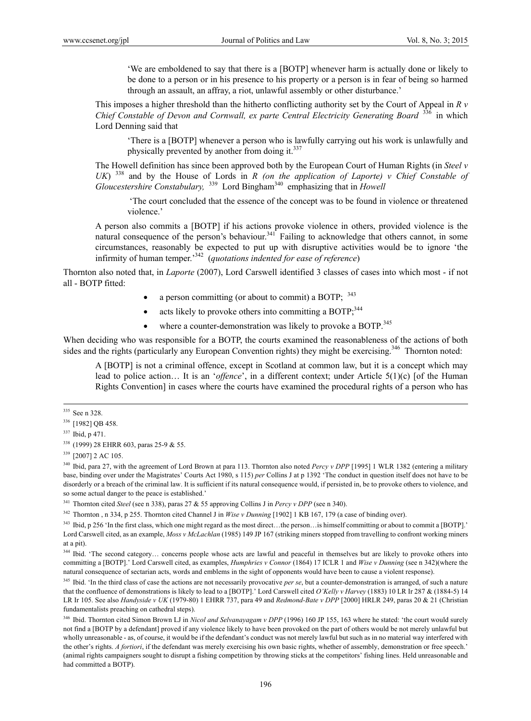'We are emboldened to say that there is a [BOTP] whenever harm is actually done or likely to be done to a person or in his presence to his property or a person is in fear of being so harmed through an assault, an affray, a riot, unlawful assembly or other disturbance.'

This imposes a higher threshold than the hitherto conflicting authority set by the Court of Appeal in *R v Chief Constable of Devon and Cornwall, ex parte Central Electricity Generating Board*<sup>336</sup> in which Lord Denning said that

'There is a [BOTP] whenever a person who is lawfully carrying out his work is unlawfully and physically prevented by another from doing it.<sup>337</sup>

The Howell definition has since been approved both by the European Court of Human Rights (in *Steel v UK*)  $338$  and by the House of Lords in *R* (on the application of Laporte) v Chief Constable of *Gloucestershire Constabulary*, <sup>339</sup> Lord Bingham<sup>340</sup> emphasizing that in *Howell* 

'The court concluded that the essence of the concept was to be found in violence or threatened violence.'

A person also commits a [BOTP] if his actions provoke violence in others, provided violence is the natural consequence of the person's behaviour.<sup>341</sup> Failing to acknowledge that others cannot, in some circumstances, reasonably be expected to put up with disruptive activities would be to ignore 'the infirmity of human temper.'342 (*quotations indented for ease of reference*)

Thornton also noted that, in *Laporte* (2007), Lord Carswell identified 3 classes of cases into which most - if not all - BOTP fitted:

- a person committing (or about to commit) a BOTP;  $343$
- acts likely to provoke others into committing a BOTP; $^{344}$
- where a counter-demonstration was likely to provoke a BOTP.<sup>345</sup>

When deciding who was responsible for a BOTP, the courts examined the reasonableness of the actions of both sides and the rights (particularly any European Convention rights) they might be exercising.<sup>346</sup> Thornton noted:

A [BOTP] is not a criminal offence, except in Scotland at common law, but it is a concept which may lead to police action… It is an '*offence*', in a different context; under Article 5(1)(c) [of the Human Rights Convention] in cases where the courts have examined the procedural rights of a person who has

<sup>340</sup> Ibid, para 27, with the agreement of Lord Brown at para 113. Thornton also noted *Percy v DPP* [1995] 1 WLR 1382 (entering a military base, binding over under the Magistrates' Courts Act 1980, s 115) *per* Collins J at p 1392 'The conduct in question itself does not have to be disorderly or a breach of the criminal law. It is sufficient if its natural consequence would, if persisted in, be to provoke others to violence, and so some actual danger to the peace is established.'

341 Thornton cited *Steel* (see n 338), paras 27 & 55 approving Collins J in *Percy v DPP* (see n 340).

<sup>342</sup> Thornton , n 334, p 255. Thornton cited Channel J in *Wise v Dunning* [1902] 1 KB 167, 179 (a case of binding over).

<sup>344</sup> Ibid. 'The second category... concerns people whose acts are lawful and peaceful in themselves but are likely to provoke others into committing a [BOTP].' Lord Carswell cited, as examples, *Humphries v Connor* (1864) 17 ICLR 1 and *Wise v Dunning* (see n 342)(where the natural consequence of sectarian acts, words and emblems in the sight of opponents would have been to cause a violent response).

<sup>345</sup> Ibid. 'In the third class of case the actions are not necessarily provocative *per se*, but a counter-demonstration is arranged, of such a nature that the confluence of demonstrations is likely to lead to a [BOTP].' Lord Carswell cited *O'Kelly v Harvey* (1883) 10 LR Ir 287 & (1884-5) 14 LR Ir 105. See also *Handyside v UK* (1979-80) 1 EHRR 737, para 49 and *Redmond-Bate v DPP* [2000] HRLR 249, paras 20 & 21 (Christian fundamentalists preaching on cathedral steps).

<sup>346</sup> Ibid. Thornton cited Simon Brown LJ in *Nicol and Selvanayagam v DPP* (1996) 160 JP 155, 163 where he stated: 'the court would surely not find a [BOTP by a defendant] proved if any violence likely to have been provoked on the part of others would be not merely unlawful but wholly unreasonable - as, of course, it would be if the defendant's conduct was not merely lawful but such as in no material way interfered with the other's rights. *A fortiori*, if the defendant was merely exercising his own basic rights, whether of assembly, demonstration or free speech.' (animal rights campaigners sought to disrupt a fishing competition by throwing sticks at the competitors' fishing lines. Held unreasonable and had committed a BOTP).

<sup>&</sup>lt;sup>335</sup> See n 328.

<sup>&</sup>lt;sup>336</sup> [1982] OB 458.

<sup>337</sup> Ibid, p 471.

<sup>338 (1999) 28</sup> EHRR 603, paras 25-9 & 55.

<sup>&</sup>lt;sup>339</sup> [2007] 2 AC 105.

<sup>&</sup>lt;sup>343</sup> Ibid, p 256 'In the first class, which one might regard as the most direct…the person…is himself committing or about to commit a [BOTP].' Lord Carswell cited, as an example, *Moss v McLachlan* (1985) 149 JP 167 (striking miners stopped from travelling to confront working miners at a pit).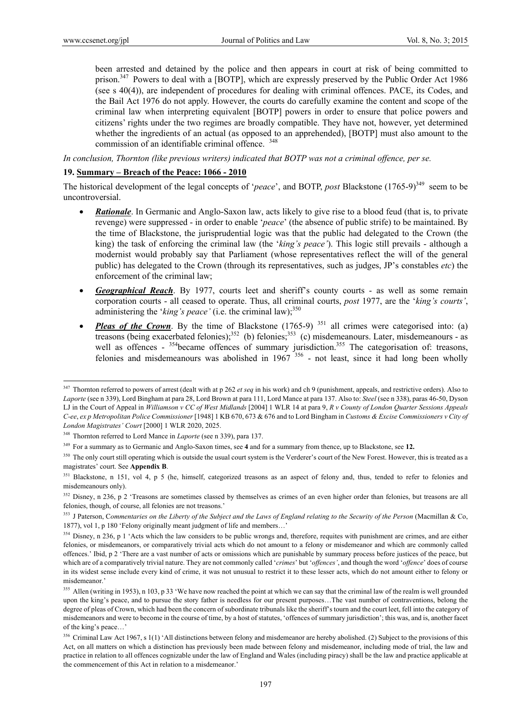$\overline{a}$ 

been arrested and detained by the police and then appears in court at risk of being committed to prison.<sup>347</sup> Powers to deal with a [BOTP], which are expressly preserved by the Public Order Act 1986 (see s 40(4)), are independent of procedures for dealing with criminal offences. PACE, its Codes, and the Bail Act 1976 do not apply. However, the courts do carefully examine the content and scope of the criminal law when interpreting equivalent [BOTP] powers in order to ensure that police powers and citizens' rights under the two regimes are broadly compatible. They have not, however, yet determined whether the ingredients of an actual (as opposed to an apprehended), [BOTP] must also amount to the commission of an identifiable criminal offence. <sup>348</sup>

*In conclusion, Thornton (like previous writers) indicated that BOTP was not a criminal offence, per se.* 

### **19. Summary – Breach of the Peace: 1066 - 2010**

The historical development of the legal concepts of '*peace*', and BOTP, *post* Blackstone (1765-9)<sup>349</sup> seem to be uncontroversial.

- *Rationale*. In Germanic and Anglo-Saxon law, acts likely to give rise to a blood feud (that is, to private revenge) were suppressed - in order to enable '*peace*' (the absence of public strife) to be maintained. By the time of Blackstone, the jurisprudential logic was that the public had delegated to the Crown (the king) the task of enforcing the criminal law (the '*king's peace'*). This logic still prevails - although a modernist would probably say that Parliament (whose representatives reflect the will of the general public) has delegated to the Crown (through its representatives, such as judges, JP's constables *etc*) the enforcement of the criminal law;
- *Geographical Reach*. By 1977, courts leet and sheriff's county courts as well as some remain corporation courts - all ceased to operate. Thus, all criminal courts, *post* 1977, are the '*king's courts'*, administering the ' $king's peace'$  (i.e. the criminal law); $350$
- *Pleas of the Crown*. By the time of Blackstone (1765-9)<sup>351</sup> all crimes were categorised into: (a) treasons (being exacerbated felonies);<sup>352</sup> (b) felonies;<sup>353</sup> (c) misdemeanours. Later, misdemeanours - as well as offences - <sup>354</sup>became offences of summary jurisdiction.<sup>355</sup> The categorisation of: treasons, felonies and misdemeanours was abolished in  $1967$ <sup>356</sup> - not least, since it had long been wholly

<sup>347</sup> Thornton referred to powers of arrest (dealt with at p 262 *et seq* in his work) and ch 9 (punishment, appeals, and restrictive orders). Also to *Laporte* (see n 339), Lord Bingham at para 28, Lord Brown at para 111, Lord Mance at para 137. Also to: *Steel* (see n 338), paras 46-50, Dyson LJ in the Court of Appeal in *Williamson v CC of West Midlands* [2004] 1 WLR 14 at para 9, *R v County of London Quarter Sessions Appeals C-ee*, *ex p Metropolitan Police Commissioner* [1948] 1 KB 670, 673 & 676 and to Lord Bingham in *Customs & Excise Commissioners v City of London Magistrates' Court* [2000] 1 WLR 2020, 2025.

<sup>348</sup> Thornton referred to Lord Mance in *Laporte* (see n 339), para 137.

<sup>349</sup> For a summary as to Germanic and Anglo-Saxon times, see **4** and for a summary from thence, up to Blackstone, see **12.** 

<sup>&</sup>lt;sup>350</sup> The only court still operating which is outside the usual court system is the Verderer's court of the New Forest. However, this is treated as a magistrates' court. See **Appendix B**.

<sup>&</sup>lt;sup>351</sup> Blackstone, n 151, vol 4, p 5 (he, himself, categorized treasons as an aspect of felony and, thus, tended to refer to felonies and misdemeanours only).

<sup>&</sup>lt;sup>352</sup> Disney, n 236, p 2 'Treasons are sometimes classed by themselves as crimes of an even higher order than felonies, but treasons are all felonies, though, of course, all felonies are not treasons.'

<sup>353</sup> J Paterson, C*ommentaries on the Liberty of the Subject and the Laws of England relating to the Security of the Person* (Macmillan & Co, 1877), vol 1, p 180 'Felony originally meant judgment of life and members…'

<sup>&</sup>lt;sup>354</sup> Disney, n 236, p 1 'Acts which the law considers to be public wrongs and, therefore, requites with punishment are crimes, and are either felonies, or misdemeanors, or comparatively trivial acts which do not amount to a felony or misdemeanor and which are commonly called offences.' Ibid, p 2 'There are a vast number of acts or omissions which are punishable by summary process before justices of the peace, but which are of a comparatively trivial nature. They are not commonly called '*crimes*' but '*offences'*, and though the word '*offence*' does of course in its widest sense include every kind of crime, it was not unusual to restrict it to these lesser acts, which do not amount either to felony or misdemeanor.'

<sup>&</sup>lt;sup>355</sup> Allen (writing in 1953), n 103, p 33 'We have now reached the point at which we can say that the criminal law of the realm is well grounded upon the king's peace, and to pursue the story father is needless for our present purposes…The vast number of contraventions, belong the degree of pleas of Crown, which had been the concern of subordinate tribunals like the sheriff's tourn and the court leet, fell into the category of misdemeanors and were to become in the course of time, by a host of statutes, 'offences of summary jurisdiction'; this was, and is, another facet of the king's peace…'

<sup>&</sup>lt;sup>356</sup> Criminal Law Act 1967, s 1(1) 'All distinctions between felony and misdemeanor are hereby abolished. (2) Subject to the provisions of this Act, on all matters on which a distinction has previously been made between felony and misdemeanor, including mode of trial, the law and practice in relation to all offences cognizable under the law of England and Wales (including piracy) shall be the law and practice applicable at the commencement of this Act in relation to a misdemeanor.'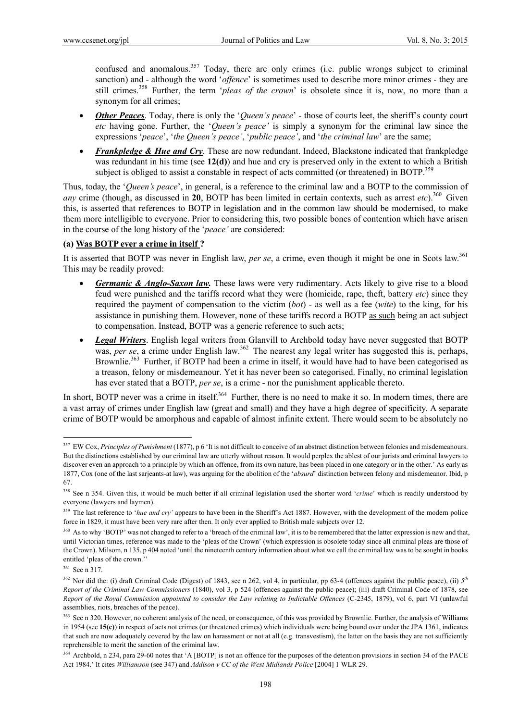confused and anomalous.<sup>357</sup> Today, there are only crimes (i.e. public wrongs subject to criminal sanction) and - although the word '*offence*' is sometimes used to describe more minor crimes - they are still crimes.<sup>358</sup> Further, the term '*pleas of the crown*' is obsolete since it is, now, no more than a synonym for all crimes;

- *Other Peaces*. Today, there is only the '*Queen's peace*' those of courts leet, the sheriff's county court *etc* having gone. Further, the '*Queen's peace'* is simply a synonym for the criminal law since the expressions '*peace*', '*the Queen's peace'*, '*public peace'*, and '*the criminal law*' are the same;
- *Frankpledge & Hue and Cry*. These are now redundant. Indeed, Blackstone indicated that frankpledge was redundant in his time (see **12(d)**) and hue and cry is preserved only in the extent to which a British subject is obliged to assist a constable in respect of acts committed (or threatened) in BOTP.<sup>359</sup>

Thus, today, the '*Queen's peace*', in general, is a reference to the criminal law and a BOTP to the commission of *any* crime (though, as discussed in 20, BOTP has been limited in certain contexts, such as arrest *etc*).<sup>360</sup> Given this, is asserted that references to BOTP in legislation and in the common law should be modernised, to make them more intelligible to everyone. Prior to considering this, two possible bones of contention which have arisen in the course of the long history of the '*peace'* are considered:

### **(a) Was BOTP ever a crime in itself ?**

It is asserted that BOTP was never in English law, *per se*, a crime, even though it might be one in Scots law.<sup>361</sup> This may be readily proved:

- *Germanic & Anglo-Saxon law.* These laws were very rudimentary. Acts likely to give rise to a blood feud were punished and the tariffs record what they were (homicide, rape, theft, battery *etc*) since they required the payment of compensation to the victim (*bot*) - as well as a fee (*wite*) to the king, for his assistance in punishing them. However, none of these tariffs record a BOTP as such being an act subject to compensation. Instead, BOTP was a generic reference to such acts;
- *Legal Writers*. English legal writers from Glanvill to Archbold today have never suggested that BOTP was, *per se*, a crime under English law.<sup>362</sup> The nearest any legal writer has suggested this is, perhaps, Brownlie.<sup>363</sup> Further, if BOTP had been a crime in itself, it would have had to have been categorised as a treason, felony or misdemeanour. Yet it has never been so categorised. Finally, no criminal legislation has ever stated that a BOTP, *per se*, is a crime - nor the punishment applicable thereto.

In short, BOTP never was a crime in itself.<sup>364</sup> Further, there is no need to make it so. In modern times, there are a vast array of crimes under English law (great and small) and they have a high degree of specificity. A separate crime of BOTP would be amorphous and capable of almost infinite extent. There would seem to be absolutely no

<sup>&</sup>lt;sup>357</sup> EW Cox, *Principles of Punishment* (1877), p 6 'It is not difficult to conceive of an abstract distinction between felonies and misdemeanours. But the distinctions established by our criminal law are utterly without reason. It would perplex the ablest of our jurists and criminal lawyers to discover even an approach to a principle by which an offence, from its own nature, has been placed in one category or in the other.' As early as 1877, Cox (one of the last sarjeants-at law), was arguing for the abolition of the '*absurd*' distinction between felony and misdemeanor. Ibid, p 67.

<sup>&</sup>lt;sup>358</sup> See n 354. Given this, it would be much better if all criminal legislation used the shorter word '*crime*' which is readily understood by everyone (lawyers and laymen).

<sup>&</sup>lt;sup>359</sup> The last reference to '*hue and cry*' appears to have been in the Sheriff's Act 1887. However, with the development of the modern police force in 1829, it must have been very rare after then. It only ever applied to British male subjects over 12.

<sup>&</sup>lt;sup>360</sup> As to why 'BOTP' was not changed to refer to a 'breach of the criminal law', it is to be remembered that the latter expression is new and that, until Victorian times, reference was made to the 'pleas of the Crown' (which expression is obsolete today since all criminal pleas are those of the Crown). Milsom, n 135, p 404 noted 'until the nineteenth century information about what we call the criminal law was to be sought in books entitled 'pleas of the crown.''

<sup>361</sup> See n 317.

<sup>&</sup>lt;sup>362</sup> Nor did the: (i) draft Criminal Code (Digest) of 1843, see n 262, vol 4, in particular, pp 63-4 (offences against the public peace), (ii)  $5^{th}$ *Report of the Criminal Law Commissioners* (1840), vol 3, p 524 (offences against the public peace); (iii) draft Criminal Code of 1878, see *Report of the Royal Commission appointed to consider the Law relating to Indictable Offences* (C-2345, 1879), vol 6, part VI (unlawful assemblies, riots, breaches of the peace).

<sup>&</sup>lt;sup>363</sup> See n 320. However, no coherent analysis of the need, or consequence, of this was provided by Brownlie. Further, the analysis of Williams in 1954 (see **15(c)**) in respect of acts not crimes (or threatened crimes) which individuals were being bound over under the JPA 1361, indicates that such are now adequately covered by the law on harassment or not at all (e.g. transvestism), the latter on the basis they are not sufficiently reprehensible to merit the sanction of the criminal law.

<sup>&</sup>lt;sup>364</sup> Archbold, n 234, para 29-60 notes that 'A [BOTP] is not an offence for the purposes of the detention provisions in section 34 of the PACE Act 1984.' It cites *Williamson* (see 347) and *Addison v CC of the West Midlands Police* [2004] 1 WLR 29.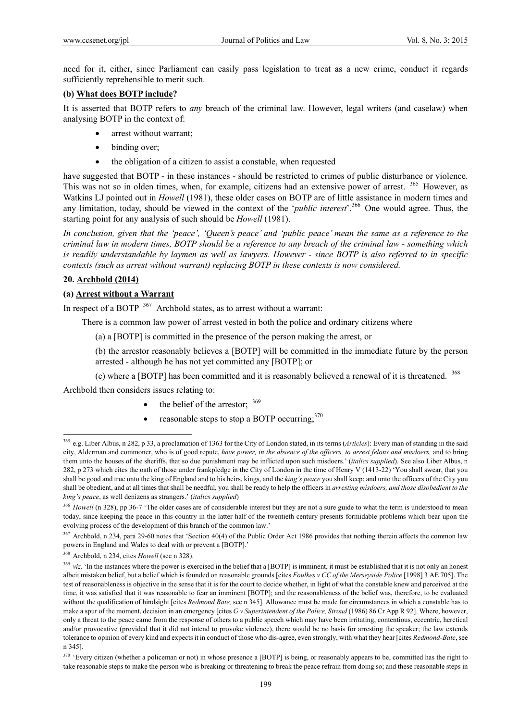need for it, either, since Parliament can easily pass legislation to treat as a new crime, conduct it regards sufficiently reprehensible to merit such.

# **(b) What does BOTP include?**

It is asserted that BOTP refers to *any* breach of the criminal law. However, legal writers (and caselaw) when analysing BOTP in the context of:

- arrest without warrant;
- binding over;
- the obligation of a citizen to assist a constable, when requested

have suggested that BOTP - in these instances - should be restricted to crimes of public disturbance or violence. This was not so in olden times, when, for example, citizens had an extensive power of arrest. <sup>365</sup> However, as Watkins LJ pointed out in *Howell* (1981), these older cases on BOTP are of little assistance in modern times and any limitation, today, should be viewed in the context of the '*public interest*'.366 One would agree. Thus, the starting point for any analysis of such should be *Howell* (1981).

*In conclusion, given that the 'peace', 'Queen's peace' and 'public peace' mean the same as a reference to the criminal law in modern times, BOTP should be a reference to any breach of the criminal law - something which is readily understandable by laymen as well as lawyers. However - since BOTP is also referred to in specific contexts (such as arrest without warrant) replacing BOTP in these contexts is now considered.* 

#### **20. Archbold (2014)**

 $\overline{a}$ 

### **(a) Arrest without a Warrant**

In respect of a BOTP <sup>367</sup> Archbold states, as to arrest without a warrant:

There is a common law power of arrest vested in both the police and ordinary citizens where

(a) a [BOTP] is committed in the presence of the person making the arrest, or

(b) the arrestor reasonably believes a [BOTP] will be committed in the immediate future by the person arrested - although he has not yet committed any [BOTP]; or

(c) where a [BOTP] has been committed and it is reasonably believed a renewal of it is threatened. 368

Archbold then considers issues relating to:

- the belief of the arrestor; 369
- reasonable steps to stop a BOTP occurring; $370$

<sup>365</sup> e.g. Liber Albus, n 282, p 33, a proclamation of 1363 for the City of London stated, in its terms (*Articles*): Every man of standing in the said city, Alderman and commoner, who is of good repute, *have power, in the absence of the officers, to arrest felons and misdoers,* and to bring them unto the houses of the sheriffs, that so due punishment may be inflicted upon such misdoers.' (*italics supplied*). See also Liber Albus, n 282, p 273 which cites the oath of those under frankpledge in the City of London in the time of Henry V (1413-22) 'You shall swear, that you shall be good and true unto the king of England and to his heirs, kings, and the *king's peace* you shall keep; and unto the officers of the City you shall be obedient, and at all times that shall be needful, you shall be ready to help the officers in *arresting misdoers, and those disobedient to the king's peace*, as well denizens as strangers.' (*italics supplied*)

<sup>&</sup>lt;sup>366</sup> *Howell* (n 328), pp 36-7 'The older cases are of considerable interest but they are not a sure guide to what the term is understood to mean today, since keeping the peace in this country in the latter half of the twentieth century presents formidable problems which bear upon the evolving process of the development of this branch of the common law.'

<sup>&</sup>lt;sup>367</sup> Archbold, n 234, para 29-60 notes that 'Section 40(4) of the Public Order Act 1986 provides that nothing therein affects the common law powers in England and Wales to deal with or prevent a [BOTP].'

<sup>368</sup> Archbold, n 234, cites *Howell* (see n 328).

<sup>&</sup>lt;sup>369</sup> *viz*. 'In the instances where the power is exercised in the belief that a [BOTP] is imminent, it must be established that it is not only an honest albeit mistaken belief, but a belief which is founded on reasonable grounds [cites *Foulkes v CC of the Merseyside Police* [1998] 3 AE 705]. The test of reasonableness is objective in the sense that it is for the court to decide whether, in light of what the constable knew and perceived at the time, it was satisfied that it was reasonable to fear an imminent [BOTP]; and the reasonableness of the belief was, therefore, to be evaluated without the qualification of hindsight [cites *Redmond Bate,* see n 345]. Allowance must be made for circumstances in which a constable has to make a spur of the moment, decision in an emergency [cites *G v Superintendent of the Police, Stroud* (1986) 86 Cr App R 92]. Where, however, only a threat to the peace came from the response of others to a public speech which may have been irritating, contentious, eccentric, heretical and/or provocative (provided that it did not intend to provoke violence), there would be no basis for arresting the speaker; the law extends tolerance to opinion of every kind and expects it in conduct of those who dis-agree, even strongly, with what they hear [cites *Redmond-Bate*, see n 345].

<sup>&</sup>lt;sup>370</sup> 'Every citizen (whether a policeman or not) in whose presence a [BOTP] is being, or reasonably appears to be, committed has the right to take reasonable steps to make the person who is breaking or threatening to break the peace refrain from doing so; and these reasonable steps in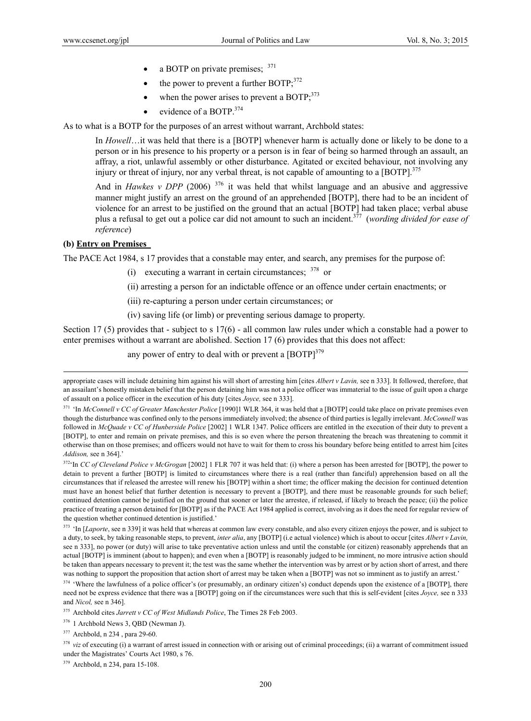- a BOTP on private premises;  $371$
- $\bullet$  the power to prevent a further BOTP;  $372$
- when the power arises to prevent a BOTP; $^{373}$
- evidence of a BOTP.<sup>374</sup>

As to what is a BOTP for the purposes of an arrest without warrant, Archbold states:

In *Howell*…it was held that there is a [BOTP] whenever harm is actually done or likely to be done to a person or in his presence to his property or a person is in fear of being so harmed through an assault, an affray, a riot, unlawful assembly or other disturbance. Agitated or excited behaviour, not involving any injury or threat of injury, nor any verbal threat, is not capable of amounting to a  $[BOTP]$ <sup>375</sup>

And in *Hawkes v DPP* (2006)  $376$  it was held that whilst language and an abusive and aggressive manner might justify an arrest on the ground of an apprehended [BOTP], there had to be an incident of violence for an arrest to be justified on the ground that an actual [BOTP] had taken place; verbal abuse plus a refusal to get out a police car did not amount to such an incident.377 (*wording divided for ease of reference*)

### **(b) Entry on Premises**

The PACE Act 1984, s 17 provides that a constable may enter, and search, any premises for the purpose of:

- (i) executing a warrant in certain circumstances;  $378$  or
- (ii) arresting a person for an indictable offence or an offence under certain enactments; or
- (iii) re-capturing a person under certain circumstances; or
- (iv) saving life (or limb) or preventing serious damage to property.

Section 17 (5) provides that - subject to s 17(6) - all common law rules under which a constable had a power to enter premises without a warrant are abolished. Section 17 (6) provides that this does not affect:

any power of entry to deal with or prevent a  $[BOTP]^{379}$ 

376 1 Archbold News 3, QBD (Newman J).

377 Archbold, n 234 , para 29-60.

379 Archbold, n 234, para 15-108.

appropriate cases will include detaining him against his will short of arresting him [cites *Albert v Lavin,* see n 333]. It followed, therefore, that an assailant's honestly mistaken belief that the person detaining him was not a police officer was immaterial to the issue of guilt upon a charge of assault on a police officer in the execution of his duty [cites *Joyce,* see n 333].

<sup>&</sup>lt;sup>371</sup> 'In *McConnell v CC of Greater Manchester Police* [1990]1 WLR 364, it was held that a [BOTP] could take place on private premises even though the disturbance was confined only to the persons immediately involved; the absence of third parties is legally irrelevant. *McConnell* was followed in *McQuade v CC of Hunberside Police* [2002] 1 WLR 1347. Police officers are entitled in the execution of their duty to prevent a [BOTP], to enter and remain on private premises, and this is so even where the person threatening the breach was threatening to commit it otherwise than on those premises; and officers would not have to wait for them to cross his boundary before being entitled to arrest him [cites *Addison,* see n 364].'

<sup>&</sup>lt;sup>372</sup>'In *CC of Cleveland Police v McGrogan* [2002] 1 FLR 707 it was held that: (i) where a person has been arrested for [BOTP], the power to detain to prevent a further [BOTP] is limited to circumstances where there is a real (rather than fanciful) apprehension based on all the circumstances that if released the arrestee will renew his [BOTP] within a short time; the officer making the decision for continued detention must have an honest belief that further detention is necessary to prevent a [BOTP], and there must be reasonable grounds for such belief; continued detention cannot be justified on the ground that sooner or later the arrestee, if released, if likely to breach the peace; (ii) the police practice of treating a person detained for [BOTP] as if the PACE Act 1984 applied is correct, involving as it does the need for regular review of the question whether continued detention is justified.'

<sup>&</sup>lt;sup>373</sup> 'In [*Laporte*, see n 339] it was held that whereas at common law every constable, and also every citizen enjoys the power, and is subject to a duty, to seek, by taking reasonable steps, to prevent, *inter alia*, any [BOTP] (i.e actual violence) which is about to occur [cites *Albert v Lavin,* see n 333], no power (or duty) will arise to take preventative action unless and until the constable (or citizen) reasonably apprehends that an actual [BOTP] is imminent (about to happen); and even when a [BOTP] is reasonably judged to be imminent, no more intrusive action should be taken than appears necessary to prevent it; the test was the same whether the intervention was by arrest or by action short of arrest, and there was nothing to support the proposition that action short of arrest may be taken when a [BOTP] was not so imminent as to justify an arrest.'

<sup>&</sup>lt;sup>374</sup> 'Where the lawfulness of a police officer's (or presumably, an ordinary citizen's) conduct depends upon the existence of a [BOTP], there need not be express evidence that there was a [BOTP] going on if the circumstances were such that this is self-evident [cites *Joyce,* see n 333 and *Nicol,* see n 346].

<sup>375</sup> Archbold cites *Jarrett v CC of West Midlands Police*, The Times 28 Feb 2003.

<sup>&</sup>lt;sup>378</sup> *viz* of executing (i) a warrant of arrest issued in connection with or arising out of criminal proceedings; (ii) a warrant of commitment issued under the Magistrates' Courts Act 1980, s 76.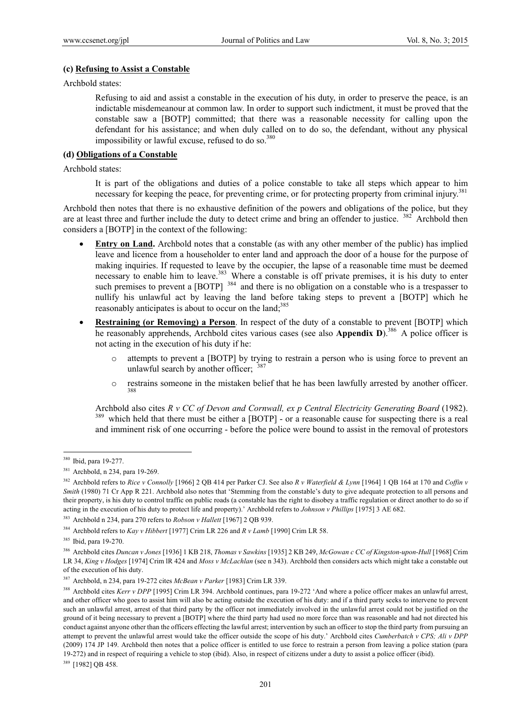#### **(c) Refusing to Assist a Constable**

Archbold states:

Refusing to aid and assist a constable in the execution of his duty, in order to preserve the peace, is an indictable misdemeanour at common law. In order to support such indictment, it must be proved that the constable saw a [BOTP] committed; that there was a reasonable necessity for calling upon the defendant for his assistance; and when duly called on to do so, the defendant, without any physical impossibility or lawful excuse, refused to do so. $380$ 

### **(d) Obligations of a Constable**

Archbold states:

It is part of the obligations and duties of a police constable to take all steps which appear to him necessary for keeping the peace, for preventing crime, or for protecting property from criminal injury.<sup>381</sup>

Archbold then notes that there is no exhaustive definition of the powers and obligations of the police, but they are at least three and further include the duty to detect crime and bring an offender to justice. <sup>382</sup> Archbold then considers a [BOTP] in the context of the following:

- **Entry on Land.** Archbold notes that a constable (as with any other member of the public) has implied leave and licence from a householder to enter land and approach the door of a house for the purpose of making inquiries. If requested to leave by the occupier, the lapse of a reasonable time must be deemed necessary to enable him to leave.<sup>383</sup> Where a constable is off private premises, it is his duty to enter such premises to prevent a [BOTP] <sup>384</sup> and there is no obligation on a constable who is a trespasser to nullify his unlawful act by leaving the land before taking steps to prevent a [BOTP] which he reasonably anticipates is about to occur on the land:<sup>385</sup>
- **Restraining (or Removing) a Person**. In respect of the duty of a constable to prevent [BOTP] which he reasonably apprehends, Archbold cites various cases (see also **Appendix D**).386 A police officer is not acting in the execution of his duty if he:
	- attempts to prevent a [BOTP] by trying to restrain a person who is using force to prevent an unlawful search by another officer;  $387$
	- o restrains someone in the mistaken belief that he has been lawfully arrested by another officer. 388

Archbold also cites *R v CC of Devon and Cornwall, ex p Central Electricity Generating Board* (1982). <sup>389</sup> which held that there must be either a [BOTP] - or a reasonable cause for suspecting there is a real and imminent risk of one occurring - before the police were bound to assist in the removal of protestors

<sup>&</sup>lt;sup>380</sup> Ibid, para 19-277.

<sup>381</sup> Archbold, n 234, para 19-269.

<sup>382</sup> Archbold refers to *Rice v Connolly* [1966] 2 QB 414 per Parker CJ. See also *R v Waterfield & Lynn* [1964] 1 QB 164 at 170 and *Coffin v Smith* (1980) 71 Cr App R 221. Archbold also notes that 'Stemming from the constable's duty to give adequate protection to all persons and their property, is his duty to control traffic on public roads (a constable has the right to disobey a traffic regulation or direct another to do so if acting in the execution of his duty to protect life and property).' Archbold refers to *Johnson v Phillips* [1975] 3 AE 682.

<sup>&</sup>lt;sup>383</sup> Archbold n 234, para 270 refers to *Robson v Hallett* [1967] 2 QB 939.

<sup>384</sup> Archbold refers to *Kay v Hibbert* [1977] Crim LR 226 and *R v Lamb* [1990] Crim LR 58.

<sup>385</sup> Ibid, para 19-270.

<sup>386</sup> Archbold cites *Duncan v Jones* [1936] 1 KB 218, *Thomas v Sawkins* [1935] 2 KB 249, *McGowan c CC of Kingston-upon-Hull* [1968] Crim LR 34, *King v Hodges* [1974] Crim lR 424 and *Moss v McLachlan* (see n 343). Archbold then considers acts which might take a constable out of the execution of his duty.

<sup>387</sup> Archbold, n 234, para 19-272 cites *McBean v Parker* [1983] Crim LR 339.

<sup>&</sup>lt;sup>388</sup> Archbold cites *Kerr v DPP* [1995] Crim LR 394. Archbold continues, para 19-272 'And where a police officer makes an unlawful arrest, and other officer who goes to assist him will also be acting outside the execution of his duty: and if a third party seeks to intervene to prevent such an unlawful arrest, arrest of that third party by the officer not immediately involved in the unlawful arrest could not be justified on the ground of it being necessary to prevent a [BOTP] where the third party had used no more force than was reasonable and had not directed his conduct against anyone other than the officers effecting the lawful arrest; intervention by such an officer to stop the third party from pursuing an attempt to prevent the unlawful arrest would take the officer outside the scope of his duty.' Archbold cites *Cumberbatch v CPS; Ali v DPP* (2009) 174 JP 149. Archbold then notes that a police officer is entitled to use force to restrain a person from leaving a police station (para 19-272) and in respect of requiring a vehicle to stop (ibid). Also, in respect of citizens under a duty to assist a police officer (ibid).

<sup>&</sup>lt;sup>389</sup> [1982] QB 458.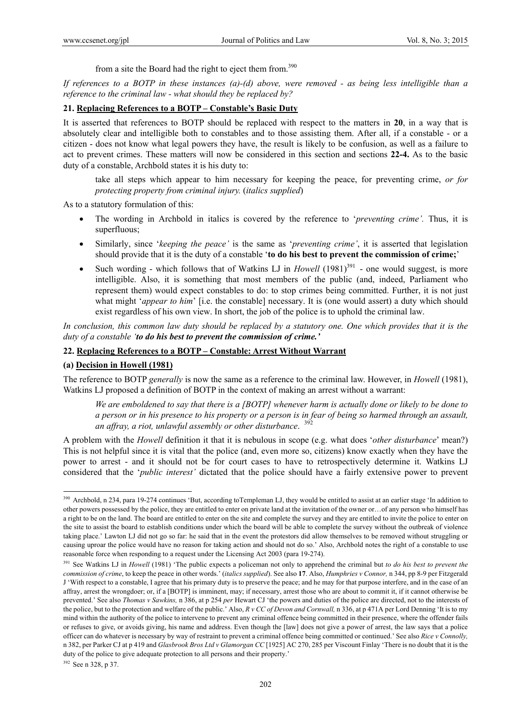from a site the Board had the right to eject them from.390

*If references to a BOTP in these instances (a)-(d) above, were removed - as being less intelligible than a reference to the criminal law - what should they be replaced by?* 

# **21. Replacing References to a BOTP – Constable's Basic Duty**

It is asserted that references to BOTP should be replaced with respect to the matters in **20**, in a way that is absolutely clear and intelligible both to constables and to those assisting them. After all, if a constable - or a citizen - does not know what legal powers they have, the result is likely to be confusion, as well as a failure to act to prevent crimes. These matters will now be considered in this section and sections **22-4.** As to the basic duty of a constable, Archbold states it is his duty to:

take all steps which appear to him necessary for keeping the peace, for preventing crime, *or for protecting property from criminal injury.* (*italics supplied*)

As to a statutory formulation of this:

- The wording in Archbold in italics is covered by the reference to '*preventing crime'.* Thus, it is superfluous;
- Similarly, since '*keeping the peace'* is the same as '*preventing crime'*, it is asserted that legislation should provide that it is the duty of a constable '**to do his best to prevent the commission of crime;**'
- Such wording which follows that of Watkins LJ in *Howell* (1981)<sup>391</sup> one would suggest, is more intelligible. Also, it is something that most members of the public (and, indeed, Parliament who represent them) would expect constables to do: to stop crimes being committed. Further, it is not just what might '*appear to him*' [i.e. the constable] necessary. It is (one would assert) a duty which should exist regardless of his own view. In short, the job of the police is to uphold the criminal law.

*In conclusion, this common law duty should be replaced by a statutory one. One which provides that it is the duty of a constable 'to do his best to prevent the commission of crime.'* 

#### **22. Replacing References to a BOTP – Constable: Arrest Without Warrant**

### **(a) Decision in Howell (1981)**

The reference to BOTP *generally* is now the same as a reference to the criminal law. However, in *Howell* (1981), Watkins LJ proposed a definition of BOTP in the context of making an arrest without a warrant:

*We are emboldened to say that there is a [BOTP] whenever harm is actually done or likely to be done to a person or in his presence to his property or a person is in fear of being so harmed through an assault, an affray, a riot, unlawful assembly or other disturbance*. <sup>392</sup>

A problem with the *Howell* definition it that it is nebulous in scope (e.g. what does '*other disturbance*' mean?) This is not helpful since it is vital that the police (and, even more so, citizens) know exactly when they have the power to arrest - and it should not be for court cases to have to retrospectively determine it. Watkins LJ considered that the '*public interest'* dictated that the police should have a fairly extensive power to prevent

<sup>&</sup>lt;sup>390</sup> Archbold, n 234, para 19-274 continues 'But, according toTempleman LJ, they would be entitled to assist at an earlier stage 'In addition to other powers possessed by the police, they are entitled to enter on private land at the invitation of the owner or…of any person who himself has a right to be on the land. The board are entitled to enter on the site and complete the survey and they are entitled to invite the police to enter on the site to assist the board to establish conditions under which the board will be able to complete the survey without the outbreak of violence taking place.' Lawton LJ did not go so far: he said that in the event the protestors did allow themselves to be removed without struggling or causing uproar the police would have no reason for taking action and should not do so.' Also, Archbold notes the right of a constable to use reasonable force when responding to a request under the Licensing Act 2003 (para 19-274).

<sup>&</sup>lt;sup>391</sup> See Watkins LJ in *Howell* (1981) 'The public expects a policeman not only to apprehend the criminal but *to do his best to prevent the commission of crime*, to keep the peace in other words.' (*italics supplied*). See also **17**. Also, *Humphries v Connor,* n 344, pp 8-9 per Fitzgerald J 'With respect to a constable, I agree that his primary duty is to preserve the peace; and he may for that purpose interfere, and in the case of an affray, arrest the wrongdoer; or, if a [BOTP] is imminent, may; if necessary, arrest those who are about to commit it, if it cannot otherwise be prevented.' See also *Thomas v Sawkins,* n 386, at p 254 *per* Hewart CJ 'the powers and duties of the police are directed, not to the interests of the police, but to the protection and welfare of the public.' Also, *R v CC of Devon and Cornwall,* n 336, at p 471A per Lord Denning 'It is to my mind within the authority of the police to intervene to prevent any criminal offence being committed in their presence, where the offender fails or refuses to give, or avoids giving, his name and address. Even though the [law] does not give a power of arrest, the law says that a police officer can do whatever is necessary by way of restraint to prevent a criminal offence being committed or continued.' See also *Rice v Connolly,*  n 382, per Parker CJ at p 419 and *Glasbrook Bros Ltd v Glamorgan CC* [1925] AC 270, 285 per Viscount Finlay 'There is no doubt that it is the duty of the police to give adequate protection to all persons and their property.'

<sup>392</sup> See n 328, p 37.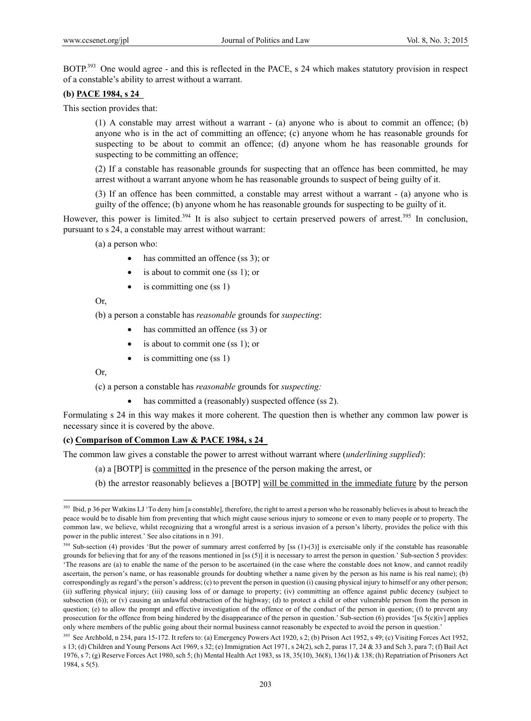BOTP.<sup>393</sup> One would agree - and this is reflected in the PACE, s 24 which makes statutory provision in respect of a constable's ability to arrest without a warrant.

### **(b) PACE 1984, s 24**

This section provides that:

(1) A constable may arrest without a warrant - (a) anyone who is about to commit an offence; (b) anyone who is in the act of committing an offence; (c) anyone whom he has reasonable grounds for suspecting to be about to commit an offence; (d) anyone whom he has reasonable grounds for suspecting to be committing an offence;

(2) If a constable has reasonable grounds for suspecting that an offence has been committed, he may arrest without a warrant anyone whom he has reasonable grounds to suspect of being guilty of it.

(3) If an offence has been committed, a constable may arrest without a warrant - (a) anyone who is guilty of the offence; (b) anyone whom he has reasonable grounds for suspecting to be guilty of it.

However, this power is limited.<sup>394</sup> It is also subject to certain preserved powers of arrest.<sup>395</sup> In conclusion, pursuant to s 24, a constable may arrest without warrant:

(a) a person who:

- has committed an offence (ss 3); or
- is about to commit one (ss 1); or
- is committing one (ss 1)

Or,

(b) a person a constable has *reasonable* grounds for *suspecting*:

- has committed an offence (ss 3) or
- is about to commit one (ss 1); or
- is committing one (ss 1)

Or,

 $\overline{a}$ 

(c) a person a constable has *reasonable* grounds for *suspecting:*

• has committed a (reasonably) suspected offence (ss 2).

Formulating s 24 in this way makes it more coherent. The question then is whether any common law power is necessary since it is covered by the above.

#### **(c) Comparison of Common Law & PACE 1984, s 24**

The common law gives a constable the power to arrest without warrant where (*underlining supplied*):

- (a) a [BOTP] is committed in the presence of the person making the arrest, or
- (b) the arrestor reasonably believes a [BOTP] will be committed in the immediate future by the person

<sup>&</sup>lt;sup>393</sup> Ibid, p 36 per Watkins LJ 'To deny him [a constable], therefore, the right to arrest a person who he reasonably believes is about to breach the peace would be to disable him from preventing that which might cause serious injury to someone or even to many people or to property. The common law, we believe, whilst recognizing that a wrongful arrest is a serious invasion of a person's liberty, provides the police with this power in the public interest.' See also citations in n 391.

<sup>&</sup>lt;sup>394</sup> Sub-section (4) provides 'But the power of summary arrest conferred by [ss (1)-(3)] is exercisable only if the constable has reasonable grounds for believing that for any of the reasons mentioned in [ss (5)] it is necessary to arrest the person in question.' Sub-section 5 provides: 'The reasons are (a) to enable the name of the person to be ascertained (in the case where the constable does not know, and cannot readily ascertain, the person's name, or has reasonable grounds for doubting whether a name given by the person as his name is his real name); (b) correspondingly as regard's the person's address; (c) to prevent the person in question (i) causing physical injury to himself or any other person; (ii) suffering physical injury; (iii) causing loss of or damage to property; (iv) committing an offence against public decency (subject to subsection (6)); or (v) causing an unlawful obstruction of the highway; (d) to protect a child or other vulnerable person from the person in question; (e) to allow the prompt and effective investigation of the offence or of the conduct of the person in question; (f) to prevent any prosecution for the offence from being hindered by the disappearance of the person in question.' Sub-section (6) provides '[ss 5(c)(iv] applies only where members of the public going about their normal business cannot reasonably be expected to avoid the person in question.'

<sup>395</sup> See Archbold, n 234, para 15-172. It refers to: (a) Emergency Powers Act 1920, s 2; (b) Prison Act 1952, s 49; (c) Visiting Forces Act 1952, s 13; (d) Children and Young Persons Act 1969, s 32; (e) Immigration Act 1971, s 24(2), sch 2, paras 17, 24 & 33 and Sch 3, para 7; (f) Bail Act 1976, s 7; (g) Reserve Forces Act 1980, sch 5; (h) Mental Health Act 1983, ss 18, 35(10), 36(8), 136(1) & 138; (h) Repatriation of Prisoners Act 1984, s 5(5).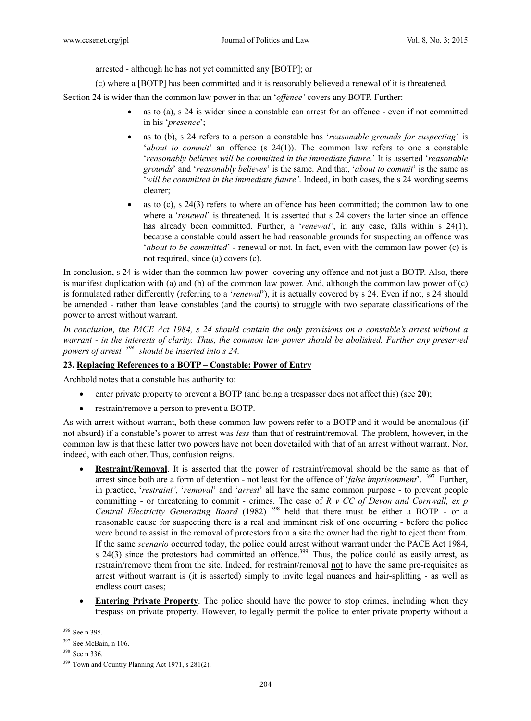arrested - although he has not yet committed any [BOTP]; or

(c) where a [BOTP] has been committed and it is reasonably believed a renewal of it is threatened.

Section 24 is wider than the common law power in that an '*offence'* covers any BOTP. Further:

- as to (a), s 24 is wider since a constable can arrest for an offence even if not committed in his '*presence*';
- as to (b), s 24 refers to a person a constable has '*reasonable grounds for suspecting*' is '*about to commit*' an offence (s 24(1)). The common law refers to one a constable '*reasonably believes will be committed in the immediate future*.' It is asserted '*reasonable grounds*' and '*reasonably believes*' is the same. And that, '*about to commit*' is the same as '*will be committed in the immediate future'*. Indeed, in both cases, the s 24 wording seems clearer;
- as to (c), s 24(3) refers to where an offence has been committed; the common law to one where a *'renewal'* is threatened. It is asserted that s 24 covers the latter since an offence has already been committed. Further, a '*renewal'*, in any case, falls within s 24(1), because a constable could assert he had reasonable grounds for suspecting an offence was '*about to be committed*' - renewal or not. In fact, even with the common law power (c) is not required, since (a) covers (c).

In conclusion, s 24 is wider than the common law power -covering any offence and not just a BOTP. Also, there is manifest duplication with (a) and (b) of the common law power. And, although the common law power of (c) is formulated rather differently (referring to a '*renewal*'), it is actually covered by s 24. Even if not, s 24 should be amended - rather than leave constables (and the courts) to struggle with two separate classifications of the power to arrest without warrant.

*In conclusion, the PACE Act 1984, s 24 should contain the only provisions on a constable's arrest without a warrant - in the interests of clarity. Thus, the common law power should be abolished. Further any preserved powers of arrest 396 should be inserted into s 24.* 

### **23. Replacing References to a BOTP – Constable: Power of Entry**

Archbold notes that a constable has authority to:

- enter private property to prevent a BOTP (and being a trespasser does not affect this) (see **20**);
- restrain/remove a person to prevent a BOTP.

As with arrest without warrant, both these common law powers refer to a BOTP and it would be anomalous (if not absurd) if a constable's power to arrest was *less* than that of restraint/removal. The problem, however, in the common law is that these latter two powers have not been dovetailed with that of an arrest without warrant. Nor, indeed, with each other. Thus, confusion reigns.

- **Restraint/Removal**. It is asserted that the power of restraint/removal should be the same as that of arrest since both are a form of detention - not least for the offence of '*false imprisonment*'. 397 Further, in practice, '*restraint'*, '*removal*' and '*arrest*' all have the same common purpose - to prevent people committing - or threatening to commit - crimes. The case of *R v CC of Devon and Cornwall, ex p Central Electricity Generating Board* (1982) 398 held that there must be either a BOTP - or a reasonable cause for suspecting there is a real and imminent risk of one occurring - before the police were bound to assist in the removal of protestors from a site the owner had the right to eject them from. If the same *scenario* occurred today, the police could arrest without warrant under the PACE Act 1984, s 24(3) since the protestors had committed an offence.<sup>399</sup> Thus, the police could as easily arrest, as restrain/remove them from the site. Indeed, for restraint/removal not to have the same pre-requisites as arrest without warrant is (it is asserted) simply to invite legal nuances and hair-splitting - as well as endless court cases;
- **Entering Private Property**. The police should have the power to stop crimes, including when they trespass on private property. However, to legally permit the police to enter private property without a

 $\overline{a}$ 396 See n 395.

<sup>397</sup> See McBain, n 106.

<sup>398</sup> See n 336.

<sup>&</sup>lt;sup>399</sup> Town and Country Planning Act 1971, s 281(2).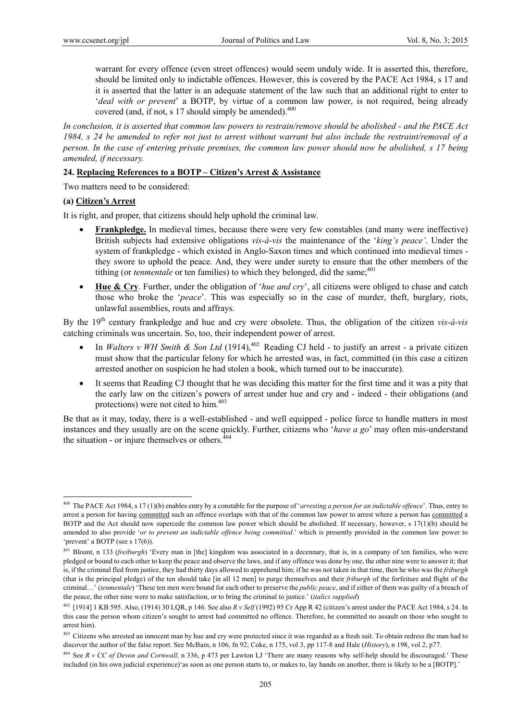warrant for every offence (even street offences) would seem unduly wide. It is asserted this, therefore, should be limited only to indictable offences. However, this is covered by the PACE Act 1984, s 17 and it is asserted that the latter is an adequate statement of the law such that an additional right to enter to '*deal with or prevent*' a BOTP, by virtue of a common law power, is not required, being already covered (and, if not, s 17 should simply be amended). $400$ 

*In conclusion, it is asserted that common law powers to restrain/remove should be abolished - and the PACE Act 1984, s 24 be amended to refer not just to arrest without warrant but also include the restraint/removal of a person. In the case of entering private premises, the common law power should now be abolished, s 17 being amended, if necessary.* 

#### **24. Replacing References to a BOTP – Citizen's Arrest & Assistance**

Two matters need to be considered:

#### **(a) Citizen's Arrest**

 $\overline{a}$ 

It is right, and proper, that citizens should help uphold the criminal law.

- **Frankpledge.** In medieval times, because there were very few constables (and many were ineffective) British subjects had extensive obligations *vis-à-vis* the maintenance of the '*king's peace'*. Under the system of frankpledge - which existed in Anglo-Saxon times and which continued into medieval times they swore to uphold the peace. And, they were under surety to ensure that the other members of the tithing (or *tenmentale* or ten families) to which they belonged, did the same;<sup>401</sup>
- **Hue & Cry**. Further, under the obligation of '*hue and cry*', all citizens were obliged to chase and catch those who broke the '*peace*'. This was especially so in the case of murder, theft, burglary, riots, unlawful assemblies, routs and affrays.

By the 19th century frankpledge and hue and cry were obsolete. Thus, the obligation of the citizen *vis-à-vis* catching criminals was uncertain. So, too, their independent power of arrest.

- In *Walters v WH Smith & Son Ltd* (1914),<sup>402</sup> Reading CJ held to justify an arrest a private citizen must show that the particular felony for which he arrested was, in fact, committed (in this case a citizen arrested another on suspicion he had stolen a book, which turned out to be inaccurate).
- It seems that Reading CJ thought that he was deciding this matter for the first time and it was a pity that the early law on the citizen's powers of arrest under hue and cry and - indeed - their obligations (and protections) were not cited to him.403

Be that as it may, today, there is a well-established - and well equipped - police force to handle matters in most instances and they usually are on the scene quickly. Further, citizens who '*have a go*' may often mis-understand the situation - or injure themselves or others.<sup>4</sup>

<sup>400</sup> The PACE Act 1984, s 17 (1)(b) enables entry by a constable for the purpose of '*arresting a person for an indictable offence*'. Thus, entry to arrest a person for having committed such an offence overlaps with that of the common law power to arrest where a person has committed a BOTP and the Act should now supercede the common law power which should be abolished. If necessary, however, s 17(1)(b) should be amended to also provide '*or to prevent an indictable offence being committed*.' which is presently provided in the common law power to 'prevent' a BOTP (see s 17(6)).

<sup>401</sup> Blount, n 133 (*freiburgh*) 'Every man in [the] kingdom was associated in a decennary, that is, in a company of ten families, who were pledged or bound to each other to keep the peace and observe the laws, and if any offence was done by one, the other nine were to answer it; that is, if the criminal fled from justice, they had thirty days allowed to apprehend him; if he was not taken in that time, then he who was the *friburgh* (that is the principal pledge) of the ten should take [in all 12 men] to purge themselves and their *friburgh* of the forfeiture and flight of the criminal…' (*tenmentale*) 'These ten men were bound for each other to preserve the *public peace*, and if either of them was guilty of a breach of the peace, the other nine were to make satisfaction, or to bring the criminal to justice.' (*italics supplied*)

<sup>402 [1914] 1</sup> KB 595. Also, (1914) 30 LQR, p 146. See also *R v Self* (1992) 95 Cr App R 42 (citizen's arrest under the PACE Act 1984, s 24. In this case the person whom citizen's sought to arrest had committed no offence. Therefore, he committed no assault on those who sought to arrest him).

<sup>&</sup>lt;sup>403</sup> Citizens who arrested an innocent man by hue and cry were protected since it was regarded as a fresh suit. To obtain redress the man had to discover the author of the false report. See McBain, n 106, fn 92; Coke, n 175, vol 3, pp 117-8 and Hale (*History*), n 198, vol 2, p77.

<sup>404</sup> See *R v CC of Devon and Cornwall,* n 336, p 473 per Lawton LJ 'There are many reasons why self-help should be discouraged.' These included (in his own judicial experience)'as soon as one person starts to, or makes to, lay hands on another, there is likely to be a [BOTP].'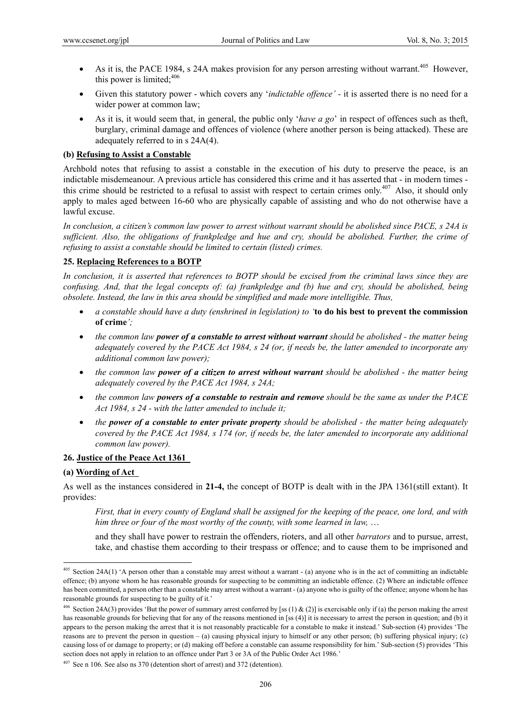- As it is, the PACE 1984, s 24A makes provision for any person arresting without warrant.<sup>405</sup> However, this power is limited; $406$
- Given this statutory power which covers any '*indictable offence' -* it is asserted there is no need for a wider power at common law;
- As it is, it would seem that, in general, the public only '*have a go*' in respect of offences such as theft, burglary, criminal damage and offences of violence (where another person is being attacked). These are adequately referred to in s 24A(4).

### **(b) Refusing to Assist a Constable**

Archbold notes that refusing to assist a constable in the execution of his duty to preserve the peace, is an indictable misdemeanour. A previous article has considered this crime and it has asserted that - in modern times this crime should be restricted to a refusal to assist with respect to certain crimes only.<sup>407</sup> Also, it should only apply to males aged between 16-60 who are physically capable of assisting and who do not otherwise have a lawful excuse.

*In conclusion, a citizen's common law power to arrest without warrant should be abolished since PACE, s 24A is sufficient. Also, the obligations of frankpledge and hue and cry, should be abolished. Further, the crime of refusing to assist a constable should be limited to certain (listed) crimes.* 

### **25. Replacing References to a BOTP**

*In conclusion, it is asserted that references to BOTP should be excised from the criminal laws since they are confusing. And, that the legal concepts of: (a) frankpledge and (b) hue and cry, should be abolished, being obsolete. Instead, the law in this area should be simplified and made more intelligible. Thus,* 

- *a constable should have a duty (enshrined in legislation) to '***to do his best to prevent the commission of crime***';*
- *the common law power of a constable to arrest without warrant should be abolished the matter being adequately covered by the PACE Act 1984, s 24 (or, if needs be, the latter amended to incorporate any additional common law power);*
- *the common law power of a citizen to arrest without warrant should be abolished the matter being adequately covered by the PACE Act 1984, s 24A;*
- *the common law powers of a constable to restrain and remove should be the same as under the PACE Act 1984, s 24 - with the latter amended to include it;*
- *the power of a constable to enter private property should be abolished the matter being adequately covered by the PACE Act 1984, s 174 (or, if needs be, the later amended to incorporate any additional common law power).*

### **26. Justice of the Peace Act 1361**

### **(a) Wording of Act**

 $\overline{a}$ 

As well as the instances considered in **21-4,** the concept of BOTP is dealt with in the JPA 1361(still extant). It provides:

*First, that in every county of England shall be assigned for the keeping of the peace, one lord, and with him three or four of the most worthy of the county, with some learned in law,* …

and they shall have power to restrain the offenders, rioters, and all other *barrators* and to pursue, arrest, take, and chastise them according to their trespass or offence; and to cause them to be imprisoned and

<sup>&</sup>lt;sup>405</sup> Section 24A(1) 'A person other than a constable may arrest without a warrant - (a) anyone who is in the act of committing an indictable offence; (b) anyone whom he has reasonable grounds for suspecting to be committing an indictable offence. (2) Where an indictable offence has been committed, a person other than a constable may arrest without a warrant - (a) anyone who is guilty of the offence; anyone whom he has reasonable grounds for suspecting to be guilty of it.'

<sup>&</sup>lt;sup>406</sup> Section 24A(3) provides 'But the power of summary arrest conferred by [ss (1) & (2)] is exercisable only if (a) the person making the arrest has reasonable grounds for believing that for any of the reasons mentioned in [ss (4)] it is necessary to arrest the person in question; and (b) it appears to the person making the arrest that it is not reasonably practicable for a constable to make it instead.' Sub-section (4) provides 'The reasons are to prevent the person in question – (a) causing physical injury to himself or any other person; (b) suffering physical injury; (c) causing loss of or damage to property; or (d) making off before a constable can assume responsibility for him.' Sub-section (5) provides 'This section does not apply in relation to an offence under Part 3 or 3A of the Public Order Act 1986.'

 $407$  See n 106. See also ns 370 (detention short of arrest) and 372 (detention).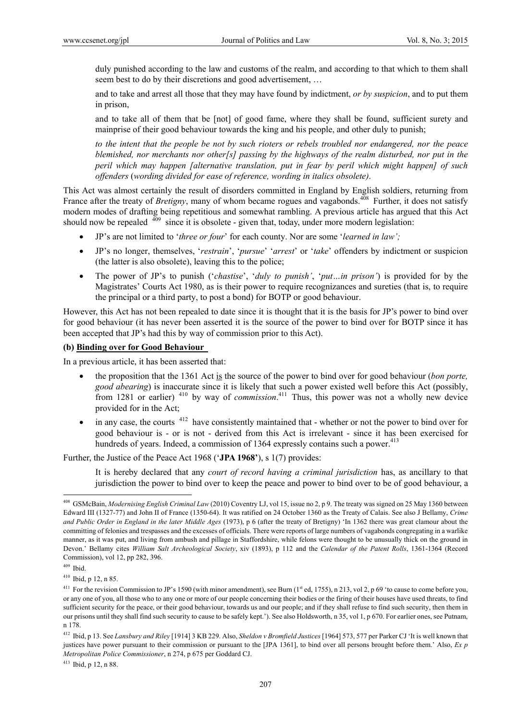duly punished according to the law and customs of the realm, and according to that which to them shall seem best to do by their discretions and good advertisement, …

and to take and arrest all those that they may have found by indictment, *or by suspicion*, and to put them in prison,

and to take all of them that be [not] of good fame, where they shall be found, sufficient surety and mainprise of their good behaviour towards the king and his people, and other duly to punish;

*to the intent that the people be not by such rioters or rebels troubled nor endangered, nor the peace blemished, nor merchants nor other[s] passing by the highways of the realm disturbed, nor put in the peril which may happen [alternative translation, put in fear by peril which might happen] of such offenders* (*wording divided for ease of reference, wording in italics obsolete)*.

This Act was almost certainly the result of disorders committed in England by English soldiers, returning from France after the treaty of *Bretigny*, many of whom became rogues and vagabonds.<sup>408</sup> Further, it does not satisfy modern modes of drafting being repetitious and somewhat rambling. A previous article has argued that this Act should now be repealed  $\frac{409}{9}$  since it is obsolete - given that, today, under more modern legislation:

- JP's are not limited to '*three or four*' for each county. Nor are some '*learned in law';*
- JP's no longer, themselves, '*restrain*', '*pursue*' '*arrest*' or '*take*' offenders by indictment or suspicion (the latter is also obsolete), leaving this to the police;
- The power of JP's to punish ('*chastise*', '*duly to punish'*, '*put…in prison'*) is provided for by the Magistrates' Courts Act 1980, as is their power to require recognizances and sureties (that is, to require the principal or a third party, to post a bond) for BOTP or good behaviour.

However, this Act has not been repealed to date since it is thought that it is the basis for JP's power to bind over for good behaviour (it has never been asserted it is the source of the power to bind over for BOTP since it has been accepted that JP's had this by way of commission prior to this Act).

### **(b) Binding over for Good Behaviour**

In a previous article, it has been asserted that:

- the proposition that the 1361 Act is the source of the power to bind over for good behaviour (*bon porte, good abearing*) is inaccurate since it is likely that such a power existed well before this Act (possibly, from 1281 or earlier) 410 by way of *commission*. 411 Thus, this power was not a wholly new device provided for in the Act;
- $\bullet$  in any case, the courts  $412$  have consistently maintained that whether or not the power to bind over for good behaviour is - or is not - derived from this Act is irrelevant - since it has been exercised for hundreds of years. Indeed, a commission of 1364 expressly contains such a power.<sup>413</sup>

Further, the Justice of the Peace Act 1968 ('**JPA 1968'**), s 1(7) provides:

It is hereby declared that any *court of record having a criminal jurisdiction* has, as ancillary to that jurisdiction the power to bind over to keep the peace and power to bind over to be of good behaviour, a

 $\overline{a}$ 

410 Ibid, p 12, n 85.

<sup>408</sup> GSMcBain, *Modernising English Criminal Law* (2010) Coventry LJ, vol 15, issue no 2, p 9. The treaty was signed on 25 May 1360 between Edward III (1327-77) and John II of France (1350-64). It was ratified on 24 October 1360 as the Treaty of Calais. See also J Bellamy, *Crime and Public Order in England in the later Middle Ages* (1973), p 6 (after the treaty of Bretigny) 'In 1362 there was great clamour about the committing of felonies and trespasses and the excesses of officials. There were reports of large numbers of vagabonds congregating in a warlike manner, as it was put, and living from ambush and pillage in Staffordshire, while felons were thought to be unusually thick on the ground in Devon.' Bellamy cites *William Salt Archeological Society*, xiv (1893), p 112 and the *Calendar of the Patent Rolls*, 1361-1364 (Record Commission), vol 12, pp 282, 396.

 $409$  Ibid.

<sup>&</sup>lt;sup>411</sup> For the revision Commission to JP's 1590 (with minor amendment), see Burn ( $1<sup>st</sup>$  ed, 1755), n 213, vol 2, p 69 'to cause to come before you, or any one of you, all those who to any one or more of our people concerning their bodies or the firing of their houses have used threats, to find sufficient security for the peace, or their good behaviour, towards us and our people; and if they shall refuse to find such security, then them in our prisons until they shall find such security to cause to be safely kept.'). See also Holdsworth, n 35, vol 1, p 670. For earlier ones, see Putnam, n 178.

<sup>412</sup> Ibid, p 13. See *Lansbury and Riley* [1914] 3 KB 229. Also, *Sheldon v Bromfield Justices* [1964] 573, 577 per Parker CJ 'It is well known that justices have power pursuant to their commission or pursuant to the [JPA 1361], to bind over all persons brought before them.' Also, *Ex p Metropolitan Police Commissioner*, n 274, p 675 per Goddard CJ.

<sup>413</sup> Ibid, p 12, n 88.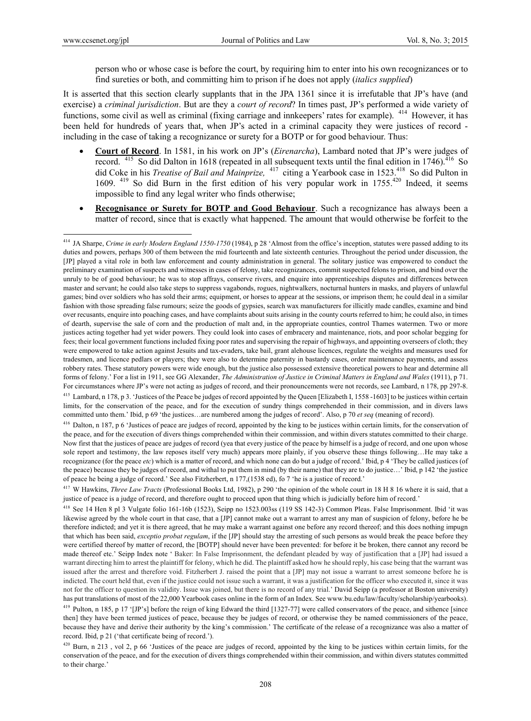$\overline{a}$ 

person who or whose case is before the court, by requiring him to enter into his own recognizances or to find sureties or both, and committing him to prison if he does not apply (*italics supplied*)

It is asserted that this section clearly supplants that in the JPA 1361 since it is irrefutable that JP's have (and exercise) a *criminal jurisdiction*. But are they a *court of record*? In times past, JP's performed a wide variety of functions, some civil as well as criminal (fixing carriage and innkeepers' rates for example). <sup>414</sup> However, it has been held for hundreds of years that, when JP's acted in a criminal capacity they were justices of record including in the case of taking a recognizance or surety for a BOTP or for good behaviour. Thus:

- **Court of Record**. In 1581, in his work on JP's (*Eirenarcha*), Lambard noted that JP's were judges of record. <sup>415</sup> So did Dalton in 1618 (repeated in all subsequent texts until the final edition in 1746).<sup>416</sup> So did Coke in his *Treatise of Bail and Mainprize,* 417 citing a Yearbook case in 1523.418 So did Pulton in 1609. <sup>419</sup> So did Burn in the first edition of his very popular work in 1755.<sup>420</sup> Indeed, it seems impossible to find any legal writer who finds otherwise;
- **Recognisance or Surety for BOTP and Good Behaviour**. Such a recognizance has always been a matter of record, since that is exactly what happened. The amount that would otherwise be forfeit to the

<sup>416</sup> Dalton, n 187, p 6 'Justices of peace are judges of record, appointed by the king to be justices within certain limits, for the conservation of the peace, and for the execution of divers things comprehended within their commission, and within divers statutes committed to their charge. Now first that the justices of peace are judges of record (yea that every justice of the peace by himself is a judge of record, and one upon whose sole report and testimony, the law reposes itself very much) appears more plainly, if you observe these things following...He may take a recognizance (for the peace *etc*) which is a matter of record, and which none can do but a judge of record.' Ibid, p 4 'They be called justices (of the peace) because they be judges of record, and withal to put them in mind (by their name) that they are to do justice…' Ibid, p 142 'the justice of peace he being a judge of record.' See also Fitzherbert, n 177,(1538 ed), fo 7 'he is a justice of record.'

417 W Hawkins, *Three Law Tracts* (Professional Books Ltd, 1982), p 290 'the opinion of the whole court in 18 H 8 16 where it is said, that a justice of peace is a judge of record, and therefore ought to proceed upon that thing which is judicially before him of record.'

418 See 14 Hen 8 pl 3 Vulgate folio 161-16b (1523), Seipp no 1523.003ss (119 SS 142-3) Common Pleas. False Imprisonment. Ibid 'it was likewise agreed by the whole court in that case, that a [JP] cannot make out a warrant to arrest any man of suspicion of felony, before he be therefore indicted; and yet it is there agreed, that he may make a warrant against one before any record thereof; and this does nothing impugn that which has been said, *exceptio probat regulam*, if the [JP] should stay the arresting of such persons as would break the peace before they were certified thereof by matter of record, the [BOTP] should never have been prevented: for before it be broken, there cannot any record be made thereof etc.' Seipp Index note ' Baker: In False Imprisonment, the defendant pleaded by way of justification that a [JP] had issued a warrant directing him to arrest the plaintiff for felony, which he did. The plaintiff asked how he should reply, his case being that the warrant was issued after the arrest and therefore void. Fitzherbert J. raised the point that a [JP] may not issue a warrant to arrest someone before he is indicted. The court held that, even if the justice could not issue such a warrant, it was a justification for the officer who executed it, since it was not for the officer to question its validity. Issue was joined, but there is no record of any trial.' David Seipp (a professor at Boston university) has put translations of most of the 22,000 Yearbook cases online in the form of an Index. See www.bu.edu/law/faculty/scholarship/yearbooks). <sup>419</sup> Pulton, n 185, p 17 '[JP's] before the reign of king Edward the third [1327-77] were called conservators of the peace, and sithence [since then] they have been termed justices of peace, because they be judges of record, or otherwise they be named commissioners of the peace, because they have and derive their authority by the king's commission.' The certificate of the release of a recognizance was also a matter of record. Ibid, p 21 ('that certificate being of record.').

 $420$  Burn, n 213, vol 2, p 66 'Justices of the peace are judges of record, appointed by the king to be justices within certain limits, for the conservation of the peace, and for the execution of divers things comprehended within their commission, and within divers statutes committed to their charge.'

<sup>414</sup> JA Sharpe, *Crime in early Modern England 1550-1750* (1984), p 28 'Almost from the office's inception, statutes were passed adding to its duties and powers, perhaps 300 of them between the mid fourteenth and late sixteenth centuries. Throughout the period under discussion, the [JP] played a vital role in both law enforcement and county administration in general. The solitary justice was empowered to conduct the preliminary examination of suspects and witnesses in cases of felony, take recognizances, commit suspected felons to prison, and bind over the unruly to be of good behaviour; he was to stop affrays, conserve rivers, and enquire into apprenticeships disputes and differences between master and servant; he could also take steps to suppress vagabonds, rogues, nightwalkers, nocturnal hunters in masks, and players of unlawful games; bind over soldiers who has sold their arms; equipment, or horses to appear at the sessions, or imprison them; he could deal in a similar fashion with those spreading false rumours; seize the goods of gypsies, search wax manufacturers for illicitly made candles, examine and bind over recusants, enquire into poaching cases, and have complaints about suits arising in the county courts referred to him; he could also, in times of dearth, supervise the sale of corn and the production of malt and, in the appropriate counties, control Thames watermen. Two or more justices acting together had yet wider powers. They could look into cases of embracery and maintenance, riots, and poor scholar begging for fees; their local government functions included fixing poor rates and supervising the repair of highways, and appointing overseers of cloth; they were empowered to take action against Jesuits and tax-evaders, take bail, grant alehouse licences, regulate the weights and measures used for tradesmen, and licence pedlars or players; they were also to determine paternity in bastardy cases, order maintenance payments, and assess robbery rates. These statutory powers were wide enough, but the justice also possessed extensive theoretical powers to hear and determine all forms of felony.' For a list in 1911, see GG Alexander, *The Administration of Justice in Criminal Matters in England and Wales* (1911), p 71. For circumstances where JP's were not acting as judges of record, and their pronouncements were not records, see Lambard, n 178, pp 297-8. 415 Lambard, n 178, p 3. 'Justices of the Peace be judges of record appointed by the Queen [Elizabeth I, 1558 -1603] to be justices within certain limits, for the conservation of the peace, and for the execution of sundry things comprehended in their commission, and in divers laws committed unto them.' Ibid, p 69 'the justices…are numbered among the judges of record'. Also, p 70 *et seq* (meaning of record).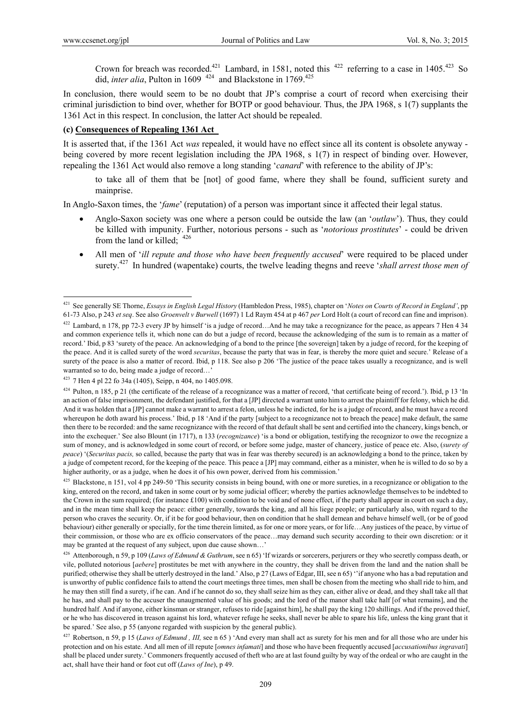$\overline{a}$ 

Crown for breach was recorded.<sup>421</sup> Lambard, in 1581, noted this  $422$  referring to a case in 1405.<sup>423</sup> So did, *inter alia*, Pulton in 1609<sup>424</sup> and Blackstone in 1769.<sup>425</sup>

In conclusion, there would seem to be no doubt that JP's comprise a court of record when exercising their criminal jurisdiction to bind over, whether for BOTP or good behaviour. Thus, the JPA 1968, s 1(7) supplants the 1361 Act in this respect. In conclusion, the latter Act should be repealed.

### **(c) Consequences of Repealing 1361 Act**

It is asserted that, if the 1361 Act *was* repealed, it would have no effect since all its content is obsolete anyway being covered by more recent legislation including the JPA 1968, s 1(7) in respect of binding over. However, repealing the 1361 Act would also remove a long standing '*canard*' with reference to the ability of JP's:

to take all of them that be [not] of good fame, where they shall be found, sufficient surety and mainprise.

In Anglo-Saxon times, the '*fame*' (reputation) of a person was important since it affected their legal status.

- Anglo-Saxon society was one where a person could be outside the law (an '*outlaw*'). Thus, they could be killed with impunity. Further, notorious persons - such as '*notorious prostitutes*' - could be driven from the land or killed; 426
- All men of '*ill repute and those who have been frequently accused*' were required to be placed under surety.427 In hundred (wapentake) courts, the twelve leading thegns and reeve '*shall arrest those men of*

<sup>421</sup> See generally SE Thorne, *Essays in English Legal History* (Hambledon Press, 1985), chapter on '*Notes on Courts of Record in England'*, pp 61-73 Also, p 243 *et seq*. See also *Groenvelt v Burwell* (1697) 1 Ld Raym 454 at p 467 *per* Lord Holt (a court of record can fine and imprison).

 $422$  Lambard, n 178, pp 72-3 every JP by himself 'is a judge of record...And he may take a recognizance for the peace, as appears 7 Hen 4 34 and common experience tells it, which none can do but a judge of record, because the acknowledging of the sum is to remain as a matter of record.' Ibid, p 83 'surety of the peace. An acknowledging of a bond to the prince [the sovereign] taken by a judge of record, for the keeping of the peace. And it is called surety of the word *securitas*, because the party that was in fear, is thereby the more quiet and secure.' Release of a surety of the peace is also a matter of record. Ibid, p 118. See also p 206 'The justice of the peace takes usually a recognizance, and is well warranted so to do, being made a judge of record...

<sup>423 7</sup> Hen 4 pl 22 fo 34a (1405), Seipp, n 404, no 1405.098.

<sup>424</sup> Pulton, n 185, p 21 (the certificate of the release of a recognizance was a matter of record, 'that certificate being of record.'). Ibid, p 13 'In an action of false imprisonment, the defendant justified, for that a [JP] directed a warrant unto him to arrest the plaintiff for felony, which he did. And it was holden that a [JP] cannot make a warrant to arrest a felon, unless he be indicted, for he is a judge of record, and he must have a record whereupon he doth award his process.' Ibid, p 18 'And if the party [subject to a recognizance not to breach the peace] make default, the same then there to be recorded: and the same recognizance with the record of that default shall be sent and certified into the chancery, kings bench, or into the exchequer.' See also Blount (in 1717), n 133 (*recognizance*) 'is a bond or obligation, testifying the recognizor to owe the recognize a sum of money, and is acknowledged in some court of record, or before some judge, master of chancery, justice of peace etc. Also, (*surety of peace*) '(*Securitas pacis,* so called, because the party that was in fear was thereby secured) is an acknowledging a bond to the prince, taken by a judge of competent record, for the keeping of the peace. This peace a [JP] may command, either as a minister, when he is willed to do so by a higher authority, or as a judge, when he does it of his own power, derived from his commission.'

<sup>&</sup>lt;sup>425</sup> Blackstone, n 151, vol 4 pp 249-50 'This security consists in being bound, with one or more sureties, in a recognizance or obligation to the king, entered on the record, and taken in some court or by some judicial officer; whereby the parties acknowledge themselves to be indebted to the Crown in the sum required; (for instance £100) with condition to be void and of none effect, if the party shall appear in court on such a day, and in the mean time shall keep the peace: either generally, towards the king, and all his liege people; or particularly also, with regard to the person who craves the security. Or, if it be for good behaviour, then on condition that he shall demean and behave himself well, (or be of good behaviour) either generally or specially, for the time therein limited, as for one or more years, or for life...Any justices of the peace, by virtue of their commission, or those who are ex officio conservators of the peace…may demand such security according to their own discretion: or it may be granted at the request of any subject, upon due cause shown…'

<sup>426</sup> Attenborough, n 59, p 109 (*Laws of Edmund & Guthrum*, see n 65) 'If wizards or sorcerers, perjurers or they who secretly compass death, or vile, polluted notorious [*aebere*] prostitutes be met with anywhere in the country, they shall be driven from the land and the nation shall be purified; otherwise they shall be utterly destroyed in the land.' Also, p 27 (Laws of Edgar, III, see n 65) "if anyone who has a bad reputation and is unworthy of public confidence fails to attend the court meetings three times, men shall be chosen from the meeting who shall ride to him, and he may then still find a surety, if he can. And if he cannot do so, they shall seize him as they can, either alive or dead, and they shall take all that he has, and shall pay to the accuser the unaugmented value of his goods; and the lord of the manor shall take half [of what remains], and the hundred half. And if anyone, either kinsman or stranger, refuses to ride [against him], he shall pay the king 120 shillings. And if the proved thief, or he who has discovered in treason against his lord, whatever refuge he seeks, shall never be able to spare his life, unless the king grant that it be spared.' See also, p 55 (anyone regarded with suspicion by the general public).

<sup>&</sup>lt;sup>427</sup> Robertson, n 59, p 15 (*Laws of Edmund, III*, see n 65) 'And every man shall act as surety for his men and for all those who are under his protection and on his estate. And all men of ill repute [*omnes infamati*] and those who have been frequently accused [*accusationibus ingravati*] shall be placed under surety.' Commoners frequently accused of theft who are at last found guilty by way of the ordeal or who are caught in the act, shall have their hand or foot cut off (*Laws of Ine*), p 49.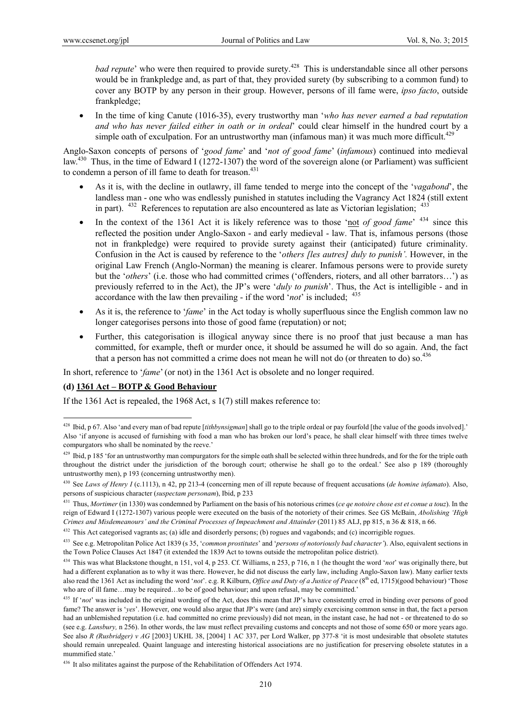*bad repute*' who were then required to provide surety.<sup>428</sup> This is understandable since all other persons would be in frankpledge and, as part of that, they provided surety (by subscribing to a common fund) to cover any BOTP by any person in their group. However, persons of ill fame were, *ipso facto*, outside frankpledge;

 In the time of king Canute (1016-35), every trustworthy man '*who has never earned a bad reputation and who has never failed either in oath or in ordeal*' could clear himself in the hundred court by a simple oath of exculpation. For an untrustworthy man (infamous man) it was much more difficult.<sup>429</sup>

Anglo-Saxon concepts of persons of '*good fame*' and '*not of good fame*' (*infamous*) continued into medieval law.<sup>430</sup> Thus, in the time of Edward I (1272-1307) the word of the sovereign alone (or Parliament) was sufficient to condemn a person of ill fame to death for treason.<sup>431</sup>

- As it is, with the decline in outlawry, ill fame tended to merge into the concept of the '*vagabond*', the landless man - one who was endlessly punished in statutes including the Vagrancy Act 1824 (still extent in part).  $432$  References to reputation are also encountered as late as Victorian legislation;  $433$
- In the context of the 1361 Act it is likely reference was to those 'not *of good fame*' 434 since this reflected the position under Anglo-Saxon - and early medieval - law. That is, infamous persons (those not in frankpledge) were required to provide surety against their (anticipated) future criminality. Confusion in the Act is caused by reference to the '*others [les autres] duly to punish'.* However, in the original Law French (Anglo-Norman) the meaning is clearer. Infamous persons were to provide surety but the '*others*' (i.e. those who had committed crimes ('offenders, rioters, and all other barrators…') as previously referred to in the Act), the JP's were '*duly to punish*'. Thus, the Act is intelligible - and in accordance with the law then prevailing - if the word '*not*' is included; 435
- As it is, the reference to '*fame*' in the Act today is wholly superfluous since the English common law no longer categorises persons into those of good fame (reputation) or not;
- Further, this categorisation is illogical anyway since there is no proof that just because a man has committed, for example, theft or murder once, it should be assumed he will do so again. And, the fact that a person has not committed a crime does not mean he will not do (or threaten to do) so.<sup>436</sup>

In short, reference to '*fame*' (or not) in the 1361 Act is obsolete and no longer required.

#### **(d) 1361 Act – BOTP & Good Behaviour**

 $\overline{a}$ 

If the 1361 Act is repealed, the 1968 Act, s 1(7) still makes reference to:

<sup>428</sup> Ibid, p 67. Also 'and every man of bad repute [*tithbynsigman*] shall go to the triple ordeal or pay fourfold [the value of the goods involved].' Also 'if anyone is accused of furnishing with food a man who has broken our lord's peace, he shall clear himself with three times twelve compurgators who shall be nominated by the reeve.'

<sup>&</sup>lt;sup>429</sup> Ibid, p 185 'for an untrustworthy man compurgators for the simple oath shall be selected within three hundreds, and for the for the triple oath throughout the district under the jurisdiction of the borough court; otherwise he shall go to the ordeal.' See also p 189 (thoroughly untrustworthy men), p 193 (concerning untrustworthy men).

<sup>430</sup> See *Laws of Henry I* (c.1113), n 42, pp 213-4 (concerning men of ill repute because of frequent accusations (*de homine infamato*). Also, persons of suspicious character (*suspectam personam*), Ibid, p 233

<sup>431</sup> Thus, *Mortimer* (in 1330) was condemned by Parliament on the basis of his notorious crimes (*ce qe notoire chose est et conue a touz*). In the reign of Edward I (1272-1307) various people were executed on the basis of the notoriety of their crimes. See GS McBain, *Abolishing 'High Crimes and Misdemeanours' and the Criminal Processes of Impeachment and Attainder* (2011) 85 ALJ, pp 815, n 36 & 818, n 66.

<sup>432</sup> This Act categorised vagrants as; (a) idle and disorderly persons; (b) rogues and vagabonds; and (c) incorrigible rogues.

<sup>433</sup> See e.g. Metropolitan Police Act 1839 (s 35, '*common prostitutes*' and '*persons of notoriously bad character'*). Also, equivalent sections in the Town Police Clauses Act 1847 (it extended the 1839 Act to towns outside the metropolitan police district).

<sup>434</sup> This was what Blackstone thought, n 151, vol 4, p 253. Cf. Williams, n 253, p 716, n 1 (he thought the word '*not*' was originally there, but had a different explanation as to why it was there. However, he did not discuss the early law, including Anglo-Saxon law). Many earlier texts also read the 1361 Act as including the word '*not*'. e.g. R Kilburn, *Office and Duty of a Justice of Peace* (8<sup>th</sup> ed, 1715)(good behaviour) 'Those who are of ill fame...may be required...to be of good behaviour; and upon refusal, may be committed.'

<sup>&</sup>lt;sup>435</sup> If '*not*' was included in the original wording of the Act, does this mean that JP's have consistently erred in binding over persons of good fame? The answer is '*yes*'. However, one would also argue that JP's were (and are) simply exercising common sense in that, the fact a person had an unblemished reputation (i.e. had committed no crime previously) did not mean, in the instant case, he had not - or threatened to do so (see e.g. *Lansbury,* n 256). In other words, the law must reflect prevailing customs and concepts and not those of some 650 or more years ago. See also *R (Rusbridger) v AG* [2003] UKHL 38, [2004] 1 AC 337, per Lord Walker, pp 377-8 'it is most undesirable that obsolete statutes should remain unrepealed. Quaint language and interesting historical associations are no justification for preserving obsolete statutes in a mummified state.'

<sup>&</sup>lt;sup>436</sup> It also militates against the purpose of the Rehabilitation of Offenders Act 1974.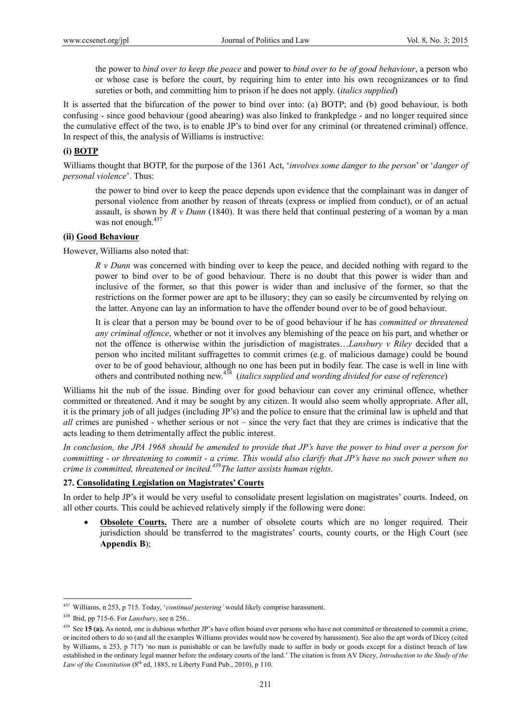the power to *bind over to keep the peace* and power to *bind over to be of good behaviour*, a person who or whose case is before the court, by requiring him to enter into his own recognizances or to find sureties or both, and committing him to prison if he does not apply. (*italics supplied*)

It is asserted that the bifurcation of the power to bind over into: (a) BOTP; and (b) good behaviour, is both confusing - since good behaviour (good abearing) was also linked to frankpledge - and no longer required since the cumulative effect of the two, is to enable JP's to bind over for any criminal (or threatened criminal) offence. In respect of this, the analysis of Williams is instructive:

### **(i) BOTP**

Williams thought that BOTP, for the purpose of the 1361 Act, '*involves some danger to the person*' or '*danger of personal violence*'. Thus:

the power to bind over to keep the peace depends upon evidence that the complainant was in danger of personal violence from another by reason of threats (express or implied from conduct), or of an actual assault, is shown by *R v Dunn* (1840). It was there held that continual pestering of a woman by a man was not enough.<sup>437</sup>

### **(ii) Good Behaviour**

However, Williams also noted that:

*R v Dunn* was concerned with binding over to keep the peace, and decided nothing with regard to the power to bind over to be of good behaviour. There is no doubt that this power is wider than and inclusive of the former, so that this power is wider than and inclusive of the former, so that the restrictions on the former power are apt to be illusory; they can so easily be circumvented by relying on the latter. Anyone can lay an information to have the offender bound over to be of good behaviour.

It is clear that a person may be bound over to be of good behaviour if he has *committed or threatened any criminal offence*, whether or not it involves any blemishing of the peace on his part, and whether or not the offence is otherwise within the jurisdiction of magistrates…*Lansbury v Riley* decided that a person who incited militant suffragettes to commit crimes (e.g. of malicious damage) could be bound over to be of good behaviour, although no one has been put in bodily fear. The case is well in line with others and contributed nothing new.438 (*italics supplied and wording divided for ease of reference*)

Williams hit the nub of the issue. Binding over for good behaviour can cover any criminal offence, whether committed or threatened. And it may be sought by any citizen. It would also seem wholly appropriate. After all, it is the primary job of all judges (including JP's) and the police to ensure that the criminal law is upheld and that *all* crimes are punished - whether serious or not – since the very fact that they are crimes is indicative that the acts leading to them detrimentally affect the public interest.

*In conclusion, the JPA 1968 should be amended to provide that JP's have the power to bind over a person for committing - or threatening to commit - a crime. This would also clarify that JP's have no such power when no crime is committed, threatened or incited.439The latter assists human rights.* 

### **27. Consolidating Legislation on Magistrates' Courts**

In order to help JP's it would be very useful to consolidate present legislation on magistrates' courts. Indeed, on all other courts. This could be achieved relatively simply if the following were done:

 **Obsolete Courts.** There are a number of obsolete courts which are no longer required. Their jurisdiction should be transferred to the magistrates' courts, county courts, or the High Court (see **Appendix B**);

<sup>437</sup> Williams, n 253, p 715. Today, '*continual pestering'* would likely comprise harassment.

<sup>438</sup> Ibid, pp 715-6. For *Lansbury*, see n 256..

<sup>&</sup>lt;sup>439</sup> See 15 (a). As noted, one is dubious whether JP's have often bound over persons who have not committed or threatened to commit a crime, or incited others to do so (and all the examples Williams provides would now be covered by harassment). See also the apt words of Dicey (cited by Williams, n 253, p 717) 'no man is punishable or can be lawfully made to suffer in body or goods except for a distinct breach of law established in the ordinary legal manner before the ordinary courts of the land.' The citation is from AV Dicey, *Introduction to the Study of the Law of the Constitution* ( $8<sup>th</sup>$  ed, 1885, re Liberty Fund Pub., 2010), p 110.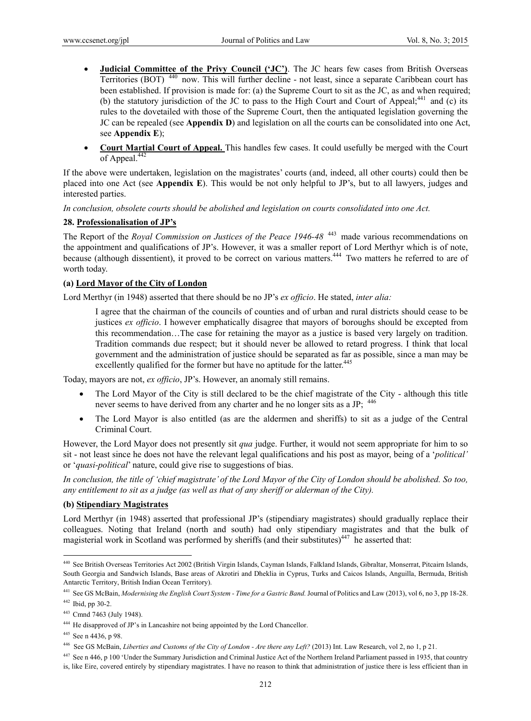- **Judicial Committee of the Privy Council ('JC')**. The JC hears few cases from British Overseas Territories (BOT) 440 now. This will further decline - not least, since a separate Caribbean court has been established. If provision is made for: (a) the Supreme Court to sit as the JC, as and when required; (b) the statutory jurisdiction of the JC to pass to the High Court and Court of Appeal; $441$  and (c) its rules to the dovetailed with those of the Supreme Court, then the antiquated legislation governing the JC can be repealed (see **Appendix D**) and legislation on all the courts can be consolidated into one Act, see **Appendix E**);
- **Court Martial Court of Appeal.** This handles few cases. It could usefully be merged with the Court of Appeal.442

If the above were undertaken, legislation on the magistrates' courts (and, indeed, all other courts) could then be placed into one Act (see **Appendix E**). This would be not only helpful to JP's, but to all lawyers, judges and interested parties.

*In conclusion, obsolete courts should be abolished and legislation on courts consolidated into one Act.* 

### **28. Professionalisation of JP's**

The Report of the *Royal Commission on Justices of the Peace 1946-48*<sup>443</sup> made various recommendations on the appointment and qualifications of JP's. However, it was a smaller report of Lord Merthyr which is of note, because (although dissentient), it proved to be correct on various matters.444 Two matters he referred to are of worth today.

### **(a) Lord Mayor of the City of London**

Lord Merthyr (in 1948) asserted that there should be no JP's *ex officio*. He stated, *inter alia:*

I agree that the chairman of the councils of counties and of urban and rural districts should cease to be justices *ex officio*. I however emphatically disagree that mayors of boroughs should be excepted from this recommendation…The case for retaining the mayor as a justice is based very largely on tradition. Tradition commands due respect; but it should never be allowed to retard progress. I think that local government and the administration of justice should be separated as far as possible, since a man may be excellently qualified for the former but have no aptitude for the latter.<sup>445</sup>

Today, mayors are not, *ex officio*, JP's. However, an anomaly still remains.

- The Lord Mayor of the City is still declared to be the chief magistrate of the City although this title never seems to have derived from any charter and he no longer sits as a JP;  $446$
- The Lord Mayor is also entitled (as are the aldermen and sheriffs) to sit as a judge of the Central Criminal Court.

However, the Lord Mayor does not presently sit *qua* judge. Further, it would not seem appropriate for him to so sit - not least since he does not have the relevant legal qualifications and his post as mayor, being of a '*political'* or '*quasi-political*' nature, could give rise to suggestions of bias.

*In conclusion, the title of 'chief magistrate' of the Lord Mayor of the City of London should be abolished. So too, any entitlement to sit as a judge (as well as that of any sheriff or alderman of the City).* 

### **(b) Stipendiary Magistrates**

Lord Merthyr (in 1948) asserted that professional JP's (stipendiary magistrates) should gradually replace their colleagues. Noting that Ireland (north and south) had only stipendiary magistrates and that the bulk of magisterial work in Scotland was performed by sheriffs (and their substitutes) $447$  he asserted that:

<sup>440</sup> See British Overseas Territories Act 2002 (British Virgin Islands, Cayman Islands, Falkland Islands, Gibraltar, Monserrat, Pitcairn Islands, South Georgia and Sandwich Islands, Base areas of Akrotiri and Dheklia in Cyprus, Turks and Caicos Islands, Anguilla, Bermuda, British Antarctic Territory, British Indian Ocean Territory).

<sup>441</sup> See GS McBain, *Modernising the English Court System - Time for a Gastric Band.* Journal of Politics and Law (2013), vol 6, no 3, pp 18-28.

 $442$  Ibid, pp 30-2.

<sup>443</sup> Cmnd 7463 (July 1948).

<sup>444</sup> He disapproved of JP's in Lancashire not being appointed by the Lord Chancellor.

<sup>445</sup> See n 4436, p 98.

<sup>446</sup> See GS McBain, *Liberties and Customs of the City of London - Are there any Left?* (2013) Int. Law Research, vol 2, no 1, p 21.

<sup>447</sup> See n 446, p 100 'Under the Summary Jurisdiction and Criminal Justice Act of the Northern Ireland Parliament passed in 1935, that country is, like Eire, covered entirely by stipendiary magistrates. I have no reason to think that administration of justice there is less efficient than in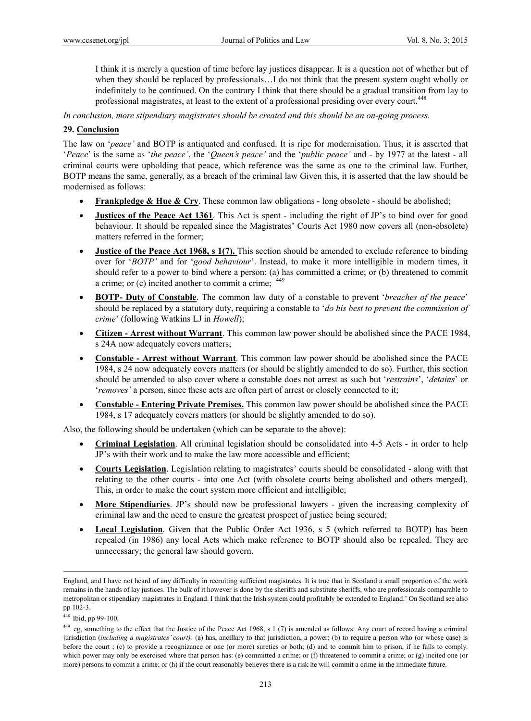I think it is merely a question of time before lay justices disappear. It is a question not of whether but of when they should be replaced by professionals…I do not think that the present system ought wholly or indefinitely to be continued. On the contrary I think that there should be a gradual transition from lay to professional magistrates, at least to the extent of a professional presiding over every court.<sup>448</sup>

*In conclusion, more stipendiary magistrates should be created and this should be an on-going process.* 

#### **29. Conclusion**

The law on '*peace'* and BOTP is antiquated and confused. It is ripe for modernisation. Thus, it is asserted that '*Peace*' is the same as '*the peace'*, the '*Queen's peace'* and the '*public peace'* and - by 1977 at the latest - all criminal courts were upholding that peace, which reference was the same as one to the criminal law. Further, BOTP means the same, generally, as a breach of the criminal law Given this, it is asserted that the law should be modernised as follows:

- **Frankpledge & Hue & Cry**. These common law obligations long obsolete should be abolished;
- **Justices of the Peace Act 1361**. This Act is spent including the right of JP's to bind over for good behaviour. It should be repealed since the Magistrates' Courts Act 1980 now covers all (non-obsolete) matters referred in the former;
- **Justice of the Peace Act 1968, s 1(7).** This section should be amended to exclude reference to binding over for '*BOTP'* and for '*good behaviour*'. Instead, to make it more intelligible in modern times, it should refer to a power to bind where a person: (a) has committed a crime; or (b) threatened to commit a crime; or (c) incited another to commit a crime; <sup>449</sup>
- **BOTP- Duty of Constable**. The common law duty of a constable to prevent '*breaches of the peace*' should be replaced by a statutory duty, requiring a constable to '*do his best to prevent the commission of crime*' (following Watkins LJ in *Howell*);
- **Citizen Arrest without Warrant**. This common law power should be abolished since the PACE 1984, s 24A now adequately covers matters;
- **Constable Arrest without Warrant**. This common law power should be abolished since the PACE 1984, s 24 now adequately covers matters (or should be slightly amended to do so). Further, this section should be amended to also cover where a constable does not arrest as such but '*restrains*', '*detains*' or '*removes'* a person, since these acts are often part of arrest or closely connected to it;
- **Constable Entering Private Premises.** This common law power should be abolished since the PACE 1984, s 17 adequately covers matters (or should be slightly amended to do so).

Also, the following should be undertaken (which can be separate to the above):

- **Criminal Legislation**. All criminal legislation should be consolidated into 4-5 Acts in order to help JP's with their work and to make the law more accessible and efficient;
- **Courts Legislation**. Legislation relating to magistrates' courts should be consolidated along with that relating to the other courts - into one Act (with obsolete courts being abolished and others merged). This, in order to make the court system more efficient and intelligible;
- **More Stipendiaries**. JP's should now be professional lawyers given the increasing complexity of criminal law and the need to ensure the greatest prospect of justice being secured;
- **Local Legislation**. Given that the Public Order Act 1936, s 5 (which referred to BOTP) has been repealed (in 1986) any local Acts which make reference to BOTP should also be repealed. They are unnecessary; the general law should govern.

England, and I have not heard of any difficulty in recruiting sufficient magistrates. It is true that in Scotland a small proportion of the work remains in the hands of lay justices. The bulk of it however is done by the sheriffs and substitute sheriffs, who are professionals comparable to metropolitan or stipendiary magistrates in England. I think that the Irish system could profitably be extended to England.' On Scotland see also pp 102-3.

<sup>448</sup> Ibid, pp 99-100.

<sup>449</sup> eg, something to the effect that the Justice of the Peace Act 1968, s 1 (7) is amended as follows: Any court of record having a criminal jurisdiction (*including a magistrates' court):* (a) has, ancillary to that jurisdiction, a power; (b) to require a person who (or whose case) is before the court ; (c) to provide a recognizance or one (or more) sureties or both; (d) and to commit him to prison, if he fails to comply. which power may only be exercised where that person has: (e) committed a crime; or (f) threatened to commit a crime; or (g) incited one (or more) persons to commit a crime; or (h) if the court reasonably believes there is a risk he will commit a crime in the immediate future.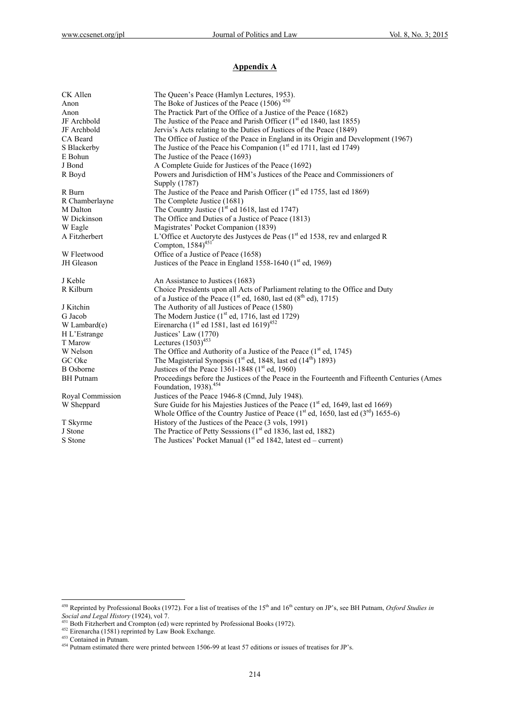# **Appendix A**

| CK Allen         | The Queen's Peace (Hamlyn Lectures, 1953).                                                                 |
|------------------|------------------------------------------------------------------------------------------------------------|
| Anon             | The Boke of Justices of the Peace $(1506)^{450}$                                                           |
| Anon             | The Practick Part of the Office of a Justice of the Peace (1682)                                           |
| JF Archbold      | The Justice of the Peace and Parish Officer $(1st$ ed 1840, last 1855)                                     |
| JF Archbold      | Jervis's Acts relating to the Duties of Justices of the Peace (1849)                                       |
| CA Beard         | The Office of Justice of the Peace in England in its Origin and Development (1967)                         |
| S Blackerby      | The Justice of the Peace his Companion (1 <sup>st</sup> ed 1711, last ed 1749)                             |
| E Bohun          | The Justice of the Peace (1693)                                                                            |
| J Bond           | A Complete Guide for Justices of the Peace (1692)                                                          |
| R Boyd           | Powers and Jurisdiction of HM's Justices of the Peace and Commissioners of                                 |
|                  | Supply (1787)                                                                                              |
| R Burn           | The Justice of the Peace and Parish Officer (1 <sup>st</sup> ed 1755, last ed 1869)                        |
| R Chamberlayne   | The Complete Justice (1681)                                                                                |
| M Dalton         | The Country Justice $(1st$ ed 1618, last ed 1747)                                                          |
| W Dickinson      | The Office and Duties of a Justice of Peace (1813)                                                         |
| W Eagle          | Magistrates' Pocket Companion (1839)                                                                       |
| A Fitzherbert    | L'Office et Auctoryte des Justyces de Peas (1 <sup>st</sup> ed 1538, rev and enlarged R                    |
|                  | Compton, $1584)^{451}$                                                                                     |
| W Fleetwood      | Office of a Justice of Peace (1658)                                                                        |
| JH Gleason       | Justices of the Peace in England 1558-1640 ( $1st$ ed, 1969)                                               |
| J Keble          | An Assistance to Justices (1683)                                                                           |
| R Kilburn        | Choice Presidents upon all Acts of Parliament relating to the Office and Duty                              |
|                  | of a Justice of the Peace $(1st$ ed, 1680, last ed $(8th$ ed), 1715)                                       |
| J Kitchin        | The Authority of all Justices of Peace (1580)                                                              |
| G Jacob          | The Modern Justice $(1st$ ed, 1716, last ed 1729)                                                          |
| W Lambard $(e)$  | Eirenarcha (1 <sup>st</sup> ed 1581, last ed 1619) <sup>452</sup>                                          |
| H L'Estrange     | Justices' Law (1770)                                                                                       |
| T Marow          | Lectures $(1503)^{453}$                                                                                    |
| W Nelson         | The Office and Authority of a Justice of the Peace (1 <sup>st</sup> ed, 1745)                              |
| GC Oke           | The Magisterial Synopsis ( $1st$ ed, 1848, last ed ( $14th$ ) 1893)                                        |
| <b>B</b> Osborne | Justices of the Peace 1361-1848 (1 <sup>st</sup> ed, 1960)                                                 |
| <b>BH</b> Putnam | Proceedings before the Justices of the Peace in the Fourteenth and Fifteenth Centuries (Ames               |
|                  | Foundation, 1938). <sup>454</sup>                                                                          |
| Royal Commission | Justices of the Peace 1946-8 (Cmnd, July 1948).                                                            |
| W Sheppard       | Sure Guide for his Majesties Justices of the Peace (1 <sup>st</sup> ed, 1649, last ed 1669)                |
|                  | Whole Office of the Country Justice of Peace (1 <sup>st</sup> ed, 1650, last ed (3 <sup>rd</sup> ) 1655-6) |
| T Skyrme         | History of the Justices of the Peace (3 vols, 1991)                                                        |
| J Stone          | The Practice of Petty Sesssions ( $1st$ ed 1836, last ed, 1882)                                            |
| S Stone          | The Justices' Pocket Manual ( $1st$ ed 1842, latest ed – current)                                          |

<sup>&</sup>lt;sup>450</sup> Reprinted by Professional Books (1972). For a list of treatises of the 15<sup>th</sup> and 16<sup>th</sup> century on JP's, see BH Putnam, *Oxford Studies in* Social and Legal History (1924), vol 7.<br><sup>451</sup> Both Fitzherbert and Crompton (ed) were reprinted by Professional Books (1972).<br><sup>452</sup> Eirenarcha (1581) reprinted by Law Book Exchange.<br><sup>453</sup> Contained in Putnam.<br><sup>454</sup> Putnam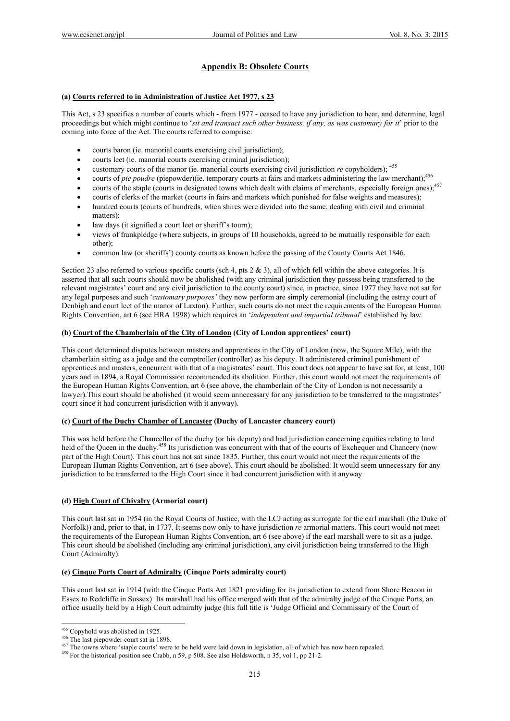# **Appendix B: Obsolete Courts**

#### **(a) Courts referred to in Administration of Justice Act 1977, s 23**

This Act, s 23 specifies a number of courts which - from 1977 - ceased to have any jurisdiction to hear, and determine, legal proceedings but which might continue to '*sit and transact such other business, if any, as was customary for it*' prior to the coming into force of the Act. The courts referred to comprise:

- courts baron (ie. manorial courts exercising civil jurisdiction);
- courts leet (ie. manorial courts exercising criminal jurisdiction);
- customary courts of the manor (ie. manorial courts exercising civil jurisdiction *re* copyholders); 455
- courts of *pie poudre* (piepowder)(ie. temporary courts at fairs and markets administering the law merchant);456
- courts of the staple (courts in designated towns which dealt with claims of merchants, especially foreign ones);<sup>457</sup>
- courts of clerks of the market (courts in fairs and markets which punished for false weights and measures);
- hundred courts (courts of hundreds, when shires were divided into the same, dealing with civil and criminal matters);
- law days (it signified a court leet or sheriff's tourn);
- views of frankpledge (where subjects, in groups of 10 households, agreed to be mutually responsible for each other);
- common law (or sheriffs') county courts as known before the passing of the County Courts Act 1846.

Section 23 also referred to various specific courts (sch 4, pts  $2 \& 3$ ), all of which fell within the above categories. It is asserted that all such courts should now be abolished (with any criminal jurisdiction they possess being transferred to the relevant magistrates' court and any civil jurisdiction to the county court) since, in practice, since 1977 they have not sat for any legal purposes and such '*customary purposes'* they now perform are simply ceremonial (including the estray court of Denbigh and court leet of the manor of Laxton). Further, such courts do not meet the requirements of the European Human Rights Convention, art 6 (see HRA 1998) which requires an '*independent and impartial tribunal*' established by law.

### **(b) Court of the Chamberlain of the City of London (City of London apprentices' court)**

This court determined disputes between masters and apprentices in the City of London (now, the Square Mile), with the chamberlain sitting as a judge and the comptroller (controller) as his deputy. It administered criminal punishment of apprentices and masters, concurrent with that of a magistrates' court. This court does not appear to have sat for, at least, 100 years and in 1894, a Royal Commission recommended its abolition. Further, this court would not meet the requirements of the European Human Rights Convention, art 6 (see above, the chamberlain of the City of London is not necessarily a lawyer).This court should be abolished (it would seem unnecessary for any jurisdiction to be transferred to the magistrates' court since it had concurrent jurisdiction with it anyway).

#### **(c) Court of the Duchy Chamber of Lancaster (Duchy of Lancaster chancery court)**

This was held before the Chancellor of the duchy (or his deputy) and had jurisdiction concerning equities relating to land held of the Queen in the duchy.<sup>458</sup> Its jurisdiction was concurrent with that of the courts of Exchequer and Chancery (now part of the High Court). This court has not sat since 1835. Further, this court would not meet the requirements of the European Human Rights Convention, art 6 (see above). This court should be abolished. It would seem unnecessary for any jurisdiction to be transferred to the High Court since it had concurrent jurisdiction with it anyway.

### **(d) High Court of Chivalry (Armorial court)**

This court last sat in 1954 (in the Royal Courts of Justice, with the LCJ acting as surrogate for the earl marshall (the Duke of Norfolk)) and, prior to that, in 1737. It seems now only to have jurisdiction *re* armorial matters. This court would not meet the requirements of the European Human Rights Convention, art 6 (see above) if the earl marshall were to sit as a judge. This court should be abolished (including any criminal jurisdiction), any civil jurisdiction being transferred to the High Court (Admiralty).

#### **(e) Cinque Ports Court of Admiralty (Cinque Ports admiralty court)**

This court last sat in 1914 (with the Cinque Ports Act 1821 providing for its jurisdiction to extend from Shore Beacon in Essex to Redcliffe in Sussex). Its marshall had his office merged with that of the admiralty judge of the Cinque Ports, an office usually held by a High Court admiralty judge (his full title is 'Judge Official and Commissary of the Court of

<sup>&</sup>lt;sup>455</sup> Copyhold was abolished in 1925.

<sup>&</sup>lt;sup>456</sup> The last piepowder court sat in 1898.<br><sup>456</sup> The towns where 'staple courts' were to be held were laid down in legislation, all of which has now been repealed.<br><sup>456</sup> For the historical position see Crabb, n 59, p 508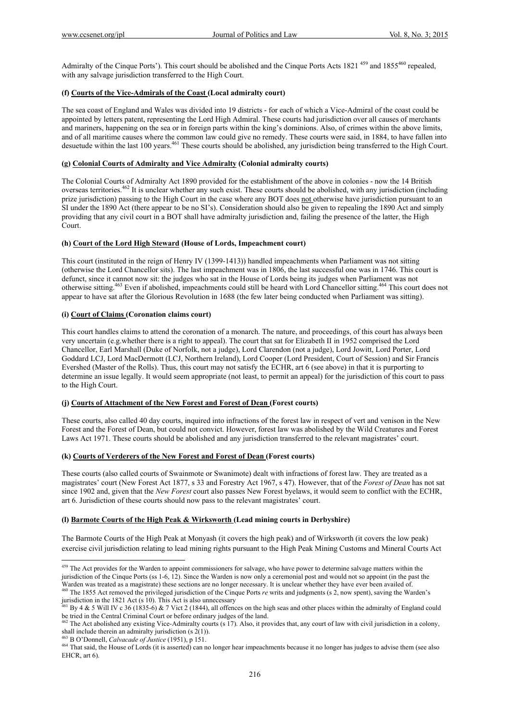Admiralty of the Cinque Ports'). This court should be abolished and the Cinque Ports Acts 1821<sup>459</sup> and 1855<sup>460</sup> repealed, with any salvage jurisdiction transferred to the High Court.

#### **(f) Courts of the Vice-Admirals of the Coast (Local admiralty court)**

The sea coast of England and Wales was divided into 19 districts - for each of which a Vice-Admiral of the coast could be appointed by letters patent, representing the Lord High Admiral. These courts had jurisdiction over all causes of merchants and mariners, happening on the sea or in foreign parts within the king's dominions. Also, of crimes within the above limits, and of all maritime causes where the common law could give no remedy. These courts were said, in 1884, to have fallen into desuetude within the last 100 years.461 These courts should be abolished, any jurisdiction being transferred to the High Court.

### **(g) Colonial Courts of Admiralty and Vice Admiralty (Colonial admiralty courts)**

The Colonial Courts of Admiralty Act 1890 provided for the establishment of the above in colonies - now the 14 British overseas territories.462 It is unclear whether any such exist. These courts should be abolished, with any jurisdiction (including prize jurisdiction) passing to the High Court in the case where any BOT does not otherwise have jurisdiction pursuant to an SI under the 1890 Act (there appear to be no SI's). Consideration should also be given to repealing the 1890 Act and simply providing that any civil court in a BOT shall have admiralty jurisdiction and, failing the presence of the latter, the High Court.

#### **(h) Court of the Lord High Steward (House of Lords, Impeachment court)**

This court (instituted in the reign of Henry IV (1399-1413)) handled impeachments when Parliament was not sitting (otherwise the Lord Chancellor sits). The last impeachment was in 1806, the last successful one was in 1746. This court is defunct, since it cannot now sit: the judges who sat in the House of Lords being its judges when Parliament was not otherwise sitting.463 Even if abolished, impeachments could still be heard with Lord Chancellor sitting.464 This court does not appear to have sat after the Glorious Revolution in 1688 (the few later being conducted when Parliament was sitting).

#### **(i) Court of Claims (Coronation claims court)**

This court handles claims to attend the coronation of a monarch. The nature, and proceedings, of this court has always been very uncertain (e.g.whether there is a right to appeal). The court that sat for Elizabeth II in 1952 comprised the Lord Chancellor, Earl Marshall (Duke of Norfolk, not a judge), Lord Clarendon (not a judge), Lord Jowitt, Lord Porter, Lord Goddard LCJ, Lord MacDermott (LCJ, Northern Ireland), Lord Cooper (Lord President, Court of Session) and Sir Francis Evershed (Master of the Rolls). Thus, this court may not satisfy the ECHR, art 6 (see above) in that it is purporting to determine an issue legally. It would seem appropriate (not least, to permit an appeal) for the jurisdiction of this court to pass to the High Court.

#### **(j) Courts of Attachment of the New Forest and Forest of Dean (Forest courts)**

These courts, also called 40 day courts, inquired into infractions of the forest law in respect of vert and venison in the New Forest and the Forest of Dean, but could not convict. However, forest law was abolished by the Wild Creatures and Forest Laws Act 1971. These courts should be abolished and any jurisdiction transferred to the relevant magistrates' court.

#### **(k) Courts of Verderers of the New Forest and Forest of Dean (Forest courts)**

These courts (also called courts of Swainmote or Swanimote) dealt with infractions of forest law. They are treated as a magistrates' court (New Forest Act 1877, s 33 and Forestry Act 1967, s 47). However, that of the *Forest of Dean* has not sat since 1902 and, given that the *New Forest* court also passes New Forest byelaws, it would seem to conflict with the ECHR, art 6. Jurisdiction of these courts should now pass to the relevant magistrates' court.

#### **(l) Barmote Courts of the High Peak & Wirksworth (Lead mining courts in Derbyshire)**

The Barmote Courts of the High Peak at Monyash (it covers the high peak) and of Wirksworth (it covers the low peak) exercise civil jurisdiction relating to lead mining rights pursuant to the High Peak Mining Customs and Mineral Courts Act

 <sup>459</sup> The Act provides for the Warden to appoint commissioners for salvage, who have power to determine salvage matters within the jurisdiction of the Cinque Ports (ss  $1-6$ ,  $12$ ). Since the Warden is now only a ceremonial post and would not so appoint (in the past the Warden was treated as a magistrate) these sections are no longer necessary. It is

<sup>&</sup>lt;sup>460</sup> The 1855 Act removed the privileged jurisdiction of the Cinque Ports  $re$  writs and judgments (s  $2$ , now spent), saving the Warden's jurisdiction in the 1821 Act (s 10). This Act is also unnecessary

<sup>&</sup>lt;sup>161</sup> By 4 & 5 Will IV c 36 (1835-6) & 7 Vict 2 (1844), all offences on the high seas and other places within the admiralty of England could

be tried in the Central Criminal Court or before ordinary judges of the land.<br>  $\frac{462}{2}$  The Act abolished any existing Vice-Admiralty courts (s 17). Also, it provides that, any court of law with civil jurisdiction in a

<sup>&</sup>lt;sup>463</sup> B O'Donnell, *Calvacade of Justice* (1951), p 151.<br><sup>464</sup> That said, the House of Lords (it is asserted) can no longer hear impeachments because it no longer has judges to advise them (see also EHCR, art 6).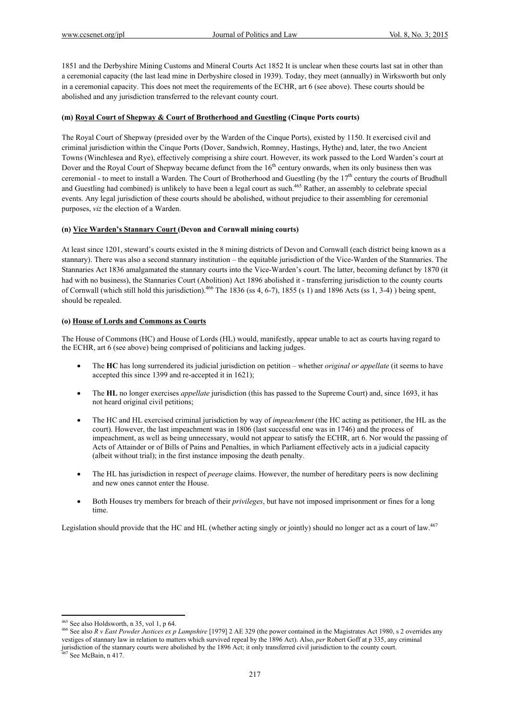1851 and the Derbyshire Mining Customs and Mineral Courts Act 1852 It is unclear when these courts last sat in other than a ceremonial capacity (the last lead mine in Derbyshire closed in 1939). Today, they meet (annually) in Wirksworth but only in a ceremonial capacity. This does not meet the requirements of the ECHR, art 6 (see above). These courts should be abolished and any jurisdiction transferred to the relevant county court.

#### **(m) Royal Court of Shepway & Court of Brotherhood and Guestling (Cinque Ports courts)**

The Royal Court of Shepway (presided over by the Warden of the Cinque Ports), existed by 1150. It exercised civil and criminal jurisdiction within the Cinque Ports (Dover, Sandwich, Romney, Hastings, Hythe) and, later, the two Ancient Towns (Winchlesea and Rye), effectively comprising a shire court. However, its work passed to the Lord Warden's court at Dover and the Royal Court of Shepway became defunct from the 16<sup>th</sup> century onwards, when its only business then was ceremonial - to meet to install a Warden. The Court of Brotherhood and Guestling (by the 17<sup>th</sup> century the courts of Brudhull and Guestling had combined) is unlikely to have been a legal court as such.<sup>465</sup> Rather, an assembly to celebrate special events. Any legal jurisdiction of these courts should be abolished, without prejudice to their assembling for ceremonial purposes, *viz* the election of a Warden.

### **(n) Vice Warden's Stannary Court (Devon and Cornwall mining courts)**

At least since 1201, steward's courts existed in the 8 mining districts of Devon and Cornwall (each district being known as a stannary). There was also a second stannary institution – the equitable jurisdiction of the Vice-Warden of the Stannaries. The Stannaries Act 1836 amalgamated the stannary courts into the Vice-Warden's court. The latter, becoming defunct by 1870 (it had with no business), the Stannaries Court (Abolition) Act 1896 abolished it - transferring jurisdiction to the county courts of Cornwall (which still hold this jurisdiction).<sup>466</sup> The 1836 (ss 4, 6-7), 1855 (s 1) and 1896 Acts (ss 1, 3-4) ) being spent, should be repealed.

#### **(o) House of Lords and Commons as Courts**

The House of Commons (HC) and House of Lords (HL) would, manifestly, appear unable to act as courts having regard to the ECHR, art 6 (see above) being comprised of politicians and lacking judges.

- The **HC** has long surrendered its judicial jurisdiction on petition whether *original or appellate* (it seems to have accepted this since 1399 and re-accepted it in 1621);
- The **HL** no longer exercises *appellate* jurisdiction (this has passed to the Supreme Court) and, since 1693, it has not heard original civil petitions;
- The HC and HL exercised criminal jurisdiction by way of *impeachment* (the HC acting as petitioner, the HL as the court). However, the last impeachment was in 1806 (last successful one was in 1746) and the process of impeachment, as well as being unnecessary, would not appear to satisfy the ECHR, art 6. Nor would the passing of Acts of Attainder or of Bills of Pains and Penalties, in which Parliament effectively acts in a judicial capacity (albeit without trial); in the first instance imposing the death penalty.
- The HL has jurisdiction in respect of *peerage* claims. However, the number of hereditary peers is now declining and new ones cannot enter the House.
- Both Houses try members for breach of their *privileges*, but have not imposed imprisonment or fines for a long time.

Legislation should provide that the HC and HL (whether acting singly or jointly) should no longer act as a court of law. $467$ 

<sup>465</sup> See also Holdsworth, n 35, vol 1, p 64.

<sup>&</sup>lt;sup>466</sup> See also R v East Powder Justices ex p Lampshire [1979] 2 AE 329 (the power contained in the Magistrates Act 1980, s 2 overrides any vestiges of stannary law in relation to matters which survived repeal by the 1896 Act). Also, *per* Robert Goff at p 335, any criminal jurisdiction of the stannary courts were abolished by the 1896 Act; it only transferred civil jurisdiction to the county court. 467 See McBain, n 417.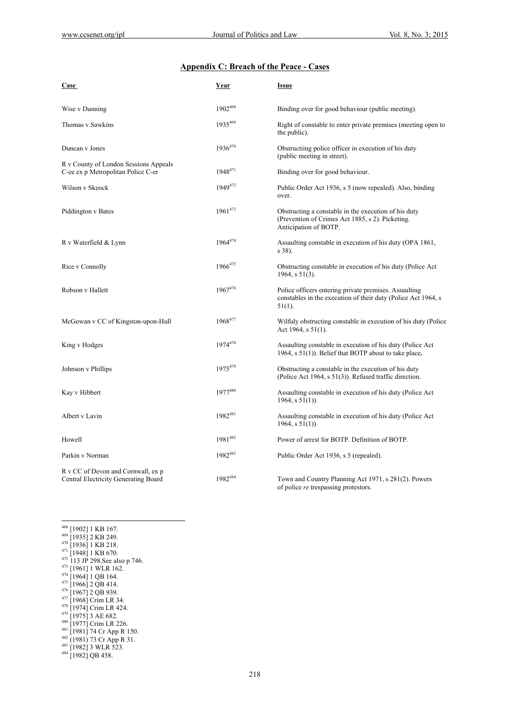# **Appendix C: Breach of the Peace - Cases**

| <b>Case</b>                                                                 | Year         | <b>Issue</b>                                                                                                                        |
|-----------------------------------------------------------------------------|--------------|-------------------------------------------------------------------------------------------------------------------------------------|
| Wise v Dunning                                                              | 1902468      | Binding over for good behaviour (public meeting).                                                                                   |
| Thomas v Sawkins                                                            | 1935469      | Right of constable to enter private premises (meeting open to<br>the public).                                                       |
| Duncan v Jones                                                              | 1936470      | Obstructiing police officer in execution of his duty<br>(public meeting in street).                                                 |
| R v County of London Sessions Appeals<br>C-ee ex p Metropolitan Police C-er | $1948^{471}$ | Binding over for good behaviour.                                                                                                    |
| Wilson v Skeock                                                             | $1949^{472}$ | Public Order Act 1936, s 5 (now repealed). Also, binding<br>over.                                                                   |
| Piddington v Bates                                                          | 1961473      | Obstructing a constable in the execution of his duty<br>(Prevention of Crimes Act 1885, s 2). Picketing.<br>Anticipation of BOTP.   |
| R v Waterfield & Lynn                                                       | $1964^{474}$ | Assaulting constable in execution of his duty (OPA 1861,<br>s 38).                                                                  |
| Rice v Connolly                                                             | 1966475      | Obstructing constable in execution of his duty (Police Act)<br>1964, s $51(3)$ .                                                    |
| Robson v Hallett                                                            | $1967^{476}$ | Police officers entering private premises. Assaulting<br>constables in the execution of their duty (Police Act 1964, s<br>$51(1)$ . |
| McGowan v CC of Kingston-upon-Hull                                          | 1968477      | Wilfuly obstructing constable in execution of his duty (Police<br>Act 1964, $s$ 51(1).                                              |
| King v Hodges                                                               | 1974478      | Assaulting constable in execution of his duty (Police Act)<br>1964, $s$ 51(1)). Belief that BOTP about to take place.               |
| Johnson v Phillips                                                          | 1975479      | Obstructing a constable in the execution of his duty<br>(Police Act 1964, $s 51(3)$ ). Refused traffic direction.                   |
| Kay v Hibbert                                                               | 1977480      | Assaulting constable in execution of his duty (Police Act)<br>1964, s $51(1)$ ).                                                    |
| Albert v Lavin                                                              | 1982481      | Assaulting constable in execution of his duty (Police Act)<br>$1964$ , s $51(1)$ )                                                  |
| Howell                                                                      | 1981482      | Power of arrest for BOTP. Definition of BOTP.                                                                                       |
| Parkin v Norman                                                             | 1982483      | Public Order Act 1936, s 5 (repealed).                                                                                              |
| R v CC of Devon and Cornwall, ex p<br>Central Electricity Generating Board  | 1982484      | Town and Country Planning Act 1971, s 281(2). Powers<br>of police re trespassing protestors.                                        |

 468 [1902] 1 KB 167.<br>
469 [1935] 2 KB 249.<br>
470 [1936] 1 KB 218.<br>
471 [1948] 1 KB 670.<br>
472 113 JP 298.See also p 746.<br>
473 [1964] 1 WLR 162.<br>
474 [1964] 1 WLR 162.<br>
475 [1966] 2 QB 414.<br>
476 [1967] 2 QB 939.<br>
477 [1968]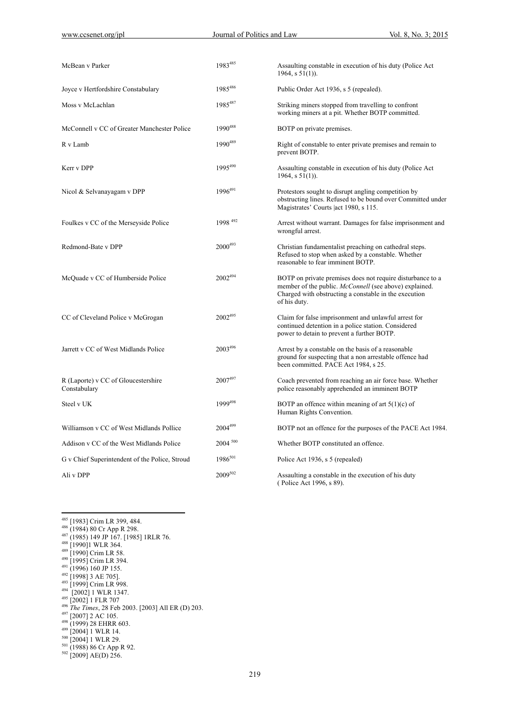| McBean v Parker                                     | 1983485      | Assaulting constable in execution of his duty (Police Act)<br>1964, $s 51(1)$ ).                                                                                                              |
|-----------------------------------------------------|--------------|-----------------------------------------------------------------------------------------------------------------------------------------------------------------------------------------------|
| Joyce v Hertfordshire Constabulary                  | 1985486      | Public Order Act 1936, s 5 (repealed).                                                                                                                                                        |
| Moss v McLachlan                                    | 1985487      | Striking miners stopped from travelling to confront<br>working miners at a pit. Whether BOTP committed.                                                                                       |
| McConnell v CC of Greater Manchester Police         | 1990488      | BOTP on private premises.                                                                                                                                                                     |
| R v Lamb                                            | 1990489      | Right of constable to enter private premises and remain to<br>prevent BOTP.                                                                                                                   |
| Kerr v DPP                                          | 1995490      | Assaulting constable in execution of his duty (Police Act)<br>1964, s $51(1)$ ).                                                                                                              |
| Nicol & Selvanayagam v DPP                          | 1996491      | Protestors sought to disrupt angling competition by<br>obstructing lines. Refused to be bound over Committed under<br>Magistrates' Courts act 1980, s 115.                                    |
| Foulkes v CC of the Merseyside Police               | 1998 492     | Arrest without warrant. Damages for false imprisonment and<br>wrongful arrest.                                                                                                                |
| Redmond-Bate v DPP                                  | $2000^{493}$ | Christian fundamentalist preaching on cathedral steps.<br>Refused to stop when asked by a constable. Whether<br>reasonable to fear imminent BOTP.                                             |
| McQuade v CC of Humberside Police                   | 2002494      | BOTP on private premises does not require disturbance to a<br>member of the public. McConnell (see above) explained.<br>Charged with obstructing a constable in the execution<br>of his duty. |
| CC of Cleveland Police v McGrogan                   | $2002^{495}$ | Claim for false imprisonment and unlawful arrest for<br>continued detention in a police station. Considered<br>power to detain to prevent a further BOTP.                                     |
| Jarrett v CC of West Midlands Police                | $2003^{496}$ | Arrest by a constable on the basis of a reasonable.<br>ground for suspecting that a non arrestable offence had<br>been committed. PACE Act 1984, s 25.                                        |
| R (Laporte) v CC of Gloucestershire<br>Constabulary | $2007^{497}$ | Coach prevented from reaching an air force base. Whether<br>police reasonably apprehended an imminent BOTP                                                                                    |
| Steel v UK                                          | 1999498      | BOTP an offence within meaning of art $5(1)(c)$ of<br>Human Rights Convention.                                                                                                                |
| Williamson v CC of West Midlands Pollice            | 2004499      | BOTP not an offence for the purposes of the PACE Act 1984.                                                                                                                                    |
| Addison v CC of the West Midlands Police            | $2004^{500}$ | Whether BOTP constituted an offence.                                                                                                                                                          |
| G v Chief Superintendent of the Police, Stroud      | $1986^{501}$ | Police Act 1936, s 5 (repealed)                                                                                                                                                               |
| Ali v DPP                                           | 2009502      | Assaulting a constable in the execution of his duty<br>(Police Act 1996, s 89).                                                                                                               |

- 
- <sup>485</sup> [1983] Crim LR 399, 484.<br><sup>486</sup> (1984) 80 Cr App R 298.<br><sup>487</sup> (1985) 149 JP 167. [1985] 1RLR 76.<br><sup>488</sup> [1990]1 WLR 364.<br><sup>490</sup> [1995] Crim LR 394.<br><sup>491</sup> [1995] Crim LR 394.<br><sup>491</sup> [1996] 160 JP 155.<br><sup>492</sup> [1998] 3 AE 70

- 
- 
- 
- 
- 
- 
- 
- 
- <sup>495</sup> [2002] 1 FLR 707<br><sup>496</sup> *The Times*, 28 Feb 2003. [2003] All ER (D) 203.<br><sup>497</sup> [2007] 2 AC 105.<br><sup>498</sup> (1999) 28 EHRR 603.<br><sup>498</sup> [2004] 1 WLR 14.<br><sup>500</sup> [2004] 1 WLR 29.<br><sup>501</sup> (1988) 86 Cr App R 92.<br><sup>502</sup> [2009] AE(D)
- 
- 
- 
- 
- 
-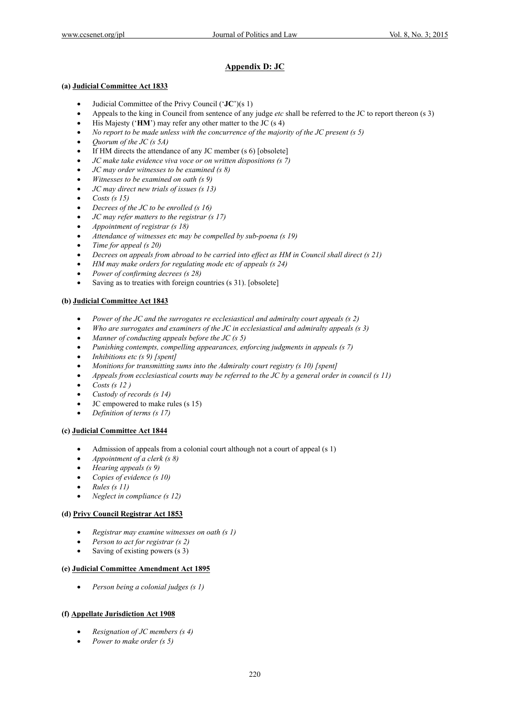## **Appendix D: JC**

#### **(a) Judicial Committee Act 1833**

- Judicial Committee of the Privy Council ('**JC**')(s 1)
- Appeals to the king in Council from sentence of any judge *etc* shall be referred to the JC to report thereon (s 3)
- His Majesty ('**HM**') may refer any other matter to the JC (s 4)
- *No report to be made unless with the concurrence of the majority of the JC present (s 5)*
- *Quorum of the JC (s 5A)*
- If HM directs the attendance of any JC member (s 6) [obsolete]
- *JC make take evidence viva voce or on written dispositions (s 7)*
- *JC may order witnesses to be examined (s 8)*
- *Witnesses to be examined on oath (s 9)*
- *JC may direct new trials of issues (s 13)*
- *Costs (s 15)*
- *Decrees of the JC to be enrolled (s 16)*
- *JC may refer matters to the registrar (s 17)*
- *Appointment of registrar (s 18)*
- *Attendance of witnesses etc may be compelled by sub-poena (s 19)*
- *Time for appeal (s 20)*
- *Decrees on appeals from abroad to be carried into effect as HM in Council shall direct (s 21)*
- *HM may make orders for regulating mode etc of appeals (s 24)*
- *Power of confirming decrees (s 28)*
- Saving as to treaties with foreign countries (s 31). [obsolete]

#### **(b) Judicial Committee Act 1843**

- *Power of the JC and the surrogates re ecclesiastical and admiralty court appeals (s 2)*
- *Who are surrogates and examiners of the JC in ecclesiastical and admiralty appeals (s 3)*
- *Manner of conducting appeals before the JC (s 5)*
- *Punishing contempts, compelling appearances, enforcing judgments in appeals (s 7)*
- *Inhibitions etc (s 9) [spent]*
- *Monitions for transmitting sums into the Admiralty court registry (s 10) [spent]*
- *Appeals from ecclesiastical courts may be referred to the JC by a general order in council (s 11)*
- *Costs (s 12 )*
- *Custody of records (s 14)*
- JC empowered to make rules (s 15)
- *Definition of terms (s 17)*

#### **(c) Judicial Committee Act 1844**

- Admission of appeals from a colonial court although not a court of appeal (s 1)
- *Appointment of a clerk (s 8)*
- *Hearing appeals (s 9)*
- *Copies of evidence (s 10)*
- *Rules (s 11)*
- *Neglect in compliance (s 12)*

#### **(d) Privy Council Registrar Act 1853**

- *Registrar may examine witnesses on oath (s 1)*
- *Person to act for registrar (s 2)*
- Saving of existing powers (s 3)

#### **(e) Judicial Committee Amendment Act 1895**

*Person being a colonial judges (s 1)* 

#### **(f) Appellate Jurisdiction Act 1908**

- *Resignation of JC members (s 4)*
- *Power to make order (s 5)*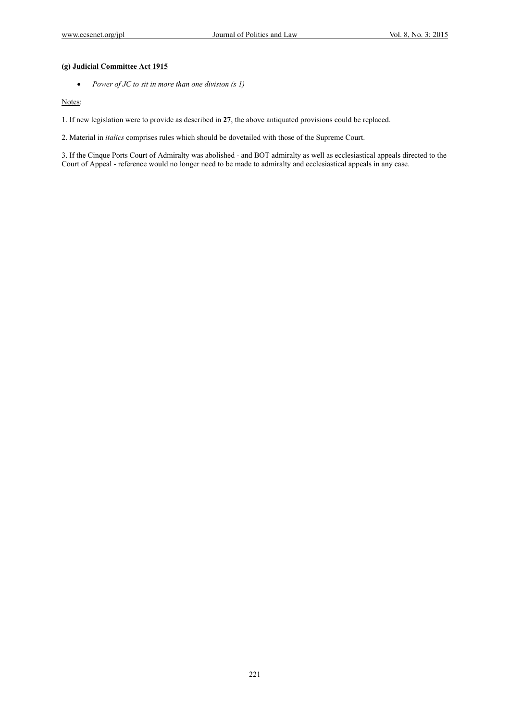### **(g) Judicial Committee Act 1915**

*Power of JC to sit in more than one division (s 1)* 

Notes:

1. If new legislation were to provide as described in **27**, the above antiquated provisions could be replaced.

2. Material in *italics* comprises rules which should be dovetailed with those of the Supreme Court.

3. If the Cinque Ports Court of Admiralty was abolished - and BOT admiralty as well as ecclesiastical appeals directed to the Court of Appeal - reference would no longer need to be made to admiralty and ecclesiastical appeals in any case.